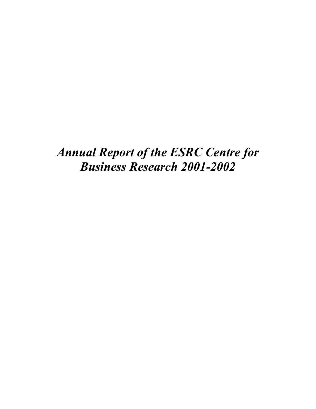*Annual Report of the ESRC Centre for Business Research 2001-2002*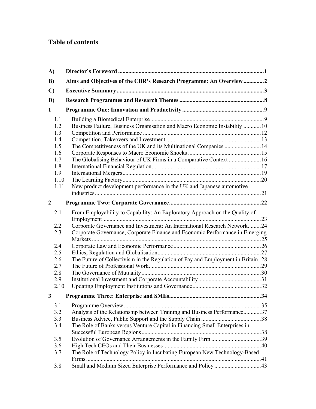# **Table of contents**

| A)           |                                                                                 |  |
|--------------|---------------------------------------------------------------------------------|--|
| B)           | Aims and Objectives of the CBR's Research Programme: An Overview2               |  |
| $\mathbf{C}$ |                                                                                 |  |
| D)           |                                                                                 |  |
| 1            |                                                                                 |  |
| 1.1          |                                                                                 |  |
| 1.2          | Business Failure, Business Organisation and Macro Economic Instability  10      |  |
| 1.3          |                                                                                 |  |
| 1.4          |                                                                                 |  |
| 1.5          | The Competitiveness of the UK and its Multinational Companies  14               |  |
| 1.6          |                                                                                 |  |
| 1.7          | The Globalising Behaviour of UK Firms in a Comparative Context  16              |  |
| 1.8          |                                                                                 |  |
| 1.9          |                                                                                 |  |
| 1.10         |                                                                                 |  |
| 1.11         | New product development performance in the UK and Japanese automotive           |  |
|              |                                                                                 |  |
| $\mathbf{2}$ |                                                                                 |  |
| 2.1          | From Employability to Capability: An Exploratory Approach on the Quality of     |  |
|              |                                                                                 |  |
| 2.2          | Corporate Governance and Investment: An International Research Network24        |  |
| 2.3          | Corporate Governance, Corporate Finance and Economic Performance in Emerging    |  |
|              |                                                                                 |  |
| 2.4          |                                                                                 |  |
| 2.5          |                                                                                 |  |
| 2.6          | The Future of Collectivism in the Regulation of Pay and Employment in Britain28 |  |
| 2.7          |                                                                                 |  |
| 2.8          |                                                                                 |  |
| 2.9          |                                                                                 |  |
| 2.10         |                                                                                 |  |
| 3            |                                                                                 |  |
| 3.1          |                                                                                 |  |
| 3.2          | Analysis of the Relationship between Training and Business Performance37        |  |
| 3.3          |                                                                                 |  |
| 3.4          | The Role of Banks versus Venture Capital in Financing Small Enterprises in      |  |
|              |                                                                                 |  |
| 3.5          |                                                                                 |  |
| 3.6          |                                                                                 |  |
| 3.7          | The Role of Technology Policy in Incubating European New Technology-Based       |  |
|              |                                                                                 |  |
| 3.8          |                                                                                 |  |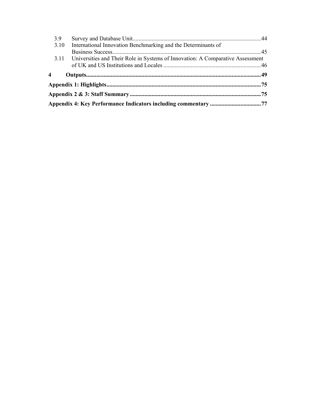| 3.9 |      |                                                                                     |  |
|-----|------|-------------------------------------------------------------------------------------|--|
|     | 3.10 | International Innovation Benchmarking and the Determinants of                       |  |
|     |      |                                                                                     |  |
|     |      | 3.11 Universities and Their Role in Systems of Innovation: A Comparative Assessment |  |
|     |      |                                                                                     |  |
| 4   |      |                                                                                     |  |
|     |      |                                                                                     |  |
|     |      |                                                                                     |  |
|     |      |                                                                                     |  |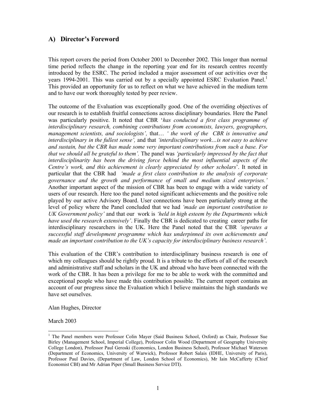## **A) Director's Foreword**

This report covers the period from October 2001 to December 2002. This longer than normal time period reflects the change in the reporting year end for its research centres recently introduced by the ESRC. The period included a major assessment of our activities over the years 1994-2001. This was carried out by a specially appointed ESRC Evaluation Panel.<sup>1</sup> This provided an opportunity for us to reflect on what we have achieved in the medium term and to have our work thoroughly tested by peer review.

The outcome of the Evaluation was exceptionally good. One of the overriding objectives of our research is to establish fruitful connections across disciplinary boundaries. Here the Panel was particularly positive. It noted that CBR '*has conducted a first class programme of interdisciplinary research, combining contributions from economists, lawyers, geographers, management scientists, and sociologists',* that… *' the work of the CBR is innovative and interdisciplinary in the fullest sense',* and that *'interdisciplinary work…is not easy to achieve and sustain, but the CBR has made some very important contributions from such a base. For that we should all be grateful to them'.* The panel was *'particularly impressed by the fact that interdisciplinarity has been the driving force behind the most influential aspects of the Centre's work, and this achievement is clearly appreciated by other scholars*'. It noted in particular that the CBR had *'made a first class contribution to the analysis of corporate governance and the growth and performance of small and medium sized enterprises.'* Another important aspect of the mission of CBR has been to engage with a wide variety of users of our research. Here too the panel noted significant achievements and the positive role played by our active Advisory Board. User connections have been particularly strong at the level of policy where the Panel concluded that we had *'made an important contribution to UK Government policy'* and that our work is *'held in high esteem by the Departments which have used the research extensively'*. Finally the CBR is dedicated to creating career paths for interdisciplinary researchers in the UK. Here the Panel noted that the CBR *'operates a successful staff development programme which has underpinned its own achievements and made an important contribution to the UK's capacity for interdisciplinary business research'*.

This evaluation of the CBR's contribution to interdisciplinary business research is one of which my colleagues should be rightly proud. It is a tribute to the efforts of all of the research and administrative staff and scholars in the UK and abroad who have been connected with the work of the CBR. It has been a privilege for me to be able to work with the committed and exceptional people who have made this contribution possible. The current report contains an account of our progress since the Evaluation which I believe maintains the high standards we have set ourselves.

Alan Hughes, Director

March 2003

 $\overline{a}$ 

<sup>&</sup>lt;sup>1</sup> The Panel members were Professor Colin Mayer (Said Business School, Oxford) as Chair, Professor Sue Birley (Management School, Imperial College), Professor Colin Wood (Department of Geography University College London), Professor Paul Geroski (Economics, London Business School), Professor Michael Waterson (Department of Economics, University of Warwick), Professor Robert Salais (IDHE, University of Paris), Professor Paul Davies, (Department of Law, London School of Economics), Mr Iain McCafferty (Chief Economist CBI) and Mr Adrian Piper (Small Business Service DTI).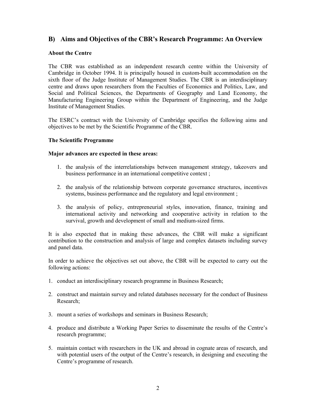## **B) Aims and Objectives of the CBR's Research Programme: An Overview**

#### **About the Centre**

The CBR was established as an independent research centre within the University of Cambridge in October 1994. It is principally housed in custom-built accommodation on the sixth floor of the Judge Institute of Management Studies. The CBR is an interdisciplinary centre and draws upon researchers from the Faculties of Economics and Politics, Law, and Social and Political Sciences, the Departments of Geography and Land Economy, the Manufacturing Engineering Group within the Department of Engineering, and the Judge Institute of Management Studies.

The ESRC's contract with the University of Cambridge specifies the following aims and objectives to be met by the Scientific Programme of the CBR.

#### **The Scientific Programme**

#### **Major advances are expected in these areas:**

- 1. the analysis of the interrelationships between management strategy, takeovers and business performance in an international competitive context ;
- 2. the analysis of the relationship between corporate governance structures, incentives systems, business performance and the regulatory and legal environment ;
- 3. the analysis of policy, entrepreneurial styles, innovation, finance, training and international activity and networking and cooperative activity in relation to the survival, growth and development of small and medium-sized firms.

It is also expected that in making these advances, the CBR will make a significant contribution to the construction and analysis of large and complex datasets including survey and panel data.

In order to achieve the objectives set out above, the CBR will be expected to carry out the following actions:

- 1. conduct an interdisciplinary research programme in Business Research;
- 2. construct and maintain survey and related databases necessary for the conduct of Business Research;
- 3. mount a series of workshops and seminars in Business Research;
- 4. produce and distribute a Working Paper Series to disseminate the results of the Centre's research programme;
- 5. maintain contact with researchers in the UK and abroad in cognate areas of research, and with potential users of the output of the Centre's research, in designing and executing the Centre's programme of research.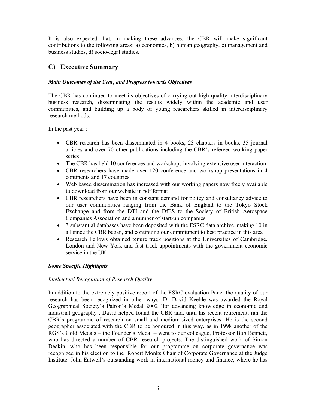It is also expected that, in making these advances, the CBR will make significant contributions to the following areas: a) economics, b) human geography, c) management and business studies, d) socio-legal studies.

## **C) Executive Summary**

## *Main Outcomes of the Year, and Progress towards Objectives*

The CBR has continued to meet its objectives of carrying out high quality interdisciplinary business research, disseminating the results widely within the academic and user communities, and building up a body of young researchers skilled in interdisciplinary research methods.

In the past year :

- CBR research has been disseminated in 4 books, 23 chapters in books, 35 journal articles and over 70 other publications including the CBR's refereed working paper series
- The CBR has held 10 conferences and workshops involving extensive user interaction
- CBR researchers have made over 120 conference and workshop presentations in 4 continents and 17 countries
- Web based dissemination has increased with our working papers now freely available to download from our website in pdf format
- CBR researchers have been in constant demand for policy and consultancy advice to our user communities ranging from the Bank of England to the Tokyo Stock Exchange and from the DTI and the DfES to the Society of British Aerospace Companies Association and a number of start-up companies.
- 3 substantial databases have been deposited with the ESRC data archive, making 10 in all since the CBR began, and continuing our commitment to best practice in this area
- Research Fellows obtained tenure track positions at the Universities of Cambridge, London and New York and fast track appointments with the government economic service in the UK

## *Some Specific Highlights*

## *Intellectual Recognition of Research Quality*

In addition to the extremely positive report of the ESRC evaluation Panel the quality of our research has been recognized in other ways. Dr David Keeble was awarded the Royal Geographical Society's Patron's Medal 2002 'for advancing knowledge in economic and industrial geography'. David helped found the CBR and, until his recent retirement, ran the CBR's programme of research on small and medium-sized enterprises. He is the second geographer associated with the CBR to be honoured in this way, as in 1998 another of the RGS's Gold Medals – the Founder's Medal – went to our colleague, Professor Bob Bennett, who has directed a number of CBR research projects. The distinguished work of Simon Deakin, who has been responsible for our programme on corporate governance was recognized in his election to the Robert Monks Chair of Corporate Governance at the Judge Institute. John Eatwell's outstanding work in international money and finance, where he has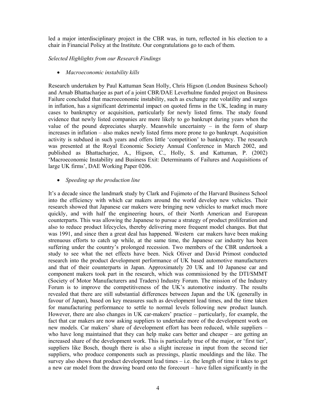led a major interdisciplinary project in the CBR was, in turn, reflected in his election to a chair in Financial Policy at the Institute. Our congratulations go to each of them.

*Selected Highlights from our Research Findings* 

• *Macroeconomic instability kills* 

Research undertaken by Paul Kattuman Sean Holly, Chris Higson (London Business School) and Arnab Bhattacharjee as part of a joint CBR/DAE Leverhulme funded project on Business Failure concluded that macroeconomic instability, such as exchange rate volatility and surges in inflation, has a significant detrimental impact on quoted firms in the UK, leading in many cases to bankruptcy or acquisition, particularly for newly listed firms. The study found evidence that newly listed companies are more likely to go bankrupt during years when the value of the pound depreciates sharply. Meanwhile uncertainty – in the form of sharp increases in inflation – also makes newly listed firms more prone to go bankrupt. Acquisition activity is subdued in such years and offers little 'competition' to bankruptcy. The research was presented at the Royal Economic Society Annual Conference in March 2002, and published as Bhattacharjee, A., Higson, C., Holly, S. and Kattuman, P. (2002) 'Macroeconomic Instability and Business Exit: Determinants of Failures and Acquisitions of large UK firms', DAE Working Paper 0206.

### • *Speeding up the production line*

It's a decade since the landmark study by Clark and Fujimoto of the Harvard Business School into the efficiency with which car makers around the world develop new vehicles. Their research showed that Japanese car makers were bringing new vehicles to market much more quickly, and with half the engineering hours, of their North American and European counterparts. This was allowing the Japanese to pursue a strategy of product proliferation and also to reduce product lifecycles, thereby delivering more frequent model changes. But that was 1991, and since then a great deal has happened. Western car makers have been making strenuous efforts to catch up while, at the same time, the Japanese car industry has been suffering under the country's prolonged recession. Two members of the CBR undertook a study to see what the net effects have been. Nick Oliver and David Primost conducted research into the product development performance of UK based automotive manufacturers and that of their counterparts in Japan. Approximately 20 UK and 10 Japanese car and component makers took part in the research, which was commissioned by the DTI/SMMT (Society of Motor Manufacturers and Traders) Industry Forum. The mission of the Industry Forum is to improve the competitiveness of the UK's automotive industry. The results revealed that there are still substantial differences between Japan and the UK (generally in favour of Japan), based on key measures such as development lead times, and the time taken for manufacturing performance to settle to normal levels following new product launch. However, there are also changes in UK car-makers' practice – particularly, for example, the fact that car makers are now asking suppliers to undertake more of the development work on new models. Car makers' share of development effort has been reduced, while suppliers – who have long maintained that they can help make cars better and cheaper – are getting an increased share of the development work. This is particularly true of the major, or 'first tier', suppliers like Bosch, though there is also a slight increase in input from the second tier suppliers, who produce components such as pressings, plastic mouldings and the like. The survey also shows that product development lead times  $-$  i.e. the length of time it takes to get a new car model from the drawing board onto the forecourt – have fallen significantly in the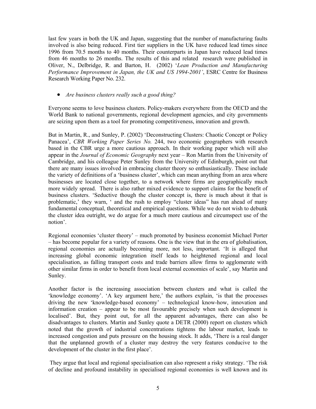last few years in both the UK and Japan, suggesting that the number of manufacturing faults involved is also being reduced. First tier suppliers in the UK have reduced lead times since 1996 from 70.5 months to 40 months. Their counterparts in Japan have reduced lead times from 46 months to 26 months. The results of this and related research were published in Oliver, N., Delbridge, R. and Barton, H. (2002) '*Lean Production and Manufacturing Performance Improvement in Japan, the UK and US 1994-2001'*, ESRC Centre for Business Research Working Paper No. 232.

• *Are business clusters really such a good thing?*

Everyone seems to love business clusters. Policy-makers everywhere from the OECD and the World Bank to national governments, regional development agencies, and city governments are seizing upon them as a tool for promoting competitiveness, innovation and growth.

But in Martin, R., and Sunley, P. (2002) 'Deconstructing Clusters: Chaotic Concept or Policy Panacea', *CBR Working Paper Series No.* 244, two economic geographers with research based in the CBR urge a more cautious approach. In their working paper which will also appear in the *Journal of Economic Geography* next year – Ron Martin from the University of Cambridge, and his colleague Peter Sunley from the University of Edinburgh, point out that there are many issues involved in embracing cluster theory so enthusiastically. These include the variety of definitions of a 'business cluster', which can mean anything from an area where businesses are located close together, to a network where firms are geographically much more widely spread. There is also rather mixed evidence to support claims for the benefit of business clusters. 'Seductive though the cluster concept is, there is much about it that is problematic,' they warn, ' and the rush to employ "cluster ideas" has run ahead of many fundamental conceptual, theoretical and empirical questions. While we do not wish to debunk the cluster idea outright, we do argue for a much more cautious and circumspect use of the notion'.

Regional economies 'cluster theory' – much promoted by business economist Michael Porter – has become popular for a variety of reasons. One is the view that in the era of globalisation, regional economies are actually becoming more, not less, important. 'It is alleged that increasing global economic integration itself leads to heightened regional and local specialisation, as falling transport costs and trade barriers allow firms to agglomerate with other similar firms in order to benefit from local external economies of scale', say Martin and Sunley.

Another factor is the increasing association between clusters and what is called the 'knowledge economy'. 'A key argument here,' the authors explain, 'is that the processes driving the new 'knowledge-based economy' – technological know-how, innovation and information creation – appear to be most favourable precisely when such development is localised'. But, they point out, for all the apparent advantages, there can also be disadvantages to clusters. Martin and Sunley quote a DETR (2000) report on clusters which noted that the growth of industrial concentrations tightens the labour market, leads to increased congestion and puts pressure on the housing stock. It adds, 'There is a real danger that the unplanned growth of a cluster may destroy the very features conducive to the development of the cluster in the first place'.

 They argue that local and regional specialisation can also represent a risky strategy. 'The risk of decline and profound instability in specialised regional economies is well known and its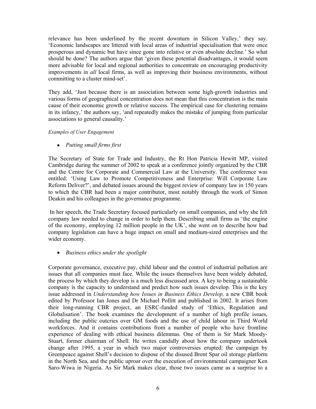relevance has been underlined by the recent downturn in Silicon Valley,' they say. 'Economic landscapes are littered with local areas of industrial specialisation that were once prosperous and dynamic but have since gone into relative or even absolute decline.' So what should be done? The authors argue that 'given these potential disadvantages, it would seem more advisable for local and regional authorities to concentrate on encouraging productivity improvements in *all* local firms, as well as improving their business environments, without committing to a cluster mind-set'.

They add, 'Just because there is an association between some high-growth industries and various forms of geographical concentration does not mean that this concentration is the main cause of their economic growth or relative success. The empirical case for clustering remains in its infancy,' the authors say, 'and repeatedly makes the mistake of jumping from particular associations to general causality.'

#### *Examples of User Engagement*

• *Putting small firms first* 

The Secretary of State for Trade and Industry, the Rt Hon Patricia Hewitt MP, visited Cambridge during the summer of 2002 to speak at a conference jointly organized by the CBR and the Centre for Corporate and Commercial Law at the University. The conference was entitled: 'Using Law to Promote Competitiveness and Enterprise: Will Corporate Law Reform Deliver?', and debated issues around the biggest review of company law in 150 years to which the CBR had been a major contributor, most notably through the work of Simon Deakin and his colleagues in the governance programme.

 In her speech, the Trade Secretary focused particularly on small companies, and why she felt company law needed to change in order to help them. Describing small firms as 'the engine of the economy, employing 12 million people in the UK', she went on to describe how bad company legislation can have a huge impact on small and medium-sized enterprises and the wider economy.

• *Business ethics under the spotlight* 

Corporate governance, executive pay, child labour and the control of industrial pollution are issues that all companies must face. While the issues themselves have been widely debated, the process by which they develop is a much less discussed area. A key to being a sustainable company is the capacity to understand and predict how such issues develop. This is the key issue addressed in *Understanding how Issues in Business Ethics Develop,* a new CBR book edited by Professor Ian Jones and Dr Michael Pollitt and published in 2002. It arises from their long-running CBR project, an ESRC-funded study of 'Ethics, Regulation and Globalisation'. The book examines the development of a number of high profile issues, including the public outcries over GM foods and the use of child labour in Third World workforces. And it contains contributions from a number of people who have frontline experience of dealing with ethical business dilemmas. One of them is Sir Mark Moody-Stuart, former chairman of Shell. He writes candidly about how the company undertook change after 1995, a year in which two major controversies erupted: the campaign by Greenpeace against Shell's decision to dispose of the disused Brent Spar oil storage platform in the North Sea, and the public uproar over the execution of environmental campaigner Ken Saro-Wiwa in Nigeria. As Sir Mark makes clear, those two issues came as a surprise to a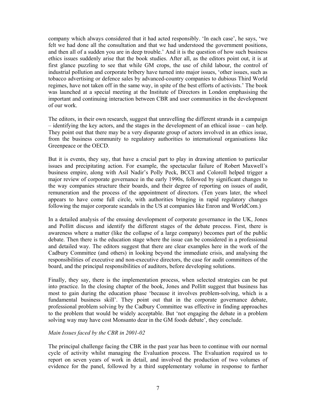company which always considered that it had acted responsibly. 'In each case', he says, 'we felt we had done all the consultation and that we had understood the government positions, and then all of a sudden you are in deep trouble.' And it is the question of how such business ethics issues suddenly arise that the book studies. After all, as the editors point out, it is at first glance puzzling to see that while GM crops, the use of child labour, the control of industrial pollution and corporate bribery have turned into major issues, 'other issues, such as tobacco advertising or defence sales by advanced-country companies to dubious Third World regimes, have not taken off in the same way, in spite of the best efforts of activists.' The book was launched at a special meeting at the Institute of Directors in London emphasising the important and continuing interaction between CBR and user communities in the development of our work.

The editors, in their own research, suggest that unravelling the different strands in a campaign – identifying the key actors, and the stages in the development of an ethical issue – can help. They point out that there may be a very disparate group of actors involved in an ethics issue, from the business community to regulatory authorities to international organisations like Greenpeace or the OECD.

But it is events, they say, that have a crucial part to play in drawing attention to particular issues and precipitating action. For example, the spectacular failure of Robert Maxwell's business empire, along with Asil Nadir's Polly Peck, BCCI and Coloroll helped trigger a major review of corporate governance in the early 1990s, followed by significant changes to the way companies structure their boards, and their degree of reporting on issues of audit, remuneration and the process of the appointment of directors. (Ten years later, the wheel appears to have come full circle, with authorities bringing in rapid regulatory changes following the major corporate scandals in the US at companies like Enron and WorldCom.)

In a detailed analysis of the ensuing development of corporate governance in the UK, Jones and Pollitt discuss and identify the different stages of the debate process. First, there is awareness where a matter (like the collapse of a large company) becomes part of the public debate. Then there is the education stage where the issue can be considered in a professional and detailed way. The editors suggest that there are clear examples here in the work of the Cadbury Committee (and others) in looking beyond the immediate crisis, and analysing the responsibilities of executive and non-executive directors, the case for audit committees of the board, and the principal responsibilities of auditors, before developing solutions.

Finally, they say, there is the implementation process, when selected strategies can be put into practice. In the closing chapter of the book, Jones and Pollitt suggest that business has most to gain during the education phase 'because it involves problem-solving, which is a fundamental business skill'. They point out that in the corporate governance debate, professional problem solving by the Cadbury Committee was effective in finding approaches to the problem that would be widely acceptable. But 'not engaging the debate in a problem solving way may have cost Monsanto dear in the GM foods debate', they conclude.

#### *Main Issues faced by the CBR in 2001-02*

The principal challenge facing the CBR in the past year has been to continue with our normal cycle of activity whilst managing the Evaluation process. The Evaluation required us to report on seven years of work in detail, and involved the production of two volumes of evidence for the panel, followed by a third supplementary volume in response to further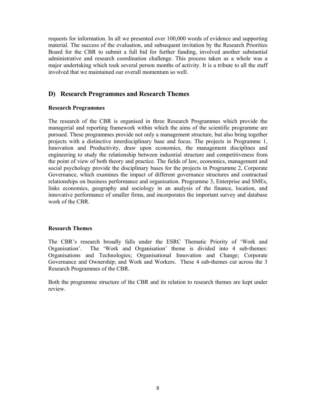requests for information. In all we presented over 100,000 words of evidence and supporting material. The success of the evaluation, and subsequent invitation by the Research Priorities Board for the CBR to submit a full bid for further funding, involved another substantial administrative and research coordination challenge. This process taken as a whole was a major undertaking which took several person months of activity. It is a tribute to all the staff involved that we maintained our overall momentum so well.

## **D) Research Programmes and Research Themes**

#### **Research Programmes**

The research of the CBR is organised in three Research Programmes which provide the managerial and reporting framework within which the aims of the scientific programme are pursued. These programmes provide not only a management structure, but also bring together projects with a distinctive interdisciplinary base and focus. The projects in Programme 1, Innovation and Productivity, draw upon economics, the management disciplines and engineering to study the relationship between industrial structure and competitiveness from the point of view of both theory and practice. The fields of law, economics, management and social psychology provide the disciplinary bases for the projects in Programme 2, Corporate Governance, which examines the impact of different governance structures and contractual relationships on business performance and organisation. Programme 3, Enterprise and SMEs, links economics, geography and sociology in an analysis of the finance, location, and innovative performance of smaller firms, and incorporates the important survey and database work of the CBR.

#### **Research Themes**

The CBR's research broadly falls under the ESRC Thematic Priority of 'Work and Organisation'. The 'Work and Organisation' theme is divided into 4 sub-themes: Organisations and Technologies; Organisational Innovation and Change; Corporate Governance and Ownership; and Work and Workers. These 4 sub-themes cut across the 3 Research Programmes of the CBR.

Both the programme structure of the CBR and its relation to research themes are kept under review.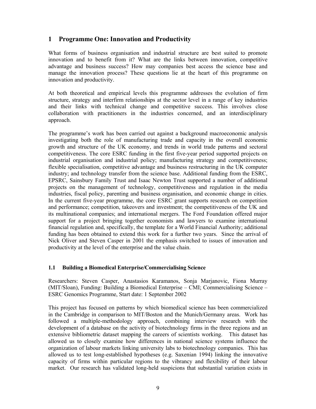## **1 Programme One: Innovation and Productivity**

What forms of business organisation and industrial structure are best suited to promote innovation and to benefit from it? What are the links between innovation, competitive advantage and business success? How may companies best access the science base and manage the innovation process? These questions lie at the heart of this programme on innovation and productivity.

At both theoretical and empirical levels this programme addresses the evolution of firm structure, strategy and interfirm relationships at the sector level in a range of key industries and their links with technical change and competitive success. This involves close collaboration with practitioners in the industries concerned, and an interdisciplinary approach.

The programme's work has been carried out against a background macroeconomic analysis investigating both the role of manufacturing trade and capacity in the overall economic growth and structure of the UK economy, and trends in world trade patterns and sectoral competitiveness. The core ESRC funding in the first five-year period supported projects on industrial organisation and industrial policy; manufacturing strategy and competitiveness; flexible specialisation, competitive advantage and business restructuring in the UK computer industry; and technology transfer from the science base. Additional funding from the ESRC, EPSRC, Sainsbury Family Trust and Isaac Newton Trust supported a number of additional projects on the management of technology, competitiveness and regulation in the media industries, fiscal policy, parenting and business organisation, and economic change in cities. In the current five-year programme, the core ESRC grant supports research on competition and performance; competition, takeovers and investment; the competitiveness of the UK and its multinational companies; and international mergers. The Ford Foundation offered major support for a project bringing together economists and lawyers to examine international financial regulation and, specifically, the template for a World Financial Authority; additional funding has been obtained to extend this work for a further two years. Since the arrival of Nick Oliver and Steven Casper in 2001 the emphasis switched to issues of innovation and productivity at the level of the enterprise and the value chain.

## **1.1 Building a Biomedical Enterprise/Commercialising Science**

Researchers: Steven Casper, Anastasios Karamanos, Sonja Marjanovic, Fiona Murray (MIT/Sloan), Funding: Building a Biomedical Enterprise – CMI; Commercialising Science – ESRC Genomics Programme, Start date: 1 September 2002

This project has focused on patterns by which biomedical science has been commercialized in the Cambridge in comparison to MIT/Boston and the Munich/Germany areas. Work has followed a multiple-methodology approach, combining interview research with the development of a database on the activity of biotechnology firms in the three regions and an extensive bibliometric dataset mapping the careers of scientists working. This dataset has allowed us to closely examine how differences in national science systems influence the organization of labour markets linking university labs to biotechnology companies. This has allowed us to test long-established hypotheses (e.g. Saxenian 1994) linking the innovative capacity of firms within particular regions to the vibrancy and flexibility of their labour market. Our research has validated long-held suspicions that substantial variation exists in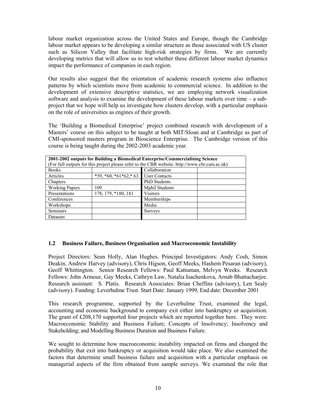labour market organization across the United States and Europe, though the Cambridge labour market appears to be developing a similar structure as those associated with US cluster such as Silicon Valley that facilitate high-risk strategies by firms. We are currently developing metrics that will allow us to test whether these different labour market dynamics impact the performance of companies in each region.

Our results also suggest that the orientation of academic research systems also influence patterns by which scientists move from academic to commercial science. In addition to the development of extensive descriptive statistics, we are employing network visualization software and analysis to examine the development of these labour markets over time – a subproject that we hope will help us investigate how clusters develop, with a particular emphasis on the role of universities as engines of their growth.

The 'Building a Biomedical Enterprise' project combined research with development of a Masters' course on this subject to be taught at both MIT/Sloan and at Cambridge as part of CMI-sponsored masters program in Bioscience Enterprise. The Cambridge version of this course is being taught during the 2002-2003 academic year.

| 2001-2002 outputs for Building a Biomedical Enterprise/Commercialising Science                |                         |                       |  |
|-----------------------------------------------------------------------------------------------|-------------------------|-----------------------|--|
| (For full outputs for this project please refer to the CBR website: http://www.cbr.cam.ac.uk) |                         |                       |  |
| <b>Books</b>                                                                                  |                         | Collaboration         |  |
| Articles                                                                                      | $*59, *60, *61*62, *63$ | <b>User Contacts</b>  |  |
| Chapters                                                                                      |                         | <b>PhD</b> Students   |  |
| <b>Working Papers</b>                                                                         | 109                     | <b>Mphil Students</b> |  |
| Presentations                                                                                 | 178, 179, *180, 181     | <b>Visitors</b>       |  |
| Conferences                                                                                   |                         | Memberships           |  |
| Workshops                                                                                     |                         | Media                 |  |
| <b>Seminars</b>                                                                               |                         | <b>Surveys</b>        |  |
| Datasets                                                                                      |                         |                       |  |

## **1.2 Business Failure, Business Organisation and Macroeconomic Instability**

Project Directors: Sean Holly, Alan Hughes. Principal Investigators: Andy Cosh, Simon Deakin, Andrew Harvey (advisory), Chris Higson, Geoff Meeks, Hashem Pesaran (advisory), Geoff Whittington. Senior Research Fellows: Paul Kattuman, Melvyn Weeks. Research Fellows: John Armour, Gay Meeks, Cathryn Law, Natalia Isachenkova, Arnab Bhattacharjee. Research assistant: S. Platis. Research Associates: Brian Cheffins (advisory), Len Sealy (advisory). Funding: Leverhulme Trust. Start Date: January 1999, End date: December 2001

This research programme, supported by the Leverhulme Trust, examined the legal, accounting and economic background to company exit either into bankruptcy or acquisition. The grant of £208,170 supported four projects which are reported together here. They were: Macroeconomic Stability and Business Failure; Concepts of Insolvency; Insolvency and Stakeholding; and Modelling Business Duration and Business Failure.

We sought to determine how macroeconomic instability impacted on firms and changed the probability that exit into bankruptcy or acquisition would take place. We also examined the factors that determine small business failure and acquisition with a particular emphasis on managerial aspects of the firm obtained from sample surveys. We examined the role that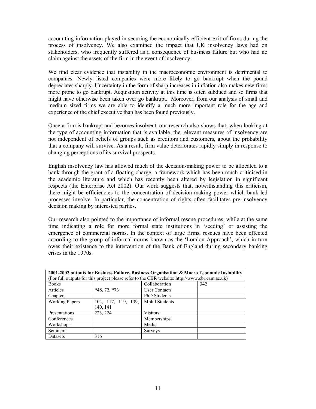accounting information played in securing the economically efficient exit of firms during the process of insolvency. We also examined the impact that UK insolvency laws had on stakeholders, who frequently suffered as a consequence of business failure but who had no claim against the assets of the firm in the event of insolvency.

We find clear evidence that instability in the macroeconomic environment is detrimental to companies. Newly listed companies were more likely to go bankrupt when the pound depreciates sharply. Uncertainty in the form of sharp increases in inflation also makes new firms more prone to go bankrupt. Acquisition activity at this time is often subdued and so firms that might have otherwise been taken over go bankrupt. Moreover, from our analysis of small and medium sized firms we are able to identify a much more important role for the age and experience of the chief executive than has been found previously.

Once a firm is bankrupt and becomes insolvent, our research also shows that, when looking at the type of accounting information that is available, the relevant measures of insolvency are not independent of beliefs of groups such as creditors and customers, about the probability that a company will survive. As a result, firm value deteriorates rapidly simply in response to changing perceptions of its survival prospects.

English insolvency law has allowed much of the decision-making power to be allocated to a bank through the grant of a floating charge, a framework which has been much criticised in the academic literature and which has recently been altered by legislation in significant respects (the Enterprise Act 2002). Our work suggests that, notwithstanding this criticism, there might be efficiencies to the concentration of decision-making power which bank-led processes involve. In particular, the concentration of rights often facilitates pre-insolvency decision making by interested parties.

Our research also pointed to the importance of informal rescue procedures, while at the same time indicating a role for more formal state institutions in 'seeding' or assisting the emergence of commercial norms. In the context of large firms, rescues have been effected according to the group of informal norms known as the 'London Approach', which in turn owes their existence to the intervention of the Bank of England during secondary banking crises in the 1970s.

|                       |                                    | 2001-2002 outputs for Business Failure, Business Organisation & Macro Economic Instability<br>(For full outputs for this project please refer to the CBR website: http://www.cbr.cam.ac.uk) |     |
|-----------------------|------------------------------------|---------------------------------------------------------------------------------------------------------------------------------------------------------------------------------------------|-----|
| <b>Books</b>          |                                    | Collaboration                                                                                                                                                                               | 342 |
| Articles              | $*48, 72, *73$                     | <b>User Contacts</b>                                                                                                                                                                        |     |
| Chapters              |                                    | <b>PhD</b> Students                                                                                                                                                                         |     |
| <b>Working Papers</b> | 104, 117, 119, 139, Mphil Students |                                                                                                                                                                                             |     |
|                       | 140, 141                           |                                                                                                                                                                                             |     |
| Presentations         | 223, 224                           | <b>Visitors</b>                                                                                                                                                                             |     |
| Conferences           |                                    | Memberships                                                                                                                                                                                 |     |
| Workshops             |                                    | Media                                                                                                                                                                                       |     |
| <b>Seminars</b>       |                                    | <b>Surveys</b>                                                                                                                                                                              |     |
| Datasets              | 316                                |                                                                                                                                                                                             |     |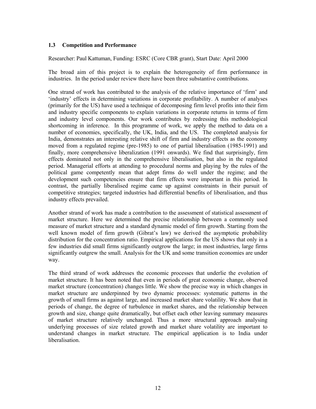#### **1.3 Competition and Performance**

Researcher: Paul Kattuman, Funding: ESRC (Core CBR grant), Start Date: April 2000

The broad aim of this project is to explain the heterogeneity of firm performance in industries. In the period under review there have been three substantive contributions.

One strand of work has contributed to the analysis of the relative importance of 'firm' and 'industry' effects in determining variations in corporate profitability. A number of analyses (primarily for the US) have used a technique of decomposing firm level profits into their firm and industry specific components to explain variations in corporate returns in terms of firm and industry level components. Our work contributes by redressing this methodological shortcoming in inference. In this programme of work, we apply the method to data on a number of economies, specifically, the UK, India, and the US. The completed analysis for India, demonstrates an interesting relative shift of firm and industry effects as the economy moved from a regulated regime (pre-1985) to one of partial liberalisation (1985-1991) and finally, more comprehensive liberalization (1991 onwards). We find that surprisingly, firm effects dominated not only in the comprehensive liberalisation, but also in the regulated period. Managerial efforts at attending to procedural norms and playing by the rules of the political game competently mean that adept firms do well under the regime; and the development such competencies ensure that firm effects were important in this period. In contrast, the partially liberalised regime came up against constraints in their pursuit of competitive strategies; targeted industries had differential benefits of liberalisation, and thus industry effects prevailed.

Another strand of work has made a contribution to the assessment of statistical assessment of market structure. Here we determined the precise relationship between a commonly used measure of market structure and a standard dynamic model of firm growth. Starting from the well known model of firm growth (Gibrat's law) we derived the asymptotic probability distribution for the concentration ratio. Empirical applications for the US shows that only in a few industries did small firms significantly outgrow the large; in most industries, large firms significantly outgrew the small. Analysis for the UK and some transition economies are under way.

The third strand of work addresses the economic processes that underlie the evolution of market structure. It has been noted that even in periods of great economic change, observed market structure (concentration) changes little. We show the precise way in which changes in market structure are underpinned by two dynamic processes: systematic patterns in the growth of small firms as against large, and increased market share volatility. We show that in periods of change, the degree of turbulence in market shares, and the relationship between growth and size, change quite dramatically, but offset each other leaving summary measures of market structure relatively unchanged. Thus a more structural approach analysing underlying processes of size related growth and market share volatility are important to understand changes in market structure. The empirical application is to India under liberalisation.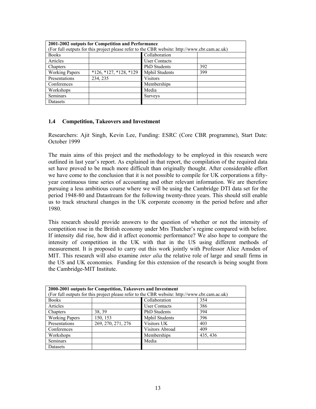| 2001-2002 outputs for Competition and Performance<br>(For full outputs for this project please refer to the CBR website: http://www.cbr.cam.ac.uk) |                          |                       |     |
|----------------------------------------------------------------------------------------------------------------------------------------------------|--------------------------|-----------------------|-----|
|                                                                                                                                                    |                          |                       |     |
| <b>Books</b>                                                                                                                                       |                          | Collaboration         |     |
| Articles                                                                                                                                           |                          | <b>User Contacts</b>  |     |
| Chapters                                                                                                                                           |                          | <b>PhD</b> Students   | 392 |
| <b>Working Papers</b>                                                                                                                              | $*126, *127, *128, *129$ | <b>Mphil Students</b> | 399 |
| Presentations                                                                                                                                      | 234, 235                 | <b>Visitors</b>       |     |
| Conferences                                                                                                                                        |                          | Memberships           |     |
| Workshops                                                                                                                                          |                          | Media                 |     |
| <b>Seminars</b>                                                                                                                                    |                          | <b>Surveys</b>        |     |
| Datasets                                                                                                                                           |                          |                       |     |

### **1.4 Competition, Takeovers and Investment**

Researchers: Ajit Singh, Kevin Lee, Funding: ESRC (Core CBR programme), Start Date: October 1999

The main aims of this project and the methodology to be employed in this research were outlined in last year's report. As explained in that report, the compilation of the required data set have proved to be much more difficult than originally thought. After considerable effort we have come to the conclusion that it is not possible to compile for UK corporations a fiftyyear continuous time series of accounting and other relevant information. We are therefore pursuing a less ambitious course where we will be using the Cambridge DTI data set for the period 1948-80 and Datastream for the following twenty-three years. This should still enable us to track structural changes in the UK corporate economy in the period before and after 1980.

This research should provide answers to the question of whether or not the intensity of competition rose in the British economy under Mrs Thatcher's regime compared with before. If intensity did rise, how did it affect economic performance? We also hope to compare the intensity of competition in the UK with that in the US using different methods of measurement. It is proposed to carry out this work jointly with Professor Alice Amsden of MIT. This research will also examine *inter alia* the relative role of large and small firms in the US and UK economies. Funding for this extension of the research is being sought from the Cambridge-MIT Institute.

| 2000-2001 outputs for Competition, Takeovers and Investment                                   |                      |                       |          |  |
|-----------------------------------------------------------------------------------------------|----------------------|-----------------------|----------|--|
| (For full outputs for this project please refer to the CBR website: http://www.cbr.cam.ac.uk) |                      |                       |          |  |
| <b>Books</b>                                                                                  | Collaboration<br>354 |                       |          |  |
| Articles                                                                                      |                      | <b>User Contacts</b>  | 386      |  |
| Chapters                                                                                      | 38, 39               | <b>PhD</b> Students   | 394      |  |
| <b>Working Papers</b>                                                                         | 150, 153             | <b>Mphil Students</b> | 396      |  |
| Presentations                                                                                 | 269, 270, 271, 276   | Visitors UK           | 403      |  |
| Conferences                                                                                   |                      | Visitors Abroad       | 409      |  |
| Workshops                                                                                     |                      | Memberships           | 435, 436 |  |
| <b>Seminars</b>                                                                               |                      | Media                 |          |  |
| Datasets                                                                                      |                      |                       |          |  |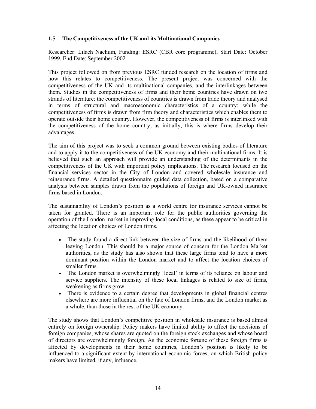## **1.5 The Competitiveness of the UK and its Multinational Companies**

Researcher: Lilach Nachum, Funding: ESRC (CBR core programme), Start Date: October 1999, End Date: September 2002

This project followed on from previous ESRC funded research on the location of firms and how this relates to competitiveness. The present project was concerned with the competitiveness of the UK and its multinational companies, and the interlinkages between them. Studies in the competitiveness of firms and their home countries have drawn on two strands of literature: the competitiveness of countries is drawn from trade theory and analysed in terms of structural and macroeconomic characteristics of a country; while the competitiveness of firms is drawn from firm theory and characteristics which enables them to operate outside their home country. However, the competitiveness of firms is interlinked with the competitiveness of the home country, as initially, this is where firms develop their advantages.

The aim of this project was to seek a common ground between existing bodies of literature and to apply it to the competitiveness of the UK economy and their multinational firms. It is believed that such an approach will provide an understanding of the determinants in the competitiveness of the UK with important policy implications. The research focused on the financial services sector in the City of London and covered wholesale insurance and reinsurance firms. A detailed questionnaire guided data collection, based on a comparative analysis between samples drawn from the populations of foreign and UK-owned insurance firms based in London.

The sustainability of London's position as a world centre for insurance services cannot be taken for granted. There is an important role for the public authorities governing the operation of the London market in improving local conditions, as these appear to be critical in affecting the location choices of London firms.

- The study found a direct link between the size of firms and the likelihood of them leaving London. This should be a major source of concern for the London Market authorities, as the study has also shown that these large firms tend to have a more dominant position within the London market and to affect the location choices of smaller firms.
- The London market is overwhelmingly 'local' in terms of its reliance on labour and service suppliers. The intensity of these local linkages is related to size of firms, weakening as firms grow.
- There is evidence to a certain degree that developments in global financial centres elsewhere are more influential on the fate of London firms, and the London market as a whole, than those in the rest of the UK economy.

The study shows that London's competitive position in wholesale insurance is based almost entirely on foreign ownership. Policy makers have limited ability to affect the decisions of foreign companies, whose shares are quoted on the foreign stock exchanges and whose board of directors are overwhelmingly foreign. As the economic fortune of these foreign firms is affected by developments in their home countries, London's position is likely to be influenced to a significant extent by international economic forces, on which British policy makers have limited, if any, influence.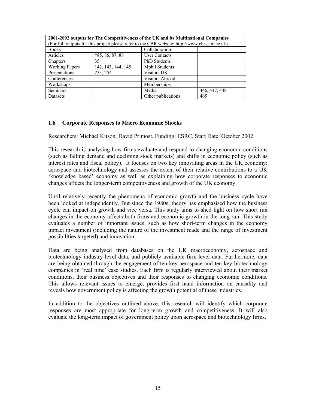| 2001-2002 outputs for The Competitiveness of the UK and its Multinational Companies<br>(For full outputs for this project please refer to the CBR website: http://www.cbr.cam.ac.uk) |                    |                       |               |  |  |
|--------------------------------------------------------------------------------------------------------------------------------------------------------------------------------------|--------------------|-----------------------|---------------|--|--|
| <b>Books</b>                                                                                                                                                                         | Collaboration      |                       |               |  |  |
| Articles                                                                                                                                                                             | $*85, 86, 87, 88$  | <b>User Contacts</b>  |               |  |  |
| Chapters                                                                                                                                                                             | 35                 | <b>PhD</b> Students   |               |  |  |
| <b>Working Papers</b>                                                                                                                                                                | 142, 143, 144, 145 | <b>Mphil Students</b> |               |  |  |
| Presentations                                                                                                                                                                        | 253, 254           | Visitors UK           |               |  |  |
| Conferences                                                                                                                                                                          |                    | Visitors Abroad       |               |  |  |
| Workshops                                                                                                                                                                            |                    | Memberships           |               |  |  |
| Seminars                                                                                                                                                                             |                    | Media                 | 446, 447, 448 |  |  |
| Datasets                                                                                                                                                                             |                    | Other publications    | 465           |  |  |

#### **1.6 Corporate Responses to Macro Economic Shocks**

Researchers: Michael Kitson, David Primost. Funding: ESRC. Start Date: October 2002

This research is analysing how firms evaluate and respond to changing economic conditions (such as falling demand and declining stock markets) and shifts in economic policy (such as interest rates and fiscal policy). It focuses on two key innovating areas in the UK economy: aerospace and biotechnology and assesses the extent of their relative contributions to a UK 'knowledge based' economy as well as explaining how corporate responses to economic changes affects the longer-term competitiveness and growth of the UK economy.

Until relatively recently the phenomena of economic growth and the business cycle have been looked at independently. But since the 1980s, theory has emphasised how the business cycle can impact on growth and vice versa. This study aims to shed light on how short run changes in the economy affects both firms and economic growth in the long run. This study evaluates a number of important issues: such as how short-term changes in the economy impact investment (including the nature of the investment made and the range of investment possibilities targeted) and innovation.

Data are being analysed from databases on the UK macroeconomy, aerospace and biotechnology industry-level data, and publicly available firm-level data. Furthermore, data are being obtained through the engagement of ten key aerospace and ten key biotechnology companies in 'real time' case studies. Each firm is regularly interviewed about their market conditions, their business objectives and their responses to changing economic conditions. This allows relevant issues to emerge, provides first hand information on causality and reveals how government policy is affecting the growth potential of these industries.

In addition to the objectives outlined above, this research will identify which corporate responses are most appropriate for long-term growth and competitiveness. It will also evaluate the long-term impact of government policy upon aerospace and biotechnology firms.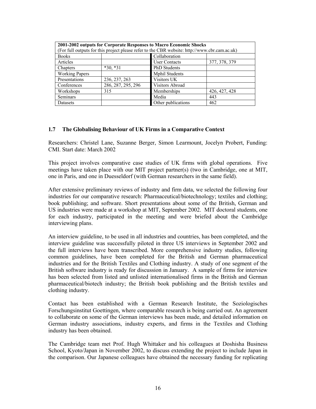|                       |                    | 2001-2002 outputs for Corporate Responses to Macro Economic Shocks<br>(For full outputs for this project please refer to the CBR website: http://www.cbr.cam.ac.uk) |               |
|-----------------------|--------------------|---------------------------------------------------------------------------------------------------------------------------------------------------------------------|---------------|
| <b>Books</b>          | Collaboration      |                                                                                                                                                                     |               |
| Articles              |                    | <b>User Contacts</b>                                                                                                                                                | 377, 378, 379 |
| Chapters              | $*30, *31$         | <b>PhD</b> Students                                                                                                                                                 |               |
| <b>Working Papers</b> |                    | <b>Mphil Students</b>                                                                                                                                               |               |
| Presentations         | 236, 237, 263      | Visitors UK                                                                                                                                                         |               |
| Conferences           | 286, 287, 295, 296 | Visitors Abroad                                                                                                                                                     |               |
| Workshops             | 315                | Memberships                                                                                                                                                         | 426, 427, 428 |
| <b>Seminars</b>       |                    | Media                                                                                                                                                               | 443           |
| Datasets              |                    | Other publications                                                                                                                                                  | 462           |

#### **1.7 The Globalising Behaviour of UK Firms in a Comparative Context**

Researchers: Christel Lane, Suzanne Berger, Simon Learmount, Jocelyn Probert, Funding: CMI. Start date: March 2002

This project involves comparative case studies of UK firms with global operations. Five meetings have taken place with our MIT project partner(s) (two in Cambridge, one at MIT, one in Paris, and one in Duesseldorf (with German researchers in the same field).

After extensive preliminary reviews of industry and firm data, we selected the following four industries for our comparative research: Pharmaceutical/biotechnology; textiles and clothing; book publishing; and software. Short presentations about some of the British, German and US industries were made at a workshop at MIT, September 2002. MIT doctoral students, one for each industry, participated in the meeting and were briefed about the Cambridge interviewing plans.

An interview guideline, to be used in all industries and countries, has been completed, and the interview guideline was successfully piloted in three US interviews in September 2002 and the full interviews have been transcribed. More comprehensive industry studies, following common guidelines, have been completed for the British and German pharmaceutical industries and for the British Textiles and Clothing industry. A study of one segment of the British software industry is ready for discussion in January. A sample of firms for interview has been selected from listed and unlisted internationalised firms in the British and German pharmaceutical/biotech industry; the British book publishing and the British textiles and clothing industry.

Contact has been established with a German Research Institute, the Soziologisches Forschungsinstitut Goettingen, where comparable research is being carried out. An agreement to collaborate on some of the German interviews has been made, and detailed information on German industry associations, industry experts, and firms in the Textiles and Clothing industry has been obtained.

The Cambridge team met Prof. Hugh Whittaker and his colleagues at Doshisha Business School, Kyoto/Japan in November 2002, to discuss extending the project to include Japan in the comparison. Our Japanese colleagues have obtained the necessary funding for replicating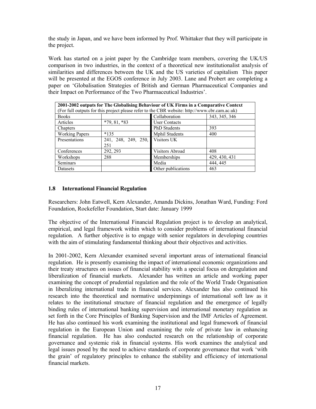the study in Japan, and we have been informed by Prof. Whittaker that they will participate in the project.

Work has started on a joint paper by the Cambridge team members, covering the UK/US comparison in two industries, in the context of a theoretical new institutionalist analysis of similarities and differences between the UK and the US varieties of capitalism This paper will be presented at the EGOS conference in July 2003. Lane and Probert are completing a paper on 'Globalisation Strategies of British and German Pharmaceutical Companies and their Impact on Performance of the Two Pharmaceutical Industries'.

| 2001-2002 outputs for The Globalising Behaviour of UK Firms in a Comparative Context |                                 |                                                                                               |               |
|--------------------------------------------------------------------------------------|---------------------------------|-----------------------------------------------------------------------------------------------|---------------|
|                                                                                      |                                 | (For full outputs for this project please refer to the CBR website: http://www.cbr.cam.ac.uk) |               |
| <b>Books</b>                                                                         |                                 | Collaboration                                                                                 | 343, 345, 346 |
| Articles                                                                             | $*79, 81, *83$                  | <b>User Contacts</b>                                                                          |               |
| Chapters                                                                             |                                 | <b>PhD</b> Students                                                                           | 393           |
| <b>Working Papers</b>                                                                | $*135$                          | <b>Mphil Students</b>                                                                         | 400           |
| Presentations                                                                        | 241, 248, 249, 250, Visitors UK |                                                                                               |               |
|                                                                                      | 251                             |                                                                                               |               |
| Conferences                                                                          | 292, 293                        | Visitors Abroad                                                                               | 408           |
| Workshops                                                                            | 288                             | Memberships                                                                                   | 429, 430, 431 |
| <b>Seminars</b>                                                                      |                                 | Media                                                                                         | 444, 445      |
| Datasets                                                                             |                                 | Other publications                                                                            | 463           |

## **1.8 International Financial Regulation**

Researchers: John Eatwell, Kern Alexander, Amanda Dickins, Jonathan Ward, Funding: Ford Foundation, Rockefeller Foundation, Start date: January 1999

The objective of the International Financial Regulation project is to develop an analytical, empirical, and legal framework within which to consider problems of international financial regulation. A further objective is to engage with senior regulators in developing countries with the aim of stimulating fundamental thinking about their objectives and activities.

In 2001-2002, Kern Alexander examined several important areas of international financial regulation. He is presently examining the impact of international economic organizations and their treaty structures on issues of financial stability with a special focus on deregulation and liberalization of financial markets. Alexander has written an article and working paper examining the concept of prudential regulation and the role of the World Trade Organisation in liberalizing international trade in financial services. Alexander has also continued his research into the theoretical and normative underpinnings of international soft law as it relates to the institutional structure of financial regulation and the emergence of legally binding rules of international banking supervision and international monetary regulation as set forth in the Core Principles of Banking Supervision and the IMF Articles of Agreement. He has also continued his work examining the institutional and legal framework of financial regulation in the European Union and examining the role of private law in enhancing financial regulation. He has also conducted research on the relationship of corporate governance and systemic risk in financial systems. His work examines the analytical and legal issues posed by the need to achieve standards of corporate governance that work 'with the grain' of regulatory principles to enhance the stability and efficiency of international financial markets.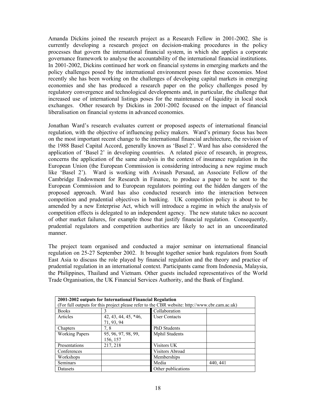Amanda Dickins joined the research project as a Research Fellow in 2001-2002. She is currently developing a research project on decision-making procedures in the policy processes that govern the international financial system, in which she applies a corporate governance framework to analyse the accountability of the international financial institutions. In 2001-2002, Dickins continued her work on financial systems in emerging markets and the policy challenges posed by the international environment poses for these economies. Most recently she has been working on the challenges of developing capital markets in emerging economies and she has produced a research paper on the policy challenges posed by regulatory convergence and technological developments and, in particular, the challenge that increased use of international listings poses for the maintenance of liquidity in local stock exchanges. Other research by Dickins in 2001-2002 focused on the impact of financial liberalisation on financial systems in advanced economies.

Jonathan Ward's research evaluates current or proposed aspects of international financial regulation, with the objective of influencing policy makers. Ward's primary focus has been on the most important recent change to the international financial architecture, the revision of the 1988 Basel Capital Accord, generally known as 'Basel 2'. Ward has also considered the application of 'Basel 2' in developing countries. A related piece of research, in progress, concerns the application of the same analysis in the context of insurance regulation in the European Union (the European Commission is considering introducing a new regime much like 'Basel 2'). Ward is working with Avinash Persaud, an Associate Fellow of the Cambridge Endowment for Research in Finance, to produce a paper to be sent to the European Commission and to European regulators pointing out the hidden dangers of the proposed approach. Ward has also conducted research into the interaction between competition and prudential objectives in banking. UK competition policy is about to be amended by a new Enterprise Act, which will introduce a regime in which the analysis of competition effects is delegated to an independent agency. The new statute takes no account of other market failures, for example those that justify financial regulation. Consequently, prudential regulators and competition authorities are likely to act in an uncoordinated manner.

The project team organised and conducted a major seminar on international financial regulation on 25-27 September 2002. It brought together senior bank regulators from South East Asia to discuss the role played by financial regulation and the theory and practice of prudential regulation in an international context. Participants came from Indonesia, Malaysia, the Philippines, Thailand and Vietnam. Other guests included representatives of the World Trade Organisation, the UK Financial Services Authority, and the Bank of England.

|                       | 2001-2002 outputs for International Financial Regulation |                                                                                               |          |
|-----------------------|----------------------------------------------------------|-----------------------------------------------------------------------------------------------|----------|
|                       |                                                          | (For full outputs for this project please refer to the CBR website: http://www.cbr.cam.ac.uk) |          |
| <b>Books</b>          |                                                          | Collaboration                                                                                 |          |
| Articles              | $42, 43, 44, 45, *46,$                                   | <b>User Contacts</b>                                                                          |          |
|                       | 71, 93, 94                                               |                                                                                               |          |
| Chapters              | 7, 8                                                     | <b>PhD</b> Students                                                                           |          |
| <b>Working Papers</b> | 95, 96, 97, 98, 99,                                      | <b>Mphil Students</b>                                                                         |          |
|                       | 156, 157                                                 |                                                                                               |          |
| Presentations         | 217, 218                                                 | Visitors UK                                                                                   |          |
| Conferences           |                                                          | Visitors Abroad                                                                               |          |
| Workshops             |                                                          | Memberships                                                                                   |          |
| Seminars              |                                                          | Media                                                                                         | 440, 441 |
| Datasets              |                                                          | Other publications                                                                            |          |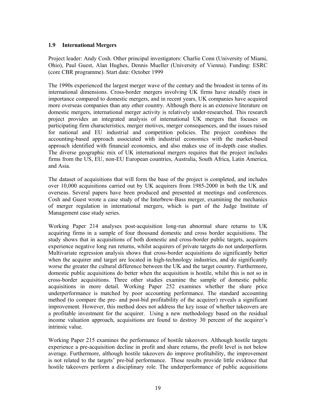## **1.9 International Mergers**

Project leader: Andy Cosh. Other principal investigators: Charlie Conn (University of Miami, Ohio), Paul Guest, Alan Hughes, Dennis Mueller (University of Vienna). Funding: ESRC (core CBR programme). Start date: October 1999

The 1990s experienced the largest merger wave of the century and the broadest in terms of its international dimensions. Cross-border mergers involving UK firms have steadily risen in importance compared to domestic mergers, and in recent years, UK companies have acquired more overseas companies than any other country. Although there is an extensive literature on domestic mergers, international merger activity is relatively under-researched. This research project provides an integrated analysis of international UK mergers that focuses on participating firm characteristics, merger motives, merger consequences, and the issues raised for national and EU industrial and competition policies. The project combines the accounting-based approach associated with industrial economics with the market-based approach identified with financial economics, and also makes use of in-depth case studies. The diverse geographic mix of UK international mergers requires that the project includes firms from the US, EU, non-EU European countries, Australia, South Africa, Latin America, and Asia.

The dataset of acquisitions that will form the base of the project is completed, and includes over 10,000 acquisitions carried out by UK acquirers from 1985-2000 in both the UK and overseas. Several papers have been produced and presented at meetings and conferences. Cosh and Guest wrote a case study of the Interbrew-Bass merger, examining the mechanics of merger regulation in international mergers, which is part of the Judge Institute of Management case study series.

Working Paper 214 analyses post-acquisition long-run abnormal share returns to UK acquiring firms in a sample of four thousand domestic and cross border acquisitions. The study shows that in acquisitions of both domestic and cross-border public targets, acquirers experience negative long run returns, whilst acquirers of private targets do not underperform. Multivariate regression analysis shows that cross-border acquisitions do significantly better when the acquirer and target are located in high-technology industries, and do significantly worse the greater the cultural difference between the UK and the target country. Furthermore, domestic public acquisitions do better when the acquisition is hostile, whilst this is not so in cross-border acquisitions. Three other studies examine the sample of domestic public acquisitions in more detail. Working Paper 252 examines whether the share price underperformance is matched by poor accounting performance. The standard accounting method (to compare the pre- and post-bid profitability of the acquirer) reveals a significant improvement. However, this method does not address the key issue of whether takeovers are a profitable investment for the acquirer. Using a new methodology based on the residual income valuation approach, acquisitions are found to destroy 30 percent of the acquirer's intrinsic value.

Working Paper 215 examines the performance of hostile takeovers. Although hostile targets experience a pre-acquisition decline in profit and share returns, the profit level is not below average. Furthermore, although hostile takeovers do improve profitability, the improvement is not related to the targets' pre-bid performance. These results provide little evidence that hostile takeovers perform a disciplinary role. The underperformance of public acquisitions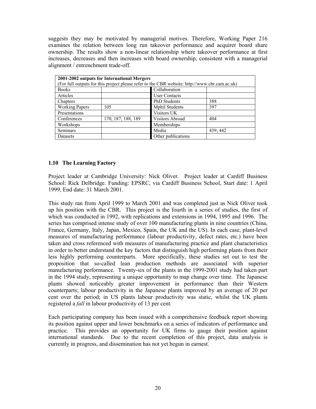suggests they may be motivated by managerial motives. Therefore, Working Paper 216 examines the relation between long run takeover performance and acquirer board share ownership. The results show a non-linear relationship where takeover performance at first increases, decreases and then increases with board ownership, consistent with a managerial alignment / entrenchment trade-off.

|                       | 2001-2002 outputs for International Mergers | (For full outputs for this project please refer to the CBR website: http://www.cbr.cam.ac.uk) |          |
|-----------------------|---------------------------------------------|-----------------------------------------------------------------------------------------------|----------|
| <b>Books</b>          |                                             | Collaboration                                                                                 |          |
| Articles              |                                             | <b>User Contacts</b>                                                                          |          |
| Chapters              |                                             | PhD Students                                                                                  | 388      |
| <b>Working Papers</b> | 105                                         | <b>Mphil Students</b>                                                                         | 397      |
| Presentations         |                                             | Visitors UK                                                                                   |          |
| Conferences           | 170, 187, 188, 189                          | Visitors Abroad                                                                               | 404      |
| Workshops             |                                             | Memberships                                                                                   |          |
| <b>Seminars</b>       |                                             | Media                                                                                         | 439, 442 |
| Datasets              |                                             | Other publications                                                                            |          |

### **1.10 The Learning Factory**

Project leader at Cambridge University: Nick Oliver. Project leader at Cardiff Business School: Rick Delbridge. Funding: EPSRC, via Cardiff Business School, Start date: 1 April 1999, End date: 31 March 2001.

This study ran from April 1999 to March 2001 and was completed just as Nick Oliver took up his position with the CBR. This project is the fourth in a series of studies, the first of which was conducted in 1992, with replications and extensions in 1994, 1995 and 1996. The series has comprised intense study of over 100 manufacturing plants in nine countries (China, France, Germany, Italy, Japan, Mexico, Spain, the UK and the US). In each case, plant-level measures of manufacturing performance (labour productivity, defect rates, etc.) have been taken and cross referenced with measures of manufacturing practice and plant characteristics in order to better understand the key factors that distinguish high performing plants from their less highly performing counterparts. More specifically, these studies set out to test the proposition that so-called lean production methods are associated with superior manufacturing performance. Twenty-six of the plants in the 1999-2001 study had taken part in the 1994 study, representing a unique opportunity to map change over time. The Japanese plants showed noticeably greater improvement in performance than their Western counterparts; labour productivity in the Japanese plants improved by an average of 20 per cent over the period; in US plants labour productivity was static, whilst the UK plants registered a *fall* in labour productivity of 13 per cent.

Each participating company has been issued with a comprehensive feedback report showing its position against upper and lower benchmarks on a series of indicators of performance and practice. This provides an opportunity for UK firms to gauge their position against international standards. Due to the recent completion of this project, data analysis is currently in progress, and dissemination has not yet begun in earnest.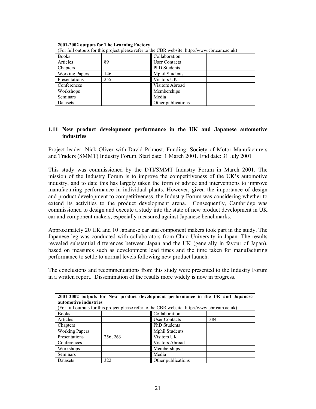| <b>Books</b>          |     | (For full outputs for this project please refer to the CBR website: http://www.cbr.cam.ac.uk)<br>Collaboration |  |
|-----------------------|-----|----------------------------------------------------------------------------------------------------------------|--|
|                       |     |                                                                                                                |  |
| Articles              | 89  | <b>User Contacts</b>                                                                                           |  |
| Chapters              |     | <b>PhD</b> Students                                                                                            |  |
| <b>Working Papers</b> | 146 | <b>Mphil Students</b>                                                                                          |  |
| Presentations         | 255 | Visitors UK                                                                                                    |  |
| Conferences           |     | Visitors Abroad                                                                                                |  |
| Workshops             |     | Memberships                                                                                                    |  |
| <b>Seminars</b>       |     | Media                                                                                                          |  |
| Datasets              |     | Other publications                                                                                             |  |

### **1.11 New product development performance in the UK and Japanese automotive industries**

Project leader: Nick Oliver with David Primost. Funding: Society of Motor Manufacturers and Traders (SMMT) Industry Forum. Start date: 1 March 2001. End date: 31 July 2001

This study was commissioned by the DTI/SMMT Industry Forum in March 2001. The mission of the Industry Forum is to improve the competitiveness of the UK's automotive industry, and to date this has largely taken the form of advice and interventions to improve manufacturing performance in individual plants. However, given the importance of design and product development to competitiveness, the Industry Forum was considering whether to extend its activities to the product development arena. Consequently, Cambridge was commissioned to design and execute a study into the state of new product development in UK car and component makers, especially measured against Japanese benchmarks.

Approximately 20 UK and 10 Japanese car and component makers took part in the study. The Japanese leg was conducted with collaborators from Chuo University in Japan. The results revealed substantial differences between Japan and the UK (generally in favour of Japan), based on measures such as development lead times and the time taken for manufacturing performance to settle to normal levels following new product launch.

The conclusions and recommendations from this study were presented to the Industry Forum in a written report. Dissemination of the results more widely is now in progress.

| 2001-2002 outputs for New product development performance in the UK and Japanese |                       |                                                                                               |     |  |
|----------------------------------------------------------------------------------|-----------------------|-----------------------------------------------------------------------------------------------|-----|--|
|                                                                                  | automotive industries |                                                                                               |     |  |
|                                                                                  |                       | (For full outputs for this project please refer to the CBR website: http://www.cbr.cam.ac.uk) |     |  |
| <b>Books</b>                                                                     |                       | Collaboration                                                                                 |     |  |
| Articles                                                                         |                       | <b>User Contacts</b>                                                                          | 384 |  |
| Chapters                                                                         |                       | <b>PhD</b> Students                                                                           |     |  |
| <b>Working Papers</b>                                                            |                       | <b>Mphil Students</b>                                                                         |     |  |
| Presentations                                                                    | 256, 263              | Visitors UK                                                                                   |     |  |
| Conferences                                                                      |                       | Visitors Abroad                                                                               |     |  |
| Workshops                                                                        |                       | Memberships                                                                                   |     |  |
| <b>Seminars</b>                                                                  |                       | Media                                                                                         |     |  |
| Datasets                                                                         | 322                   | Other publications                                                                            |     |  |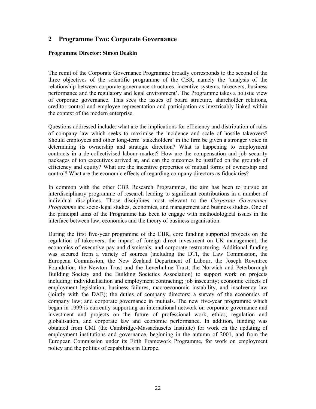## **2 Programme Two: Corporate Governance**

#### **Programme Director: Simon Deakin**

The remit of the Corporate Governance Programme broadly corresponds to the second of the three objectives of the scientific programme of the CBR, namely the 'analysis of the relationship between corporate governance structures, incentive systems, takeovers, business performance and the regulatory and legal environment'. The Programme takes a holistic view of corporate governance. This sees the issues of board structure, shareholder relations, creditor control and employee representation and participation as inextricably linked within the context of the modern enterprise.

Questions addressed include: what are the implications for efficiency and distribution of rules of company law which seeks to maximise the incidence and scale of hostile takeovers? Should employees and other long-term 'stakeholders' in the firm be given a stronger voice in determining its ownership and strategic direction? What is happening to employment contracts in a de-collectivised labour market? How are the compensation and job security packages of top executives arrived at, and can the outcomes be justified on the grounds of efficiency and equity? What are the incentive properties of mutual forms of ownership and control? What are the economic effects of regarding company directors as fiduciaries?

In common with the other CBR Research Programmes, the aim has been to pursue an interdisciplinary programme of research leading to significant contributions in a number of individual disciplines. Those disciplines most relevant to the *Corporate Governance Programme* are socio-legal studies, economics, and management and business studies. One of the principal aims of the Programme has been to engage with methodological issues in the interface between law, economics and the theory of business organisation.

During the first five-year programme of the CBR, core funding supported projects on the regulation of takeovers; the impact of foreign direct investment on UK management; the economics of executive pay and dismissals; and corporate restructuring. Additional funding was secured from a variety of sources (including the DTI, the Law Commission, the European Commission, the New Zealand Department of Labour, the Joseph Rowntree Foundation, the Newton Trust and the Leverhulme Trust, the Norwich and Peterborough Building Society and the Building Societies Association) to support work on projects including: individualisation and employment contracting; job insecurity; economic effects of employment legislation; business failures, macroeconomic instability, and insolvency law (jointly with the DAE); the duties of company directors; a survey of the economics of company law; and corporate governance in mutuals. The new five-year programme which began in 1999 is currently supporting an international network on corporate governance and investment and projects on the future of professional work, ethics, regulation and globalisation, and corporate law and economic performance. In addition, funding was obtained from CMI (the Cambridge-Massachusetts Institute) for work on the updating of employment institutions and governance, beginning in the autumn of 2001, and from the European Commission under its Fifth Framework Programme, for work on employment policy and the politics of capabilities in Europe.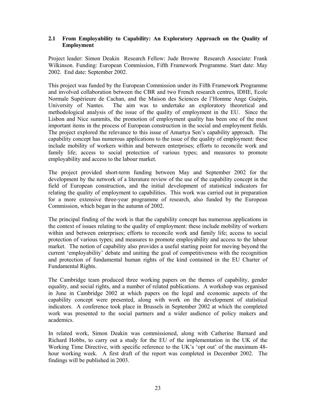## **2.1 From Employability to Capability: An Exploratory Approach on the Quality of Employment**

Project leader: Simon Deakin Research Fellow: Jude Browne Research Associate: Frank Wilkinson. Funding: European Commission, Fifth Framework Programme. Start date: May 2002. End date: September 2002.

This project was funded by the European Commission under its Fifth Framework Programme and involved collaboration between the CBR and two French research centres, IDHE, Ecole Normale Supérieure de Cachan, and the Maison des Sciences de l'Homme Ange Guépin, University of Nantes. The aim was to undertake an exploratory theoretical and methodological analysis of the issue of the quality of employment in the EU. Since the Lisbon and Nice summits, the promotion of employment quality has been one of the most important items in the process of European construction in the social and employment fields. The project explored the relevance to this issue of Amartya Sen's capability approach. The capability concept has numerous applications to the issue of the quality of employment: these include mobility of workers within and between enterprises; efforts to reconcile work and family life; access to social protection of various types; and measures to promote employability and access to the labour market.

The project provided short-term funding between May and September 2002 for the development by the network of a literature review of the use of the capability concept in the field of European construction, and the initial development of statistical indicators for relating the quality of employment to capabilities. This work was carried out in preparation for a more extensive three-year programme of research, also funded by the European Commission, which began in the autumn of 2002.

The principal finding of the work is that the capability concept has numerous applications in the context of issues relating to the quality of employment: these include mobility of workers within and between enterprises; efforts to reconcile work and family life; access to social protection of various types; and measures to promote employability and access to the labour market. The notion of capability also provides a useful starting point for moving beyond the current 'employability' debate and uniting the goal of competitiveness with the recognition and protection of fundamental human rights of the kind contained in the EU Charter of Fundamental Rights.

The Cambridge team produced three working papers on the themes of capability, gender equality, and social rights, and a number of related publications. A workshop was organised in June in Cambridge 2002 at which papers on the legal and economic aspects of the capability concept were presented, along with work on the development of statistical indicators. A conference took place in Brussels in September 2002 at which the completed work was presented to the social partners and a wider audience of policy makers and academics.

In related work, Simon Deakin was commissioned, along with Catherine Barnard and Richard Hobbs, to carry out a study for the EU of the implementation in the UK of the Working Time Directive, with specific reference to the UK's 'opt out' of the maximum 48 hour working week. A first draft of the report was completed in December 2002. The findings will be published in 2003.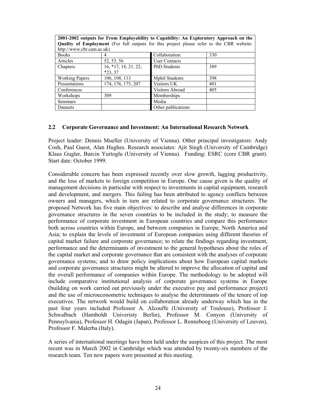| 2001-2002 outputs for From Employability to Capability: An Exploratory Approach on the    |                        |                       |     |
|-------------------------------------------------------------------------------------------|------------------------|-----------------------|-----|
| Quality of Employment (For full outputs for this project please refer to the CBR website: |                        |                       |     |
| http://www.cbr.cam.ac.uk)                                                                 |                        |                       |     |
| <b>Books</b>                                                                              | 4                      | Collaboration         | 330 |
| Articles                                                                                  | 52, 53, 56             | <b>User Contacts</b>  |     |
| Chapters                                                                                  | $16, *17, 18, 21, 22,$ | <b>PhD</b> Students   | 389 |
|                                                                                           | $*23, 37$              |                       |     |
| <b>Working Papers</b>                                                                     | 106, 108, 113          | <b>Mphil Students</b> | 398 |
| Presentations                                                                             | 174, 176, 175, 207     | Visitors UK           | 401 |
| Conferences                                                                               |                        | Visitors Abroad       | 405 |
| Workshops                                                                                 | 309                    | Memberships           |     |
| <b>Seminars</b>                                                                           |                        | Media                 |     |
| Datasets                                                                                  |                        | Other publications    |     |

#### **2.2 Corporate Governance and Investment: An International Research Network**

Project leader: Dennis Mueller (University of Vienna). Other principal investigators: Andy Cosh, Paul Guest, Alan Hughes. Research associates: Ajit Singh (University of Cambridge) Klaus Gugler, Burcin Yurtoglu (University of Vienna). Funding: ESRC (core CBR grant). Start date: October 1999.

Considerable concern has been expressed recently over slow growth, lagging productivity, and the loss of markets to foreign competition in Europe. One cause given is the quality of management decisions in particular with respect to investments in capital equipment, research and development, and mergers. This failing has been attributed to agency conflicts between owners and managers, which in turn are related to corporate governance structures. The proposed Network has five main objectives: to describe and analyse differences in corporate governance structures in the seven countries to be included in the study; to measure the performance of corporate investment in European countries and compare this performance both across countries within Europe, and between companies in Europe, North America and Asia; to explain the levels of investment of European companies using different theories of capital market failure and corporate governance; to relate the findings regarding investment, performance and the determinants of investment to the general hypotheses about the roles of the capital market and corporate governance that are consistent with the analyses of corporate governance systems; and to draw policy implications about how European capital markets and corporate governance structures might be altered to improve the allocation of capital and the overall performance of companies within Europe. The methodology to be adopted will include comparative institutional analysis of corporate governance systems in Europe (building on work carried out previously under the executive pay and performance project) and the use of microeconometric techniques to analyse the determinants of the tenure of top executives. The network would build on collaboration already underway which has in the past four years included Professor A. Alcouffe (University of Toulouse), Professor J. Schwalbach (Hamboldt Univeristy Berlin), Professor M. Conyon (University of Pennsylvania), Professor H. Odagin (Japan), Professor L. Renneboog (University of Leuven), Professor F. Malerba (Italy).

A series of international meetings have been held under the auspices of this project. The most recent was in March 2002 in Cambridge which was attended by twenty-six members of the research team. Ten new papers were presented at this meeting.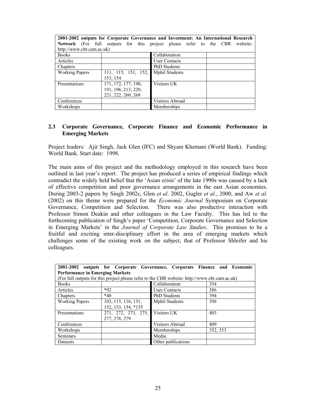| 2001-2002 outputs for Corporate Governance and Investment: An International Research |                     |                                                                           |          |
|--------------------------------------------------------------------------------------|---------------------|---------------------------------------------------------------------------|----------|
|                                                                                      |                     | <b>Network</b> (For full outputs for this project please refer to the CBR | website: |
| http://www.cbr.cam.ac.uk)                                                            |                     |                                                                           |          |
| <b>Books</b>                                                                         |                     | Collaboration                                                             |          |
| Articles                                                                             |                     | <b>User Contacts</b>                                                      |          |
| Chapters                                                                             |                     | <b>PhD</b> Students                                                       |          |
| <b>Working Papers</b>                                                                | 111, 115, 151, 152, | <b>Mphil Students</b>                                                     |          |
|                                                                                      | 153, 154            |                                                                           |          |
| Presentations                                                                        | 171, 172, 177, 190, | Visitors UK                                                               |          |
|                                                                                      | 191, 196, 213, 220, |                                                                           |          |
|                                                                                      | 221, 222, 260, 268  |                                                                           |          |
| Conferences                                                                          |                     | Visitors Abroad                                                           |          |
| Workshops                                                                            |                     | Memberships                                                               |          |

### **2.3 Corporate Governance, Corporate Finance and Economic Performance in Emerging Markets**

Project leaders: Ajit Singh, Jack Glen (IFC) and Shyam Khemani (World Bank). Funding: World Bank. Start date: 1998.

The main aims of this project and the methodology employed in this research have been outlined in last year's report. The project has produced a series of empirical findings which contradict the widely held belief that the 'Asian crisis' of the late 1990s was caused by a lack of effective competition and poor governance arrangements in the east Asian economies. During 2003-2 papers by Singh 2002c, Glen *et al*. 2002, Gugler *et al*., 2000, and Aw *et al.* (2002) on this theme were prepared for the *Economic Journal* Symposium on Corporate Governance, Competition and Selection. There was also productive interaction with Professor Simon Deakin and other colleagues in the Law Faculty. This has led to the forthcoming publication of Singh's paper 'Competition, Corporate Governance and Selection in Emerging Markets' in the *Journal of Corporate Law Studies*. This promises to be a fruitful and exciting inter-disciplinary effort in the area of emerging markets which challenges some of the existing work on the subject, that of Professor Shleifer and his colleagues.

|                       |                                        | 2001-2002 outputs for Corporate Governance, Corporate Finance and Economic                    |          |  |  |
|-----------------------|----------------------------------------|-----------------------------------------------------------------------------------------------|----------|--|--|
|                       | <b>Performance in Emerging Markets</b> |                                                                                               |          |  |  |
|                       |                                        | (For full outputs for this project please refer to the CBR website: http://www.cbr.cam.ac.uk) |          |  |  |
| <b>Books</b>          |                                        | Collaboration                                                                                 | 354      |  |  |
| Articles              | $*92$                                  | <b>User Contacts</b>                                                                          | 386      |  |  |
| Chapters              | $*40$                                  | <b>PhD</b> Students                                                                           | 394      |  |  |
| <b>Working Papers</b> | 103, 115, 116, 151,                    | <b>Mphil Students</b>                                                                         | 396      |  |  |
|                       | 152, 153, 154, *155                    |                                                                                               |          |  |  |
| Presentations         | 271, 272, 273, 275, Visitors UK        |                                                                                               | 403      |  |  |
|                       | 277, 278, 279                          |                                                                                               |          |  |  |
| Conferences           |                                        | <b>Visitors Abroad</b>                                                                        | 409      |  |  |
| Workshops             |                                        | Memberships                                                                                   | 352, 353 |  |  |
| <b>Seminars</b>       |                                        | Media                                                                                         |          |  |  |
| Datasets              |                                        | Other publications                                                                            |          |  |  |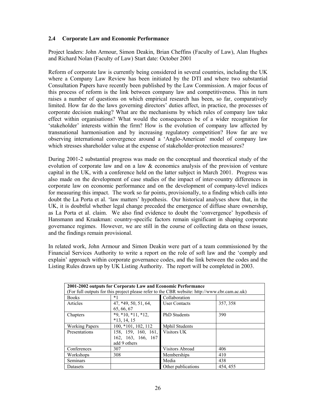### **2.4 Corporate Law and Economic Performance**

Project leaders: John Armour, Simon Deakin, Brian Cheffins (Faculty of Law), Alan Hughes and Richard Nolan (Faculty of Law) Start date: October 2001

Reform of corporate law is currently being considered in several countries, including the UK where a Company Law Review has been initiated by the DTI and where two substantial Consultation Papers have recently been published by the Law Commission. A major focus of this process of reform is the link between company law and competitiveness. This in turn raises a number of questions on which empirical research has been, so far, comparatively limited. How far do the laws governing directors' duties affect, in practice, the processes of corporate decision making? What are the mechanisms by which rules of company law take effect within organisations? What would the consequences be of a wider recognition for 'stakeholder' interests within the firm? How is the evolution of company law affected by transnational harmonisation and by increasing regulatory competition? How far are we observing international convergence around a 'Anglo-American' model of company law which stresses shareholder value at the expense of stakeholder-protection measures?

During 2001-2 substantial progress was made on the conceptual and theoretical study of the evolution of corporate law and on a law  $\&$  economics analysis of the provision of venture capital in the UK, with a conference held on the latter subject in March 2001. Progress was also made on the development of case studies of the impact of inter-country differences in corporate law on economic performance and on the development of company-level indices for measuring this impact. The work so far points, provisionally, to a finding which calls into doubt the La Porta et al. 'law matters' hypothesis. Our historical analyses show that, in the UK, it is doubtful whether legal change preceded the emergence of diffuse share ownership, as La Porta et al. claim. We also find evidence to doubt the 'convergence' hypothesis of Hansmann and Kraakman: country-specific factors remain significant in shaping corporate governance regimes. However, we are still in the course of collecting data on these issues, and the findings remain provisional.

In related work, John Armour and Simon Deakin were part of a team commissioned by the Financial Services Authority to write a report on the role of soft law and the 'comply and explain' approach within corporate governance codes, and the link between the codes and the Listing Rules drawn up by UK Listing Authority. The report will be completed in 2003.

| 2001-2002 outputs for Corporate Law and Economic Performance<br>(For full outputs for this project please refer to the CBR website: http://www.cbr.cam.ac.uk) |                                                           |                       |          |
|---------------------------------------------------------------------------------------------------------------------------------------------------------------|-----------------------------------------------------------|-----------------------|----------|
| <b>Books</b>                                                                                                                                                  | *1                                                        | Collaboration         |          |
| Articles                                                                                                                                                      | 47, *49, 50, 51, 64,<br>65, 66, 67                        | <b>User Contacts</b>  | 357, 358 |
| Chapters                                                                                                                                                      | $*9, *10, *11, *12,$<br>$*13, 14, 15$                     | <b>PhD</b> Students   | 390      |
| <b>Working Papers</b>                                                                                                                                         | 100, *101, 102, 112                                       | <b>Mphil Students</b> |          |
| Presentations                                                                                                                                                 | 158, 159, 160, 161,<br>162, 163, 166, 167<br>add 9 others | Visitors UK           |          |
| Conferences                                                                                                                                                   | 307                                                       | Visitors Abroad       | 406      |
| Workshops                                                                                                                                                     | 308                                                       | Memberships           | 410      |
| Seminars                                                                                                                                                      |                                                           | Media                 | 438      |
| Datasets                                                                                                                                                      |                                                           | Other publications    | 454, 455 |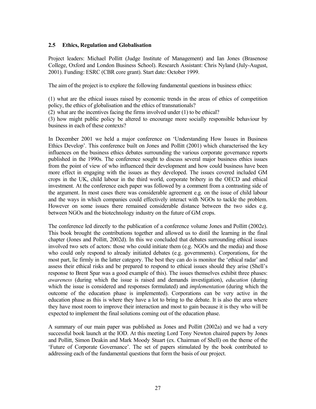### **2.5 Ethics, Regulation and Globalisation**

Project leaders: Michael Pollitt (Judge Institute of Management) and Ian Jones (Brasenose College, Oxford and London Business School). Research Assistant: Chris Nyland (July-August, 2001). Funding: ESRC (CBR core grant). Start date: October 1999.

The aim of the project is to explore the following fundamental questions in business ethics:

(1) what are the ethical issues raised by economic trends in the areas of ethics of competition policy, the ethics of globalisation and the ethics of transnationals?

(2) what are the incentives facing the firms involved under (1) to be ethical?

(3) how might public policy be altered to encourage more socially responsible behaviour by business in each of these contexts?

In December 2001 we held a major conference on 'Understanding How Issues in Business Ethics Develop'. This conference built on Jones and Pollitt (2001) which characterised the key influences on the business ethics debates surrounding the various corporate governance reports published in the 1990s. The conference sought to discuss several major business ethics issues from the point of view of who influenced their development and how could business have been more effect in engaging with the issues as they developed. The issues covered included GM crops in the UK, child labour in the third world, corporate bribery in the OECD and ethical investment. At the conference each paper was followed by a comment from a contrasting side of the argument. In most cases there was considerable agreement e.g. on the issue of child labour and the ways in which companies could effectively interact with NGOs to tackle the problem. However on some issues there remained considerable distance between the two sides e.g. between NGOs and the biotechnology industry on the future of GM crops.

The conference led directly to the publication of a conference volume Jones and Pollitt (2002e). This book brought the contributions together and allowed us to distil the learning in the final chapter (Jones and Pollitt, 2002d). In this we concluded that debates surrounding ethical issues involved two sets of actors: those who could initiate them (e.g. NGOs and the media) and those who could only respond to already initiated debates (e.g. governments). Corporations, for the most part, lie firmly in the latter category. The best they can do is monitor the 'ethical radar' and assess their ethical risks and be prepared to respond to ethical issues should they arise (Shell's response to Brent Spar was a good example of this). The issues themselves exhibit three phases: *awareness* (during which the issue is raised and demands investigation), *education* (during which the issue is considered and responses formulated) and *implementation* (during which the outcome of the education phase is implemented). Corporations can be very active in the education phase as this is where they have a lot to bring to the debate. It is also the area where they have most room to improve their interaction and most to gain because it is they who will be expected to implement the final solutions coming out of the education phase.

A summary of our main paper was published as Jones and Pollitt (2002a) and we had a very successful book launch at the IOD. At this meeting Lord Tony Newton chaired papers by Jones and Pollitt, Simon Deakin and Mark Moody Stuart (ex. Chairman of Shell) on the theme of the 'Future of Corporate Governance'. The set of papers stimulated by the book contributed to addressing each of the fundamental questions that form the basis of our project.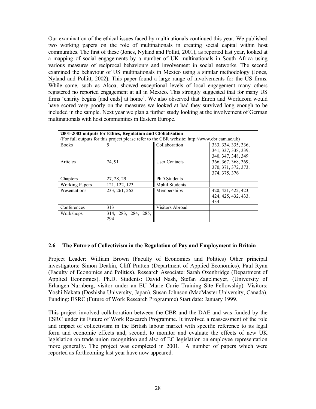Our examination of the ethical issues faced by multinationals continued this year. We published two working papers on the role of multinationals in creating social capital within host communities. The first of these (Jones, Nyland and Pollitt, 2001), as reported last year, looked at a mapping of social engagements by a number of UK multinationals in South Africa using various measures of reciprocal behaviours and involvement in social networks. The second examined the behaviour of US multinationals in Mexico using a similar methodology (Jones, Nyland and Pollitt, 2002). This paper found a large range of involvements for the US firms. While some, such as Alcoa, showed exceptional levels of local engagement many others registered no reported engagement at all in Mexico. This strongly suggested that for many US firms 'charity begins [and ends] at home'. We also observed that Enron and Worldcom would have scored very poorly on the measures we looked at had they survived long enough to be included in the sample. Next year we plan a further study looking at the involvement of German multinationals with host communities in Eastern Europe.

| 2001-2002 outputs for Ethics, Regulation and Globalisation<br>(For full outputs for this project please refer to the CBR website: http://www.cbr.cam.ac.uk) |                            |                       |                                                                  |
|-------------------------------------------------------------------------------------------------------------------------------------------------------------|----------------------------|-----------------------|------------------------------------------------------------------|
| <b>Books</b>                                                                                                                                                |                            | Collaboration         | 333, 334, 335, 336,<br>341, 337, 338, 339,<br>340, 347, 348, 349 |
| Articles                                                                                                                                                    | 74, 91                     | <b>User Contacts</b>  | 366, 367, 368, 369,<br>370, 371, 372, 373,<br>374, 375, 376      |
| Chapters                                                                                                                                                    | 27, 28, 29                 | <b>PhD</b> Students   |                                                                  |
| <b>Working Papers</b>                                                                                                                                       | 121, 122, 123              | <b>Mphil Students</b> |                                                                  |
| Presentations                                                                                                                                               | 233, 261, 262              | Memberships           | 420, 421, 422, 423,<br>424, 425, 432, 433,<br>434                |
| Conferences                                                                                                                                                 | 313                        | Visitors Abroad       |                                                                  |
| Workshops                                                                                                                                                   | 314, 283, 284, 285,<br>294 |                       |                                                                  |

#### **2.6 The Future of Collectivism in the Regulation of Pay and Employment in Britain**

Project Leader: William Brown (Faculty of Economics and Politics) Other principal investigators: Simon Deakin, Cliff Pratten (Department of Applied Economics), Paul Ryan (Faculty of Economics and Politics). Research Associate: Sarah Oxenbridge (Department of Applied Economics). Ph.D. Students: David Nash, Stefan Zagelmeyer, (University of Erlangen-Nurnberg, visitor under an EU Marie Curie Training Site Fellowship). Visitors: Yoshi Nakata (Doshisha University, Japan), Susan Johnson (MacMaster University, Canada). Funding: ESRC (Future of Work Research Programme) Start date: January 1999.

This project involved collaboration between the CBR and the DAE and was funded by the ESRC under its Future of Work Research Programme. It involved a reassessment of the role and impact of collectivism in the British labour market with specific reference to its legal form and economic effects and, second, to monitor and evaluate the effects of new UK legislation on trade union recognition and also of EC legislation on employee representation more generally. The project was completed in 2001. A number of papers which were reported as forthcoming last year have now appeared.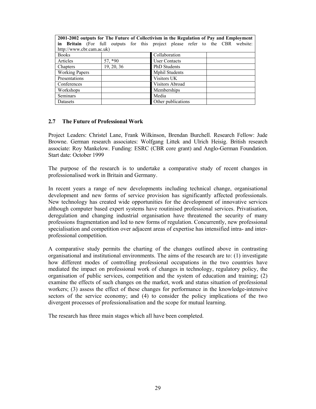| 2001-2002 outputs for The Future of Collectivism in the Regulation of Pay and Employment |            |                                                                                |  |
|------------------------------------------------------------------------------------------|------------|--------------------------------------------------------------------------------|--|
|                                                                                          |            | in Britain (For full outputs for this project please refer to the CBR website: |  |
| http://www.cbr.cam.ac.uk)                                                                |            |                                                                                |  |
| <b>Books</b>                                                                             |            | Collaboration                                                                  |  |
| Articles                                                                                 | 57,*90     | <b>User Contacts</b>                                                           |  |
| Chapters                                                                                 | 19, 20, 36 | PhD Students                                                                   |  |
| <b>Working Papers</b>                                                                    |            | <b>Mphil Students</b>                                                          |  |
| Presentations                                                                            |            | Visitors UK                                                                    |  |
| Conferences                                                                              |            | Visitors Abroad                                                                |  |
| Workshops                                                                                |            | Memberships                                                                    |  |
| <b>Seminars</b>                                                                          |            | Media                                                                          |  |
| Datasets                                                                                 |            | Other publications                                                             |  |

#### **2.7 The Future of Professional Work**

Project Leaders: Christel Lane, Frank Wilkinson, Brendan Burchell. Research Fellow: Jude Browne. German research associates: Wolfgang Littek and Ulrich Heisig. British research associate: Roy Mankelow. Funding: ESRC (CBR core grant) and Anglo-German Foundation. Start date: October 1999

The purpose of the research is to undertake a comparative study of recent changes in professionalised work in Britain and Germany.

In recent years a range of new developments including technical change, organisational development and new forms of service provision has significantly affected professionals. New technology has created wide opportunities for the development of innovative services although computer based expert systems have routinised professional services. Privatisation, deregulation and changing industrial organisation have threatened the security of many professions fragmentation and led to new forms of regulation. Concurrently, new professional specialisation and competition over adjacent areas of expertise has intensified intra- and interprofessional competition.

A comparative study permits the charting of the changes outlined above in contrasting organisational and institutional environments. The aims of the research are to: (1) investigate how different modes of controlling professional occupations in the two countries have mediated the impact on professional work of changes in technology, regulatory policy, the organisation of public services, competition and the system of education and training; (2) examine the effects of such changes on the market, work and status situation of professional workers; (3) assess the effect of these changes for performance in the knowledge-intensive sectors of the service economy; and (4) to consider the policy implications of the two divergent processes of professionalisation and the scope for mutual learning.

The research has three main stages which all have been completed.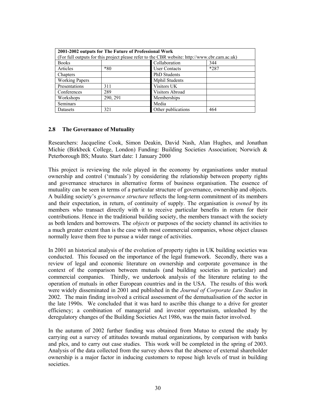| 2001-2002 outputs for The Future of Professional Work |                                                                                               |                       |        |  |
|-------------------------------------------------------|-----------------------------------------------------------------------------------------------|-----------------------|--------|--|
|                                                       | (For full outputs for this project please refer to the CBR website: http://www.cbr.cam.ac.uk) |                       |        |  |
| <b>Books</b>                                          |                                                                                               | Collaboration         | 344    |  |
| Articles                                              | $*80$                                                                                         | <b>User Contacts</b>  | $*287$ |  |
| Chapters                                              |                                                                                               | <b>PhD</b> Students   |        |  |
| <b>Working Papers</b>                                 |                                                                                               | <b>Mphil Students</b> |        |  |
| Presentations                                         | 311                                                                                           | Visitors UK           |        |  |
| Conferences                                           | 289                                                                                           | Visitors Abroad       |        |  |
| Workshops                                             | 290, 291                                                                                      | Memberships           |        |  |
| Seminars                                              |                                                                                               | Media                 |        |  |
| Datasets                                              | 321                                                                                           | Other publications    | 464    |  |

### **2.8 The Governance of Mutuality**

Researchers: Jacqueline Cook, Simon Deakin, David Nash, Alan Hughes, and Jonathan Michie (Birkbeck College, London) Funding: Building Societies Association; Norwich & Peterborough BS; Muuto. Start date: 1 January 2000

This project is reviewing the role played in the economy by organisations under mutual ownership and control ('mutuals') by considering the relationship between property rights and governance structures in alternative forms of business organisation. The essence of mutuality can be seen in terms of a particular structure of governance, ownership and objects. A building society's *governance structure* reflects the long-term commitment of its members and their expectation, in return, of continuity of supply. The organisation is *owned* by its members who transact directly with it to receive particular benefits in return for their contributions. Hence in the traditional building society, the members transact with the society as both lenders and borrowers. The *objects* or purposes of the society channel its activities to a much greater extent than is the case with most commercial companies, whose object clauses normally leave them free to pursue a wider range of activities.

In 2001 an historical analysis of the evolution of property rights in UK building societies was conducted. This focused on the importance of the legal framework. Secondly, there was a review of legal and economic literature on ownership and corporate governance in the context of the comparison between mutuals (and building societies in particular) and commercial companies. Thirdly, we undertook analysis of the literature relating to the operation of mutuals in other European countries and in the USA. The results of this work were widely disseminated in 2001 and published in the *Journal of Corporate Law Studies* in 2002. The main finding involved a critical assessment of the demutualisation of the sector in the late 1990s. We concluded that it was hard to ascribe this change to a drive for greater efficiency; a combination of managerial and investor opportunism, unleashed by the deregulatory changes of the Building Societies Act 1986, was the main factor involved.

In the autumn of 2002 further funding was obtained from Mutuo to extend the study by carrying out a survey of attitudes towards mutual organizations, by comparison with banks and plcs, and to carry out case studies. This work will be completed in the spring of 2003. Analysis of the data collected from the survey shows that the absence of external shareholder ownership is a major factor in inducing customers to repose high levels of trust in building societies.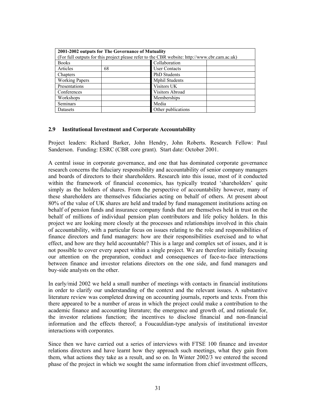| 2001-2002 outputs for The Governance of Mutuality                                             |    |                       |  |
|-----------------------------------------------------------------------------------------------|----|-----------------------|--|
| (For full outputs for this project please refer to the CBR website: http://www.cbr.cam.ac.uk) |    |                       |  |
| <b>Books</b>                                                                                  |    | Collaboration         |  |
| Articles                                                                                      | 68 | <b>User Contacts</b>  |  |
| Chapters                                                                                      |    | <b>PhD</b> Students   |  |
| <b>Working Papers</b>                                                                         |    | <b>Mphil Students</b> |  |
| Presentations                                                                                 |    | Visitors UK           |  |
| Conferences                                                                                   |    | Visitors Abroad       |  |
| Workshops                                                                                     |    | Memberships           |  |
| <b>Seminars</b>                                                                               |    | Media                 |  |
| Datasets                                                                                      |    | Other publications    |  |

### **2.9 Institutional Investment and Corporate Accountability**

Project leaders: Richard Barker, John Hendry, John Roberts. Research Fellow: Paul Sanderson. Funding: ESRC (CBR core grant). Start date: October 2001.

A central issue in corporate governance, and one that has dominated corporate governance research concerns the fiduciary responsibility and accountability of senior company managers and boards of directors to their shareholders. Research into this issue, most of it conducted within the framework of financial economics, has typically treated 'shareholders' quite simply as the holders of shares. From the perspective of accountability however, many of these shareholders are themselves fiduciaries acting on behalf of others. At present about 80% of the value of UK shares are held and traded by fund management institutions acting on behalf of pension funds and insurance company funds that are themselves held in trust on the behalf of millions of individual pension plan contributors and life policy holders. In this project we are looking more closely at the processes and relationships involved in this chain of accountability, with a particular focus on issues relating to the role and responsibilities of finance directors and fund managers: how are their responsibilities exercised and to what effect, and how are they held accountable? This is a large and complex set of issues, and it is not possible to cover every aspect within a single project. We are therefore initially focusing our attention on the preparation, conduct and consequences of face-to-face interactions between finance and investor relations directors on the one side, and fund managers and buy-side analysts on the other.

In early/mid 2002 we held a small number of meetings with contacts in financial institutions in order to clarify our understanding of the context and the relevant issues. A substantive literature review was completed drawing on accounting journals, reports and texts. From this there appeared to be a number of areas in which the project could make a contribution to the academic finance and accounting literature; the emergence and growth of, and rationale for, the investor relations function; the incentives to disclose financial and non-financial information and the effects thereof; a Foucauldian-type analysis of institutional investor interactions with corporates.

Since then we have carried out a series of interviews with FTSE 100 finance and investor relations directors and have learnt how they approach such meetings, what they gain from them, what actions they take as a result, and so on. In Winter 2002/3 we entered the second phase of the project in which we sought the same information from chief investment officers,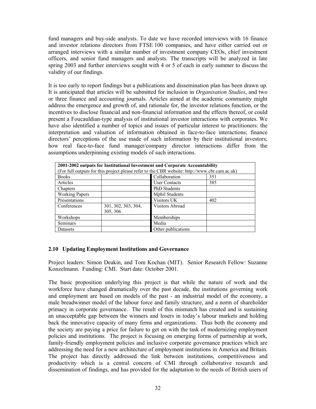fund managers and buy-side analysts. To date we have recorded interviews with 16 finance and investor relations directors from FTSE 100 companies, and have either carried out or arranged interviews with a similar number of investment company CEOs, chief investment officers, and senior fund managers and analysts. The transcripts will be analyzed in late spring 2003 and further interviews sought with 4 or 5 of each in early summer to discuss the validity of our findings.

It is too early to report findings but a publications and dissemination plan has been drawn up. It is anticipated that articles will be submitted for inclusion in *Organisation Studies*, and two or three finance and accounting journals. Articles aimed at the academic community might address the emergence and growth of, and rationale for, the investor relations function, or the incentives to disclose financial and non-financial information and the effects thereof, or could present a Foucauldian-type analysis of institutional investor interactions with corporates. We have also identified a number of topics and issues of particular interest to practitioners: the interpretation and valuation of information obtained in face-to-face interactions; finance directors' perceptions of the use made of such information by their institutional investors; how real face-to-face fund manager/company director interactions differ from the assumptions underpinning existing models of such interactions.

| 2001-2002 outputs for Institutional Investment and Corporate Accountability                   |                     |                        |     |
|-----------------------------------------------------------------------------------------------|---------------------|------------------------|-----|
| (For full outputs for this project please refer to the CBR website: http://www.cbr.cam.ac.uk) |                     |                        |     |
| <b>Books</b>                                                                                  |                     | Collaboration          | 351 |
| Articles                                                                                      |                     | <b>User Contacts</b>   | 385 |
| Chapters                                                                                      |                     | PhD Students           |     |
| <b>Working Papers</b>                                                                         |                     | <b>Mphil Students</b>  |     |
| Presentations                                                                                 |                     | Visitors UK            | 402 |
| Conferences                                                                                   | 301, 302, 303, 304, | <b>Visitors Abroad</b> |     |
|                                                                                               | 305, 306            |                        |     |
| Workshops                                                                                     |                     | Memberships            |     |
| Seminars                                                                                      |                     | Media                  |     |
| Datasets                                                                                      |                     | Other publications     |     |

## **2.10 Updating Employment Institutions and Governance**

Project leaders: Simon Deakin, and Tom Kochan (MIT). Senior Research Fellow: Suzanne Konzelmann. Funding: CMI. Start date: October 2001.

The basic proposition underlying this project is that while the nature of work and the workforce have changed dramatically over the past decade, the institutions governing work and employment are based on models of the past - an industrial model of the economy, a male breadwinner model of the labour force and family structure, and a norm of shareholder primacy in corporate governance. The result of this mismatch has created and is sustaining an unacceptable gap between the winners and losers in today's labour markets and holding back the innovative capacity of many firms and organizations. Thus both the economy and the society are paying a price for failure to get on with the task of modernizing employment policies and institutions. The project is focusing on emerging forms of partnership at work, family-friendly employment policies and inclusive corporate governance practices which are addressing the need for a new architecture of employment institutions in America and Britain. The project has directly addressed the link between institutions, competitiveness and productivity which is a central concern of CMI through collaborative research and dissemination of findings, and has provided for the adaptation to the needs of British users of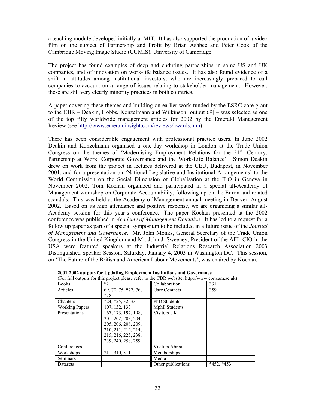a teaching module developed initially at MIT. It has also supported the production of a video film on the subject of Partnership and Profit by Brian Ashbee and Peter Cook of the Cambridge Moving Image Studio (CUMIS), University of Cambridge.

The project has found examples of deep and enduring partnerships in some US and UK companies, and of innovation on work-life balance issues. It has also found evidence of a shift in attitudes among institutional investors, who are increasingly prepared to call companies to account on a range of issues relating to stakeholder management. However, these are still very clearly minority practices in both countries.

A paper covering these themes and building on earlier work funded by the ESRC core grant to the CBR – Deakin, Hobbs, Konzelmann and Wilkinson [output 69] – was selected as one of the top fifty worldwide management articles for 2002 by the Emerald Management Review (see http://www.emeraldinsight.com/reviews/awards.htm).

There has been considerable engagement with professional practice users. In June 2002 Deakin and Konzelmann organised a one-day workshop in London at the Trade Union Congress on the themes of 'Modernising Employment Relations for the 21<sup>st</sup>. Century: Partnership at Work, Corporate Governance and the Work-Life Balance'. Simon Deakin drew on work from the project in lectures delivered at the CEU, Budapest, in November 2001, and for a presentation on 'National Legislative and Institutional Arrangements' to the World Commission on the Social Dimension of Globalisation at the ILO in Geneva in November 2002. Tom Kochan organized and participated in a special all-Academy of Management workshop on Corporate Accountability, following up on the Enron and related scandals. This was held at the Academy of Management annual meeting in Denver, August 2002. Based on its high attendance and positive response, we are organizing a similar all-Academy session for this year's conference. The paper Kochan presented at the 2002 conference was published in *Academy of Management Executive*. It has led to a request for a follow up paper as part of a special symposium to be included in a future issue of the *Journal of Management and Governance*. Mr. John Monks, General Secretary of the Trade Union Congress in the United Kingdom and Mr. John J. Sweeney, President of the AFL-CIO in the USA were featured speakers at the Industrial Relations Research Association 2003 Distinguished Speaker Session, Saturday, January 4, 2003 in Washington DC. This session, on 'The Future of the British and American Labour Movements', was chaired by Kochan.

| 2001-2002 outputs for Updating Employment Institutions and Governance<br>(For full outputs for this project please refer to the CBR website: http://www.cbr.cam.ac.uk) |                        |                       |                 |
|------------------------------------------------------------------------------------------------------------------------------------------------------------------------|------------------------|-----------------------|-----------------|
| <b>Books</b>                                                                                                                                                           | $*2$                   | Collaboration         | 331             |
| Articles                                                                                                                                                               | 69, 70, 75, *77, 76,   | <b>User Contacts</b>  | 359             |
|                                                                                                                                                                        | $*78$                  |                       |                 |
| Chapters                                                                                                                                                               | $*24$ , $*25$ , 32, 33 | <b>PhD</b> Students   |                 |
| <b>Working Papers</b>                                                                                                                                                  | 107, 132, 133          | <b>Mphil Students</b> |                 |
| Presentations                                                                                                                                                          | 167, 173, 197, 198,    | Visitors UK           |                 |
|                                                                                                                                                                        | 201, 202, 203, 204,    |                       |                 |
|                                                                                                                                                                        | 205, 206, 208, 209,    |                       |                 |
|                                                                                                                                                                        | 210, 211, 212, 214,    |                       |                 |
|                                                                                                                                                                        | 215, 216, 225, 238,    |                       |                 |
|                                                                                                                                                                        | 239, 240, 258, 259     |                       |                 |
| Conferences                                                                                                                                                            |                        | Visitors Abroad       |                 |
| Workshops                                                                                                                                                              | 211, 310, 311          | Memberships           |                 |
| Seminars                                                                                                                                                               |                        | Media                 |                 |
| Datasets                                                                                                                                                               |                        | Other publications    | $*452$ , $*453$ |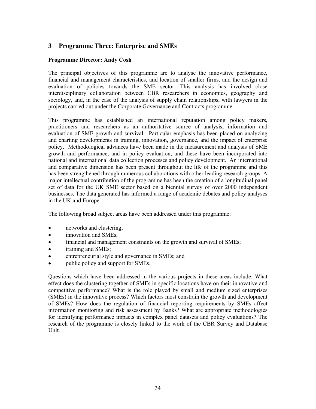# **3 Programme Three: Enterprise and SMEs**

## **Programme Director: Andy Cosh**

The principal objectives of this programme are to analyse the innovative performance, financial and management characteristics, and location of smaller firms, and the design and evaluation of policies towards the SME sector. This analysis has involved close interdisciplinary collaboration between CBR researchers in economics, geography and sociology, and, in the case of the analysis of supply chain relationships, with lawyers in the projects carried out under the Corporate Governance and Contracts programme.

This programme has established an international reputation among policy makers, practitioners and researchers as an authoritative source of analysis, information and evaluation of SME growth and survival. Particular emphasis has been placed on analyzing and charting developments in training, innovation, governance, and the impact of enterprise policy. Methodological advances have been made in the measurement and analysis of SME growth and performance, and in policy evaluation, and these have been incorporated into national and international data collection processes and policy development. An international and comparative dimension has been present throughout the life of the programme and this has been strengthened through numerous collaborations with other leading research groups. A major intellectual contribution of the programme has been the creation of a longitudinal panel set of data for the UK SME sector based on a biennial survey of over 2000 independent businesses. The data generated has informed a range of academic debates and policy analyses in the UK and Europe.

The following broad subject areas have been addressed under this programme:

- networks and clustering:
- innovation and SMEs;
- financial and management constraints on the growth and survival of SMEs;
- training and SMEs;
- entrepreneurial style and governance in SMEs; and
- public policy and support for SMEs.

Questions which have been addressed in the various projects in these areas include: What effect does the clustering together of SMEs in specific locations have on their innovative and competitive performance? What is the role played by small and medium sized enterprises (SMEs) in the innovative process? Which factors most constrain the growth and development of SMEs? How does the regulation of financial reporting requirements by SMEs affect information monitoring and risk assessment by Banks? What are appropriate methodologies for identifying performance impacts in complex panel datasets and policy evaluations? The research of the programme is closely linked to the work of the CBR Survey and Database Unit.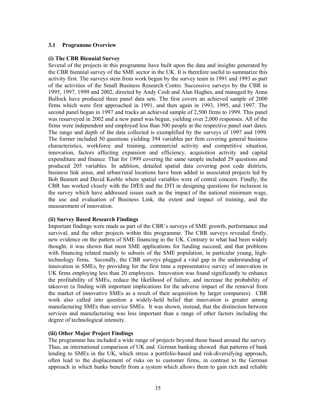## **3.1 Programme Overview**

## **(i) The CBR Biennial Survey**

Several of the projects in this programme have built upon the data and insights generated by the CBR biennial survey of the SME sector in the UK. It is therefore useful to summarize this activity first. The surveys stem from work begun by the survey team in 1991 and 1993 as part of the activities of the Small Business Research Centre. Successive surveys by the CBR in 1995, 1997, 1999 and 2002, directed by Andy Cosh and Alan Hughes, and managed by Anna Bullock have produced three panel data sets. The first covers an achieved sample of 2000 firms which were first approached in 1991, and then again in 1993, 1995, and 1997. The second panel began in 1997 and tracks an achieved sample of 2,500 firms to 1999. This panel was resurveyed in 2002 and a new panel was begun, yielding over 2,000 responses. All of the firms were independent and employed less than 500 people at the respective panel start dates. The range and depth of the data collected is exemplified by the surveys of 1997 and 1999. The former included 50 questions yielding 394 variables per firm covering general business characteristics, workforce and training, commercial activity and competitive situation, innovation, factors affecting expansion and efficiency, acquisition activity and capital expenditure and finance. That for 1999 covering the same sample included 29 questions and produced 205 variables. In addition, detailed spatial data covering post code districts, business link areas, and urban/rural locations have been added in associated projects led by Bob Bennett and David Keeble where spatial variables were of central concern. Finally, the CBR has worked closely with the DfES and the DTI in designing questions for inclusion in the survey which have addressed issues such as the impact of the national minimum wage, the use and evaluation of Business Link, the extent and impact of training, and the measurement of innovation.

## **(ii) Survey Based Research Findings**

Important findings were made as part of the CBR's surveys of SME growth, performance and survival, and the other projects within this programme. The CBR surveys revealed firstly, new evidence on the pattern of SME financing in the UK. Contrary to what had been widely thought, it was shown that most SME applications for funding succeed, and that problems with financing related mainly to subsets of the SME population, in particular young, hightechnology firms. Secondly, the CBR surveys plugged a vital gap in the understanding of innovation in SMEs, by providing for the first time a representative survey of innovation in UK firms employing less than 20 employees. Innovation was found significantly to enhance the profitability of SMEs, reduce the likelihood of failure, and increase the probability of takeover (a finding with important implications for the adverse impact of the removal from the market of innovative SMEs as a result of their acquisition by larger companies). CBR work also called into question a widely-held belief that innovation is greater among manufacturing SMEs than service SMEs. It was shown, instead, that the distinction between services and manufacturing was less important than a range of other factors including the degree of technological intensity.

# **(iii) Other Major Project Findings**

The programme has included a wide range of projects beyond those based around the survey. Thus, an international comparison of UK and German banking showed that patterns of bank lending to SMEs in the UK, which stress a portfolio-based and risk-diversifying approach, often lead to the displacement of risks on to customer firms, in contrast to the German approach in which banks benefit from a system which allows them to gain rich and reliable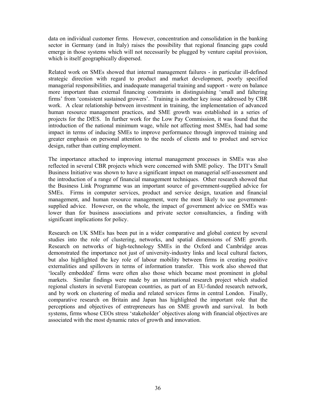data on individual customer firms. However, concentration and consolidation in the banking sector in Germany (and in Italy) raises the possibility that regional financing gaps could emerge in those systems which will not necessarily be plugged by venture capital provision, which is itself geographically dispersed.

Related work on SMEs showed that internal management failures - in particular ill-defined strategic direction with regard to product and market development, poorly specified managerial responsibilities, and inadequate managerial training and support - were on balance more important than external financing constraints in distinguishing 'small and faltering firms' from 'consistent sustained growers'. Training is another key issue addressed by CBR work. A clear relationship between investment in training, the implementation of advanced human resource management practices, and SME growth was established in a series of projects for the DfES. In further work for the Low Pay Commission, it was found that the introduction of the national minimum wage, while not affecting most SMEs, had had some impact in terms of inducing SMEs to improve performance through improved training and greater emphasis on personal attention to the needs of clients and to product and service design, rather than cutting employment.

The importance attached to improving internal management processes in SMEs was also reflected in several CBR projects which were concerned with SME policy. The DTI's Small Business Initiative was shown to have a significant impact on managerial self-assessment and the introduction of a range of financial management techniques. Other research showed that the Business Link Programme was an important source of government-supplied advice for SMEs. Firms in computer services, product and service design, taxation and financial management, and human resource management, were the most likely to use governmentsupplied advice. However, on the whole, the impact of government advice on SMEs was lower than for business associations and private sector consultancies, a finding with significant implications for policy.

Research on UK SMEs has been put in a wider comparative and global context by several studies into the role of clustering, networks, and spatial dimensions of SME growth. Research on networks of high-technology SMEs in the Oxford and Cambridge areas demonstrated the importance not just of university-industry links and local cultural factors, but also highlighted the key role of labour mobility between firms in creating positive externalities and spillovers in terms of information transfer. This work also showed that 'locally embedded' firms were often also those which became most prominent in global markets. Similar findings were made by an international research project which studied regional clusters in several European countries, as part of an EU-funded research network, and by work on clustering of media and related services firms in central London. Finally, comparative research on Britain and Japan has highlighted the important role that the perceptions and objectives of entrepreneurs has on SME growth and survival. In both systems, firms whose CEOs stress 'stakeholder' objectives along with financial objectives are associated with the most dynamic rates of growth and innovation.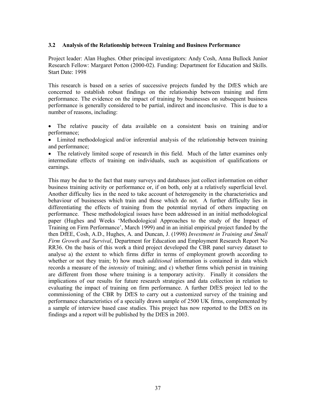## **3.2 Analysis of the Relationship between Training and Business Performance**

Project leader: Alan Hughes. Other principal investigators: Andy Cosh, Anna Bullock Junior Research Fellow: Margaret Potton (2000-02). Funding: Department for Education and Skills. Start Date: 1998

This research is based on a series of successive projects funded by the DfES which are concerned to establish robust findings on the relationship between training and firm performance. The evidence on the impact of training by businesses on subsequent business performance is generally considered to be partial, indirect and inconclusive. This is due to a number of reasons, including:

- The relative paucity of data available on a consistent basis on training and/or performance;
- Limited methodological and/or inferential analysis of the relationship between training and performance;
- The relatively limited scope of research in this field. Much of the latter examines only intermediate effects of training on individuals, such as acquisition of qualifications or earnings.

This may be due to the fact that many surveys and databases just collect information on either business training activity or performance or, if on both, only at a relatively superficial level. Another difficulty lies in the need to take account of heterogeneity in the characteristics and behaviour of businesses which train and those which do not. A further difficulty lies in differentiating the effects of training from the potential myriad of others impacting on performance. These methodological issues have been addressed in an initial methodological paper (Hughes and Weeks 'Methodological Approaches to the study of the Impact of Training on Firm Performance', March 1999) and in an initial empirical project funded by the then DfEE, Cosh, A.D., Hughes, A. and Duncan, J. (1998) *Investment in Training and Small Firm Growth and Survival*, Department for Education and Employment Research Report No RR36. On the basis of this work a third project developed the CBR panel survey dataset to analyse a) the extent to which firms differ in terms of employment growth according to whether or not they train; b) how much *additional* information is contained in data which records a measure of the *intensity* of training; and c) whether firms which persist in training are different from those where training is a temporary activity. Finally it considers the implications of our results for future research strategies and data collection in relation to evaluating the impact of training on firm performance. A further DfES project led to the commissioning of the CBR by DfES to carry out a customized survey of the training and performance characteristics of a specially drawn sample of 2500 UK firms, complemented by a sample of interview based case studies. This project has now reported to the DfES on its findings and a report will be published by the DfES in 2003.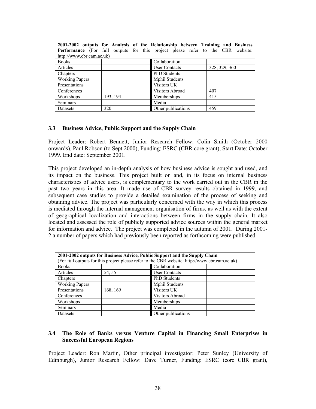|                           |          | 2001-2002 outputs for Analysis of the Relationship between Training and Business<br><b>Performance</b> (For full outputs for this project please refer to the CBR website: |               |
|---------------------------|----------|----------------------------------------------------------------------------------------------------------------------------------------------------------------------------|---------------|
| http://www.cbr.cam.ac.uk) |          |                                                                                                                                                                            |               |
| <b>Books</b>              |          | Collaboration                                                                                                                                                              |               |
| Articles                  |          | <b>User Contacts</b>                                                                                                                                                       | 328, 329, 360 |
| Chapters                  |          | <b>PhD</b> Students                                                                                                                                                        |               |
| <b>Working Papers</b>     |          | <b>Mphil Students</b>                                                                                                                                                      |               |
| Presentations             |          | Visitors UK                                                                                                                                                                |               |
| Conferences               |          | Visitors Abroad                                                                                                                                                            | 407           |
| Workshops                 | 193, 194 | Memberships                                                                                                                                                                | 415           |
| <b>Seminars</b>           |          | Media                                                                                                                                                                      |               |
| Datasets                  | 320      | Other publications                                                                                                                                                         | 459           |

### **3.3 Business Advice, Public Support and the Supply Chain**

Project Leader: Robert Bennett, Junior Research Fellow: Colin Smith (October 2000 onwards), Paul Robson (to Sept 2000), Funding: ESRC (CBR core grant), Start Date: October 1999. End date: September 2001.

This project developed an in-depth analysis of how business advice is sought and used, and its impact on the business. This project built on and, in its focus on internal business characteristics of advice users, is complementary to the work carried out in the CBR in the past two years in this area. It made use of CBR survey results obtained in 1999, and subsequent case studies to provide a detailed examination of the process of seeking and obtaining advice. The project was particularly concerned with the way in which this process is mediated through the internal management organisation of firms, as well as with the extent of geographical localization and interactions between firms in the supply chain. It also located and assessed the role of publicly supported advice sources within the general market for information and advice. The project was completed in the autumn of 2001. During 2001- 2 a number of papers which had previously been reported as forthcoming were published.

| 2001-2002 outputs for Business Advice, Public Support and the Supply Chain<br>(For full outputs for this project please refer to the CBR website: http://www.cbr.cam.ac.uk) |          |                       |  |  |
|-----------------------------------------------------------------------------------------------------------------------------------------------------------------------------|----------|-----------------------|--|--|
| <b>Books</b>                                                                                                                                                                |          | Collaboration         |  |  |
| Articles                                                                                                                                                                    | 54, 55   | <b>User Contacts</b>  |  |  |
| Chapters                                                                                                                                                                    |          | <b>PhD</b> Students   |  |  |
| <b>Working Papers</b>                                                                                                                                                       |          | <b>Mphil Students</b> |  |  |
| Presentations                                                                                                                                                               | 168, 169 | Visitors UK           |  |  |
| Conferences                                                                                                                                                                 |          | Visitors Abroad       |  |  |
| Workshops                                                                                                                                                                   |          | Memberships           |  |  |
| Seminars                                                                                                                                                                    |          | Media                 |  |  |
| Datasets                                                                                                                                                                    |          | Other publications    |  |  |

## **3.4 The Role of Banks versus Venture Capital in Financing Small Enterprises in Successful European Regions**

Project Leader: Ron Martin, Other principal investigator: Peter Sunley (University of Edinburgh), Junior Research Fellow: Dave Turner, Funding: ESRC (core CBR grant),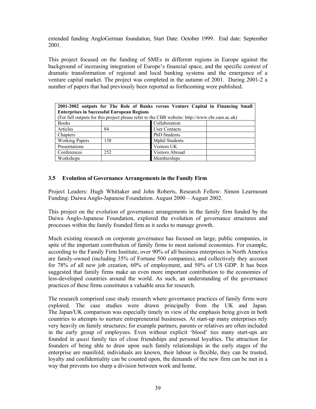extended funding AngloGerman foundation, Start Date: October 1999. End date: September 2001.

This project focused on the funding of SMEs in different regions in Europe against the background of increasing integration of Europe's financial space, and the specific context of dramatic transformation of regional and local banking systems and the emergence of a venture capital market. The project was completed in the autumn of 2001. During 2001-2 a number of papers that had previously been reported as forthcoming were published.

| 2001-2002 outputs for The Role of Banks versus Venture Capital in Financing Small<br><b>Enterprises in Successful European Regions</b> |     |                       |  |
|----------------------------------------------------------------------------------------------------------------------------------------|-----|-----------------------|--|
| (For full outputs for this project please refer to the CBR website: http://www.cbr.cam.ac.uk)                                          |     |                       |  |
| <b>Books</b>                                                                                                                           |     | Collaboration         |  |
| Articles                                                                                                                               | 84  | <b>User Contacts</b>  |  |
| Chapters                                                                                                                               |     | <b>PhD</b> Students   |  |
| <b>Working Papers</b>                                                                                                                  | 138 | <b>Mphil Students</b> |  |
| Presentations                                                                                                                          |     | Visitors UK           |  |
| Conferences                                                                                                                            | 252 | Visitors Abroad       |  |
| Workshops                                                                                                                              |     | Memberships           |  |

# **3.5 Evolution of Governance Arrangements in the Family Firm**

Project Leaders: Hugh Whittaker and John Roberts, Research Fellow: Simon Learmount Funding: Daiwa Anglo-Japanese Foundation. August 2000 – August 2002.

This project on the evolution of governance arrangements in the family firm funded by the Daiwa Anglo-Japanese Foundation, explored the evolution of governance structures and processes within the family founded firm as it seeks to manage growth.

Much existing research on corporate governance has focused on large, public companies, in spite of the important contribution of family firms to most national economies. For example, according to the Family Firm Institute, over 90% of all business enterprises in North America are family-owned (including 35% of Fortune 500 companies), and collectively they account for 78% of all new job creation, 60% of employment, and 50% of US GDP. It has been suggested that family firms make an even more important contribution to the economies of less-developed countries around the world. As such, an understanding of the governance practices of these firms constitutes a valuable area for research.

The research comprised case study research where governance practices of family firms were explored. The case studies were drawn principally from the UK and Japan. The Japan/UK comparison was especially timely in view of the emphasis being given in both countries to attempts to nurture entrepreneurial businesses. At start-up many enterprises rely very heavily on family structures; for example partners, parents or relatives are often included in the early group of employees. Even without explicit 'blood' ties many start-ups are founded in *quasi* family ties of close friendships and personal loyalties. The attraction for founders of being able to draw upon such family relationships in the early stages of the enterprise are manifold; individuals are known, their labour is flexible, they can be trusted, loyalty and confidentiality can be counted upon, the demands of the new firm can be met in a way that prevents too sharp a division between work and home.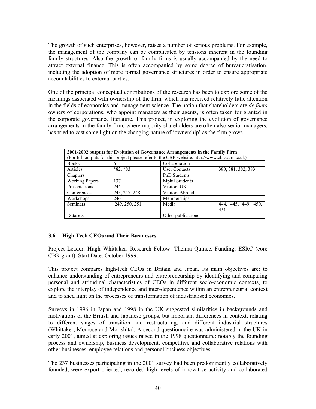The growth of such enterprises, however, raises a number of serious problems. For example, the management of the company can be complicated by tensions inherent in the founding family structures. Also the growth of family firms is usually accompanied by the need to attract external finance. This is often accompanied by some degree of bureaucratisation, including the adoption of more formal governance structures in order to ensure appropriate accountabilities to external parties.

One of the principal conceptual contributions of the research has been to explore some of the meanings associated with ownership of the firm, which has received relatively little attention in the fields of economics and management science. The notion that shareholders are *de facto* owners of corporations, who appoint managers as their agents, is often taken for granted in the corporate governance literature. This project, in exploring the evolution of governance arrangements in the family firm, where majority shareholders are often also senior managers, has tried to cast some light on the changing nature of 'ownership' as the firm grows.

| 2001-2002 outputs for Evolution of Governance Arrangements in the Family Firm<br>(For full outputs for this project please refer to the CBR website: http://www.cbr.cam.ac.uk) |               |                        |                     |
|--------------------------------------------------------------------------------------------------------------------------------------------------------------------------------|---------------|------------------------|---------------------|
| <b>Books</b>                                                                                                                                                                   | h             | Collaboration          |                     |
| Articles                                                                                                                                                                       | $*82, *83$    | <b>User Contacts</b>   | 380, 381, 382, 383  |
| Chapters                                                                                                                                                                       |               | <b>PhD</b> Students    |                     |
| <b>Working Papers</b>                                                                                                                                                          | 137           | <b>Mphil Students</b>  |                     |
| Presentations                                                                                                                                                                  | 244           | Visitors UK            |                     |
| Conferences                                                                                                                                                                    | 245, 247, 248 | <b>Visitors Abroad</b> |                     |
| Workshops                                                                                                                                                                      | 246           | Memberships            |                     |
| Seminars                                                                                                                                                                       | 249, 250, 251 | Media                  | 444, 445, 449, 450, |
|                                                                                                                                                                                |               |                        | 451                 |
| Datasets                                                                                                                                                                       |               | Other publications     |                     |

# **3.6 High Tech CEOs and Their Businesses**

Project Leader: Hugh Whittaker. Research Fellow: Thelma Quince. Funding: ESRC (core CBR grant). Start Date: October 1999.

This project compares high-tech CEOs in Britain and Japan. Its main objectives are: to enhance understanding of entrepreneurs and entrepreneurship by identifying and comparing personal and attitudinal characteristics of CEOs in different socio-economic contexts, to explore the interplay of independence and inter-dependence within an entrepreneurial context and to shed light on the processes of transformation of industrialised economies.

Surveys in 1996 in Japan and 1998 in the UK suggested similarities in backgrounds and motivations of the British and Japanese groups, but important differences in context, relating to different stages of transition and restructuring, and different industrial structures (Whittaker, Momose and Morishita). A second questionnaire was administered in the UK in early 2001, aimed at exploring issues raised in the 1998 questionnaire: notably the founding process and ownership, business development, competitive and collaborative relations with other businesses, employee relations and personal business objectives.

The 237 businesses participating in the 2001 survey had been predominantly collaboratively founded, were export oriented, recorded high levels of innovative activity and collaborated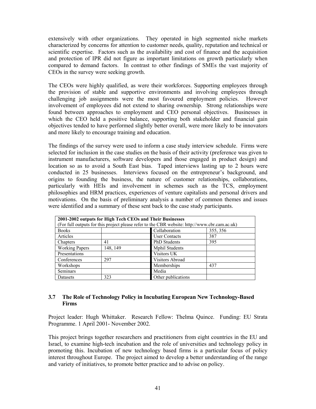extensively with other organizations. They operated in high segmented niche markets characterized by concerns for attention to customer needs, quality, reputation and technical or scientific expertise. Factors such as the availability and cost of finance and the acquisition and protection of IPR did not figure as important limitations on growth particularly when compared to demand factors. In contrast to other findings of SMEs the vast majority of CEOs in the survey were seeking growth.

The CEOs were highly qualified, as were their workforces. Supporting employees through the provision of stable and supportive environments and involving employees through challenging job assignments were the most favoured employment policies. However involvement of employees did not extend to sharing ownership. Strong relationships were found between approaches to employment and CEO personal objectives. Businesses in which the CEO held a positive balance, supporting both stakeholder and financial gain objectives tended to have performed slightly better overall, were more likely to be innovators and more likely to encourage training and education.

The findings of the survey were used to inform a case study interview schedule. Firms were selected for inclusion in the case studies on the basis of their activity (preference was given to instrument manufacturers, software developers and those engaged in product design) and location so as to avoid a South East bias. Taped interviews lasting up to 2 hours were conducted in 25 businesses. Interviews focused on the entrepreneur's background, and origins to founding the business, the nature of customer relationships, collaborations, particularly with HEIs and involvement in schemes such as the TCS, employment philosophies and HRM practices, experiences of venture capitalists and personal drivers and motivations. On the basis of preliminary analysis a number of common themes and issues were identified and a summary of these sent back to the case study participants.

| 2001-2002 outputs for High Tech CEOs and Their Businesses                                     |                           |                       |     |  |
|-----------------------------------------------------------------------------------------------|---------------------------|-----------------------|-----|--|
| (For full outputs for this project please refer to the CBR website: http://www.cbr.cam.ac.uk) |                           |                       |     |  |
| <b>Books</b>                                                                                  | Collaboration<br>355, 356 |                       |     |  |
| Articles                                                                                      |                           | <b>User Contacts</b>  | 387 |  |
| Chapters                                                                                      | 41                        | <b>PhD</b> Students   | 395 |  |
| <b>Working Papers</b>                                                                         | 148, 149                  | <b>Mphil Students</b> |     |  |
| Presentations                                                                                 |                           | Visitors UK           |     |  |
| Conferences                                                                                   | 297                       | Visitors Abroad       |     |  |
| Workshops                                                                                     |                           | Memberships           | 437 |  |
| Seminars                                                                                      |                           | Media                 |     |  |
| Datasets                                                                                      | 323                       | Other publications    |     |  |

# **3.7 The Role of Technology Policy in Incubating European New Technology-Based Firms**

Project leader: Hugh Whittaker. Research Fellow: Thelma Quince. Funding: EU Strata Programme. 1 April 2001- November 2002.

This project brings together researchers and practitioners from eight countries in the EU and Israel, to examine high-tech incubation and the role of universities and technology policy in promoting this. Incubation of new technology based firms is a particular focus of policy interest throughout Europe. The project aimed to develop a better understanding of the range and variety of initiatives, to promote better practice and to advise on policy.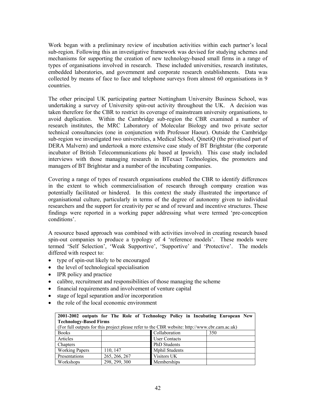Work began with a preliminary review of incubation activities within each partner's local sub-region. Following this an investigative framework was devised for studying schemes and mechanisms for supporting the creation of new technology-based small firms in a range of types of organisations involved in research. These included universities, research institutes, embedded laboratories, and government and corporate research establishments. Data was collected by means of face to face and telephone surveys from almost 60 organisations in 9 countries.

The other principal UK participating partner Nottingham University Business School, was undertaking a survey of University spin-out activity throughout the UK. A decision was taken therefore for the CBR to restrict its coverage of mainstream university organisations, to avoid duplication. Within the Cambridge sub-region the CBR examined a number of research institutes, the MRC Laboratory of Molecular Biology and two private sector technical consultancies (one in conjunction with Professor Haour). Outside the Cambridge sub-region we investigated two universities, a Medical School, QinetiQ (the privatised part of DERA Malvern) and undertook a more extensive case study of BT Brightstar (the corporate incubator of British Telecommunications plc based at Ipswich). This case study included interviews with those managing research in BTexact Technologies, the promoters and managers of BT Brightstar and a number of the incubating companies.

Covering a range of types of research organisations enabled the CBR to identify differences in the extent to which commercialisation of research through company creation was potentially facilitated or hindered. In this context the study illustrated the importance of organisational culture, particularly in terms of the degree of autonomy given to individual researchers and the support for creativity per se and of reward and incentive structures. These findings were reported in a working paper addressing what were termed 'pre-conception conditions'.

A resource based approach was combined with activities involved in creating research based spin-out companies to produce a typology of 4 'reference models'. These models were termed 'Self Selection', 'Weak Supportive', 'Supportive' and 'Protective'. The models differed with respect to:

- type of spin-out likely to be encouraged
- the level of technological specialisation
- IPR policy and practice
- calibre, recruitment and responsibilities of those managing the scheme
- financial requirements and involvement of venture capital
- stage of legal separation and/or incorporation
- the role of the local economic environment

|                                                                                               |               | 2001-2002 outputs for The Role of Technology Policy in Incubating European New |     |  |
|-----------------------------------------------------------------------------------------------|---------------|--------------------------------------------------------------------------------|-----|--|
| <b>Technology-Based Firms</b>                                                                 |               |                                                                                |     |  |
| (For full outputs for this project please refer to the CBR website: http://www.cbr.cam.ac.uk) |               |                                                                                |     |  |
| <b>Books</b>                                                                                  |               | Collaboration                                                                  | 350 |  |
| Articles                                                                                      |               | <b>User Contacts</b>                                                           |     |  |
| Chapters                                                                                      |               | <b>PhD</b> Students                                                            |     |  |
| <b>Working Papers</b>                                                                         | 110, 147      | <b>Mphil Students</b>                                                          |     |  |
| Presentations                                                                                 | 265, 266, 267 | Visitors UK                                                                    |     |  |
| Workshops                                                                                     | 298, 299, 300 | Memberships                                                                    |     |  |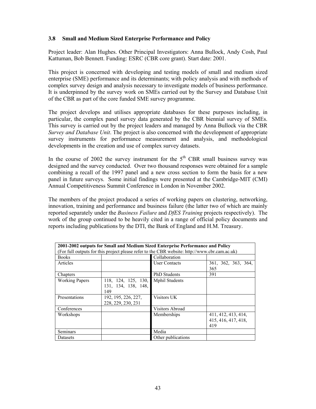## **3.8 Small and Medium Sized Enterprise Performance and Policy**

Project leader: Alan Hughes. Other Principal Investigators: Anna Bullock, Andy Cosh, Paul Kattuman, Bob Bennett. Funding: ESRC (CBR core grant). Start date: 2001.

This project is concerned with developing and testing models of small and medium sized enterprise (SME) performance and its determinants; with policy analysis and with methods of complex survey design and analysis necessary to investigate models of business performance. It is underpinned by the survey work on SMEs carried out by the Survey and Database Unit of the CBR as part of the core funded SME survey programme.

The project develops and utilises appropriate databases for these purposes including, in particular, the complex panel survey data generated by the CBR biennial survey of SMEs. This survey is carried out by the project leaders and managed by Anna Bullock via the CBR *Survey and Database Unit*. The project is also concerned with the development of appropriate survey instruments for performance measurement and analysis, and methodological developments in the creation and use of complex survey datasets.

In the course of 2002 the survey instrument for the  $5<sup>th</sup>$  CBR small business survey was designed and the survey conducted. Over two thousand responses were obtained for a sample combining a recall of the 1997 panel and a new cross section to form the basis for a new panel in future surveys. Some initial findings were presented at the Cambridge-MIT (CMI) Annual Competitiveness Summit Conference in London in November 2002.

The members of the project produced a series of working papers on clustering, networking, innovation, training and performance and business failure (the latter two of which are mainly reported separately under the *Business Failure* and *DfES Training* projects respectively). The work of the group continued to be heavily cited in a range of official policy documents and reports including publications by the DTI, the Bank of England and H.M. Treasury.

| 2001-2002 outputs for Small and Medium Sized Enterprise Performance and Policy                |                     |                        |                     |
|-----------------------------------------------------------------------------------------------|---------------------|------------------------|---------------------|
| (For full outputs for this project please refer to the CBR website: http://www.cbr.cam.ac.uk) |                     |                        |                     |
| <b>Books</b>                                                                                  |                     | Collaboration          |                     |
| Articles                                                                                      |                     | <b>User Contacts</b>   | 361, 362, 363, 364, |
|                                                                                               |                     |                        | 365                 |
| Chapters                                                                                      |                     | <b>PhD</b> Students    | 391                 |
| <b>Working Papers</b>                                                                         | 118, 124, 125, 130, | <b>Mphil Students</b>  |                     |
|                                                                                               | 131, 134, 138, 148, |                        |                     |
|                                                                                               | 149                 |                        |                     |
| Presentations                                                                                 | 192, 195, 226, 227, | Visitors UK            |                     |
|                                                                                               | 228, 229, 230, 231  |                        |                     |
| Conferences                                                                                   |                     | <b>Visitors Abroad</b> |                     |
| Workshops                                                                                     |                     | Memberships            | 411, 412, 413, 414, |
|                                                                                               |                     |                        | 415, 416, 417, 418, |
|                                                                                               |                     |                        | 419                 |
| Seminars                                                                                      |                     | Media                  |                     |
| Datasets                                                                                      |                     | Other publications     |                     |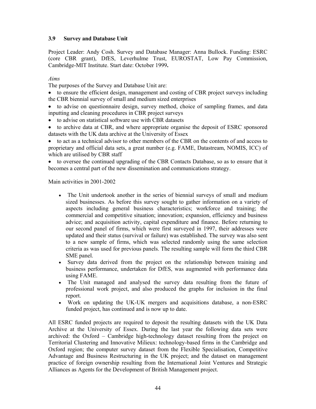# **3.9 Survey and Database Unit**

Project Leader: Andy Cosh. Survey and Database Manager: Anna Bullock. Funding: ESRC (core CBR grant), DfES, Leverhulme Trust, EUROSTAT, Low Pay Commission, Cambridge-MIT Institute. Start date: October 1999**.** 

*Aims* 

The purposes of the Survey and Database Unit are:

• to ensure the efficient design, management and costing of CBR project surveys including the CBR biennial survey of small and medium sized enterprises

• to advise on questionnaire design, survey method, choice of sampling frames, and data inputting and cleaning procedures in CBR project surveys

- to advise on statistical software use with CBR datasets
- to archive data at CBR, and where appropriate organise the deposit of ESRC sponsored datasets with the UK data archive at the University of Essex

• to act as a technical advisor to other members of the CBR on the contents of and access to proprietary and official data sets, a great number (e.g. FAME, Datastream, NOMIS, ICC) of which are utilised by CBR staff

• to oversee the continued upgrading of the CBR Contacts Database, so as to ensure that it becomes a central part of the new dissemination and communications strategy.

Main activities in 2001-2002

- The Unit undertook another in the series of biennial surveys of small and medium sized businesses. As before this survey sought to gather information on a variety of aspects including general business characteristics; workforce and training; the commercial and competitive situation; innovation; expansion, efficiency and business advice; and acquisition activity, capital expenditure and finance. Before returning to our second panel of firms, which were first surveyed in 1997, their addresses were updated and their status (survival or failure) was established. The survey was also sent to a new sample of firms, which was selected randomly using the same selection criteria as was used for previous panels. The resulting sample will form the third CBR SME panel.
- Survey data derived from the project on the relationship between training and business performance, undertaken for DfES, was augmented with performance data using FAME.
- The Unit managed and analysed the survey data resulting from the future of professional work project, and also produced the graphs for inclusion in the final report.
- Work on updating the UK-UK mergers and acquisitions database, a non-ESRC funded project, has continued and is now up to date.

All ESRC funded projects are required to deposit the resulting datasets with the UK Data Archive at the University of Essex. During the last year the following data sets were archived: the Oxford – Cambridge high-technology dataset resulting from the project on Territorial Clustering and Innovative Milieux: technology-based firms in the Cambridge and Oxford region; the computer survey dataset from the Flexible Specialisation, Competitive Advantage and Business Restructuring in the UK project; and the dataset on management practice of foreign ownership resulting from the International Joint Ventures and Strategic Alliances as Agents for the Development of British Management project.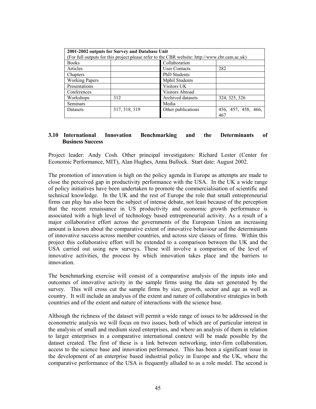| 2001-2002 outputs for Survey and Database Unit                                                |               |                        |                            |  |
|-----------------------------------------------------------------------------------------------|---------------|------------------------|----------------------------|--|
| (For full outputs for this project please refer to the CBR website: http://www.cbr.cam.ac.uk) |               |                        |                            |  |
| <b>Books</b>                                                                                  |               | Collaboration          |                            |  |
| Articles                                                                                      |               | <b>User Contacts</b>   | 282                        |  |
| Chapters                                                                                      |               | <b>PhD</b> Students    |                            |  |
| <b>Working Papers</b>                                                                         |               | <b>Mphil Students</b>  |                            |  |
| Presentations                                                                                 |               | Visitors UK            |                            |  |
| Conferences                                                                                   |               | <b>Visitors Abroad</b> |                            |  |
| Workshops                                                                                     | 312           | Archived datasets      | 324, 325, 326              |  |
| Seminars                                                                                      |               | Media                  |                            |  |
| Datasets                                                                                      | 317, 318, 319 | Other publications     | 456, 457, 458, 466,<br>467 |  |

## **3.10 International Innovation Benchmarking and the Determinants of Business Success**

Project leader: Andy Cosh. Other principal investigators: Richard Lester (Center for Economic Performance, MIT), Alan Hughes, Anna Bullock. Start date: August 2002.

The promotion of innovation is high on the policy agenda in Europe as attempts are made to close the perceived gap in productivity performance with the USA. In the UK a wide range of policy initiatives have been undertaken to promote the commercialisation of scientific and technical knowledge. In the UK and the rest of Europe the role that small entrepreneurial firms can play has also been the subject of intense debate, not least because of the perception that the recent renaissance in US productivity and economic growth performance is associated with a high level of technology based entrepreneurial activity. As a result of a major collaborative effort across the governments of the European Union an increasing amount is known about the comparative extent of innovative behaviour and the determinants of innovative success across member countries, and across size classes of firms. Within this project this collaborative effort will be extended to a comparison between the UK and the USA carried out using new surveys. These will involve a comparison of the level of innovative activities, the process by which innovation takes place and the barriers to innovation.

The benchmarking exercise will consist of a comparative analysis of the inputs into and outcomes of innovative activity in the sample firms using the data set generated by the survey. This will cross cut the sample firms by size, growth, sector and age as well as country. It will include an analysis of the extent and nature of collaborative strategies in both countries and of the extent and nature of interactions with the science base.

Although the richness of the dataset will permit a wide range of issues to be addressed in the econometric analysis we will focus on two issues, both of which are of particular interest in the analysis of small and medium sized enterprises, and where an analysis of them in relation to larger enterprises in a comparative international context will be made possible by the dataset created. The first of these is a link between networking, inter-firm collaboration, access to the science base and innovation performance. This has been a significant issue in the development of an enterprise based industrial policy in Europe and the UK, where the comparative performance of the USA is frequently alluded to as a role model. The second is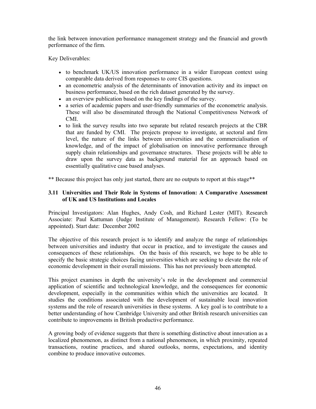the link between innovation performance management strategy and the financial and growth performance of the firm.

Key Deliverables:

- to benchmark UK/US innovation performance in a wider European context using comparable data derived from responses to core CIS questions.
- an econometric analysis of the determinants of innovation activity and its impact on business performance, based on the rich dataset generated by the survey.
- an overview publication based on the key findings of the survey.
- a series of academic papers and user-friendly summaries of the econometric analysis. These will also be disseminated through the National Competitiveness Network of CMI.
- to link the survey results into two separate but related research projects at the CBR that are funded by CMI. The projects propose to investigate, at sectoral and firm level, the nature of the links between universities and the commercialisation of knowledge, and of the impact of globalisation on innovative performance through supply chain relationships and governance structures. These projects will be able to draw upon the survey data as background material for an approach based on essentially qualitative case based analyses.

\*\* Because this project has only just started, there are no outputs to report at this stage\*\*

## **3.11 Universities and Their Role in Systems of Innovation: A Comparative Assessment of UK and US Institutions and Locales**

Principal Investigators: Alan Hughes, Andy Cosh, and Richard Lester (MIT). Research Associate: Paul Kattuman (Judge Institute of Management). Research Fellow: (To be appointed). Start date: December 2002

The objective of this research project is to identify and analyze the range of relationships between universities and industry that occur in practice, and to investigate the causes and consequences of these relationships. On the basis of this research, we hope to be able to specify the basic strategic choices facing universities which are seeking to elevate the role of economic development in their overall missions. This has not previously been attempted.

This project examines in depth the university's role in the development and commercial application of scientific and technological knowledge, and the consequences for economic development, especially in the communities within which the universities are located. It studies the conditions associated with the development of sustainable local innovation systems and the role of research universities in these systems. A key goal is to contribute to a better understanding of how Cambridge University and other British research universities can contribute to improvements in British productive performance.

A growing body of evidence suggests that there is something distinctive about innovation as a localized phenomenon, as distinct from a national phenomenon, in which proximity, repeated transactions, routine practices, and shared outlooks, norms, expectations, and identity combine to produce innovative outcomes.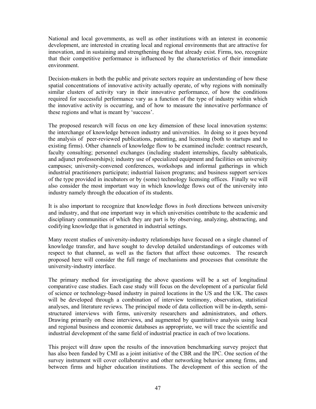National and local governments, as well as other institutions with an interest in economic development, are interested in creating local and regional environments that are attractive for innovation, and in sustaining and strengthening those that already exist. Firms, too, recognize that their competitive performance is influenced by the characteristics of their immediate environment.

Decision-makers in both the public and private sectors require an understanding of how these spatial concentrations of innovative activity actually operate, of why regions with nominally similar clusters of activity vary in their innovative performance, of how the conditions required for successful performance vary as a function of the type of industry within which the innovative activity is occurring, and of how to measure the innovative performance of these regions and what is meant by 'success'.

The proposed research will focus on one key dimension of these local innovation systems: the interchange of knowledge between industry and universities. In doing so it goes beyond the analysis of peer-reviewed publications, patenting, and licensing (both to startups and to existing firms). Other channels of knowledge flow to be examined include: contract research, faculty consulting; personnel exchanges (including student internships, faculty sabbaticals, and adjunct professorships); industry use of specialized equipment and facilities on university campuses; university-convened conferences, workshops and informal gatherings in which industrial practitioners participate; industrial liaison programs; and business support services of the type provided in incubators or by (some) technology licensing offices. Finally we will also consider the most important way in which knowledge flows out of the university into industry namely through the education of its students.

It is also important to recognize that knowledge flows in *both* directions between university and industry, and that one important way in which universities contribute to the academic and disciplinary communities of which they are part is by observing, analyzing, abstracting, and codifying knowledge that is generated in industrial settings.

Many recent studies of university-industry relationships have focused on a single channel of knowledge transfer, and have sought to develop detailed understandings of outcomes with respect to that channel, as well as the factors that affect those outcomes. The research proposed here will consider the full range of mechanisms and processes that constitute the university-industry interface.

The primary method for investigating the above questions will be a set of longitudinal comparative case studies. Each case study will focus on the development of a particular field of science or technology-based industry in paired locations in the US and the UK. The cases will be developed through a combination of interview testimony, observation, statistical analyses, and literature reviews. The principal mode of data collection will be in-depth, semistructured interviews with firms, university researchers and administrators, and others. Drawing primarily on these interviews, and augmented by quantitative analysis using local and regional business and economic databases as appropriate, we will trace the scientific and industrial development of the same field of industrial practice in each of two locations.

This project will draw upon the results of the innovation benchmarking survey project that has also been funded by CMI as a joint initiative of the CBR and the IPC. One section of the survey instrument will cover collaborative and other networking behavior among firms, and between firms and higher education institutions. The development of this section of the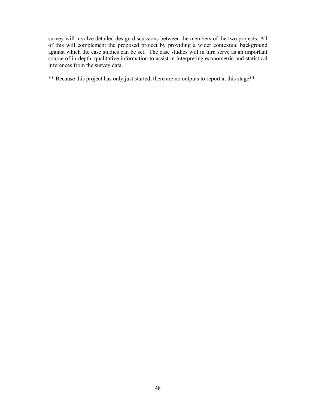survey will involve detailed design discussions between the members of the two projects. All of this will complement the proposed project by providing a wider contextual background against which the case studies can be set. The case studies will in turn serve as an important source of in-depth, qualitative information to assist in interpreting econometric and statistical inferences from the survey data.

\*\* Because this project has only just started, there are no outputs to report at this stage\*\*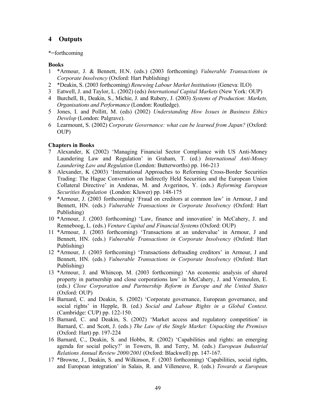# **4 Outputs**

## \*=forthcoming

## **Books**

- 1 \*Armour, J. & Bennett, H.N. (eds.) (2003 forthcoming) *Vulnerable Transactions in Corporate Insolvency* (Oxford: Hart Publishing)
- 2 \*Deakin, S. (2003 forthcoming) *Renewing Labour Market Institutions* (Geneva: ILO)
- 3 Eatwell, J. and Taylor, L. (2002) (eds) *International Capital Markets* (New York: OUP)
- 4 Burchell, B., Deakin, S., Michie, J. and Rubery, J. (2003) *Systems of Production: Markets, Organisations and Performance* (London: Routledge).
- 5 Jones, I. and Pollitt, M. (eds) (2002) *Understanding How Issues in Business Ethics Develop* (London: Palgrave).
- 6 Learmount, S. (2002) *Corporate Governance: what can be learned from Japan?* (Oxford: OUP)

## **Chapters in Books**

- 7 Alexander, K (2002) 'Managing Financial Sector Compliance with US Anti-Money Laundering Law and Regulation' in Graham, T. (ed.) *International Anti-Money Laundering Law and Regulation* (London: Butterworths) pp. 166-213
- 8 Alexander, K (2003) 'International Approaches to Reforming Cross-Border Securities Trading: The Hague Convention on Indirectly Held Securities and the European Union Collateral Directive' in Andenas, M. and Avgerinos, Y. (eds.) *Reforming European Securities Regulation* (London: Kluwer) pp. 148-175
- 9 \*Armour, J. (2003 forthcoming) 'Fraud on creditors at common law' in Armour, J and Bennett, HN. (eds.) *Vulnerable Transactions in Corporate Insolvency* (Oxford: Hart Publishing)
- 10 \*Armour, J. (2003 forthcoming) 'Law, finance and innovation' in McCahery, J. and Renneboog, L. (eds.) *Venture Capital and Financial Systems* (Oxford: OUP)
- 11 \*Armour, J. (2003 forthcoming) 'Transactions at an undervalue' in Armour, J and Bennett, HN. (eds.) *Vulnerable Transactions in Corporate Insolvency* (Oxford: Hart Publishing)
- 12 \*Armour, J. (2003 forthcoming) 'Transactions defrauding creditors' in Armour, J and Bennett, HN. (eds.) *Vulnerable Transactions in Corporate Insolvency* (Oxford: Hart Publishing)
- 13 \*Armour, J. and Whincop, M. (2003 forthcoming) 'An economic analysis of shared property in partnership and close corporations law' in McCahery, J. and Vermeulen, E. (eds.) *Close Corporation and Partnership Reform in Europe and the United States*  (Oxford: OUP)
- 14 Barnard, C. and Deakin, S. (2002) 'Corporate governance, European governance, and social rights' in Hepple, B. (ed.) *Social and Labour Rights in a Global Context*. (Cambridge: CUP) pp. 122-150.
- 15 Barnard, C. and Deakin, S. (2002) 'Market access and regulatory competition' in Barnard, C. and Scott, J. (eds.) *The Law of the Single Market: Unpacking the Premises* (Oxford: Hart) pp. 197-224
- 16 Barnard, C., Deakin, S. and Hobbs, R. (2002) 'Capabilities and rights: an emerging agenda for social policy?' in Towers, B. and Terry, M. (eds.) *European Industrial Relations Annual Review 2000/2001* (Oxford: Blackwell) pp. 147-167.
- 17 \*Browne, J., Deakin, S. and Wilkinson, F. (2003 forthcoming) 'Capabilities, social rights, and European integration' in Salais, R. and Villeneuve, R. (eds.) *Towards a European*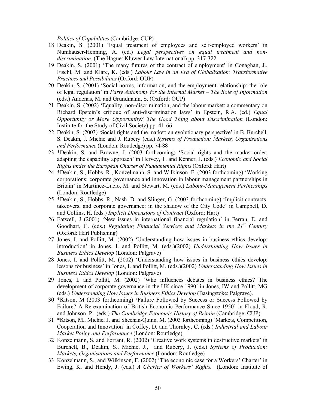*Politics of Capabilities* (Cambridge: CUP)

- 18 Deakin, S. (2001) 'Equal treatment of employees and self-employed workers' in Numhauser-Henning, A. (ed.) *Legal perspectives on equal treatment and nondiscrimination.* (The Hague: Kluwer Law International) pp. 317-322.
- 19 Deakin, S. (2001) 'The many futures of the contract of employment' in Conaghan, J., Fischl, M. and Klare, K. (eds.) *Labour Law in an Era of Globalisation: Transformative Practices and Possibilities* (Oxford: OUP)
- 20 Deakin, S. (2001) 'Social norms, information, and the employment relationship: the role of legal regulation' in *Party Autonomy for the Internal Market – The Role of Information* (eds.) Andenas, M. and Grundmann, S. (Oxford: OUP)
- 21 Deakin, S. (2002) 'Equality, non-discrimination, and the labour market: a commentary on Richard Epstein's critique of anti-discrimination laws' in Epstein, R.A. (ed.) *Equal Opportunity or More Opportunity? The Good Thing about Discrimination* (London: Institute for the Study of Civil Society) pp. 41-66
- 22 Deakin, S. (2003) 'Social rights and the market: an evolutionary perspective' in B. Burchell, S. Deakin, J. Michie and J. Rubery (eds.) *Systems of Production: Markets, Organisations and Performance* (London: Routledge) pp. 74-88
- 23 \*Deakin, S. and Browne, J. (2003 forthcoming) 'Social rights and the market order: adapting the capability approach' in Hervey, T. and Kenner, J. (eds.) *Economic and Social Rights under the European Charter of Fundamental Rights* (Oxford: Hart)
- 24 \*Deakin, S., Hobbs, R., Konzelmann, S. and Wilkinson, F. (2003 forthcoming) 'Working corporations: corporate governance and innovation in labour management partnerships in Britain' in Martinez-Lucio, M. and Stewart, M. (eds.) *Labour-Management Partnerships* (London: Routledge)
- 25 \*Deakin, S., Hobbs, R., Nash, D. and Slinger, G. (2003 forthcoming) 'Implicit contracts, takeovers, and corporate governance: in the shadow of the City Code' in Campbell, D. and Collins, H. (eds.) *Implicit Dimensions of Contract* (Oxford: Hart)
- 26 Eatwell, J (2001) 'New issues in international financial regulation' in Ferran, E. and Goodhart, C. (eds.) *Regulating Financial Services and Markets in the 21st Century* (Oxford: Hart Publishing)
- 27 Jones, I. and Pollitt, M. (2002) 'Understanding how issues in business ethics develop: introduction' in Jones, I. and Pollitt, M. (eds.)(2002) *Understanding How Issues in Business Ethics Develop* (London: Palgrave)
- 28 Jones, I. and Pollitt, M. (2002) 'Understanding how issues in business ethics develop: lessons for business' in Jones, I. and Pollitt, M. (eds.)(2002) *Understanding How Issues in Business Ethics Develop* (London: Palgrave)
- 29 Jones, I. and Pollitt, M. (2002) 'Who influences debates in business ethics? The development of corporate governance in the UK since 1990' in Jones, IW and Pollitt, MG (eds.) *Understanding How Issues in Business Ethics Develop* (Basingstoke: Palgrave).
- 30 \*Kitson, M (2003 forthcoming) **'**Failure Followed by Success or Success Followed by Failure? A Re-examination of British Economic Performance Since 1950' in Floud, R. and Johnson, P. (eds.) *The Cambridge Economic History of Britain* (Cambridge: CUP)
- 31 \*Kitson, M., Michie, J. and Sheehan-Quinn, M. (2003 forthcoming) 'Markets, Competition, Cooperation and Innovation' in Coffey, D. and Thornley, C. (eds.) *Industrial and Labour Market Policy and Performance* (London: Routledge)
- 32 Konzelmann, S. and Forrant, R. (2002) 'Creative work systems in destructive markets' in Burchell, B., Deakin, S., Michie, J., and Rubery, J. (eds.) *Systems of Production: Markets, Organisations and Performance* (London: Routledge)
- 33 Konzelmann, S., and Wilkinson, F. (2002) 'The economic case for a Workers' Charter' in Ewing, K. and Hendy, J. (eds.) *A Charter of Workers' Rights.* (London: Institute of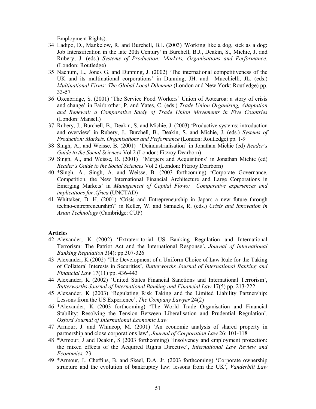Employment Rights).

- 34 Ladipo, D., Mankelow, R. and Burchell, B.J. (2003) 'Working like a dog, sick as a dog: Job Intensification in the late 20th Century' in Burchell, B.J., Deakin, S., Michie, J. and Rubery, J. (eds.) *Systems of Production: Markets, Organisations and Performance*. (London: Routledge)
- 35 Nachum, L., Jones G. and Dunning, J. (2002) 'The international competitiveness of the UK and its multinational corporations' in Dunning, JH. and Mucchielli, JL. (eds.) *Multinational Firms: The Global Local Dilemma* (London and New York: Routledge) pp. 33-57
- 36 Oxenbridge, S. (2001) 'The Service Food Workers' Union of Aotearoa: a story of crisis and change' in Fairbrother, P. and Yates, C. (eds.) *Trade Union Organising, Adaptation and Renewal: a Comparative Study of Trade Union Movements in Five Countries* (London: Mansell)
- 37 Rubery, J., Burchell, B., Deakin, S. and Michie, J. (2003) 'Productive systems: introduction and overview' in Rubery, J., Burchell, B., Deakin, S. and Michie, J. (eds.) *Systems of Production: Markets, Organisations and Performance* (London: Routledge) pp. 1-9
- 38 Singh, A., and Weisse, B. (2001) 'Deindustrialisation' in Jonathan Michie (ed) *Reader's Guide to the Social Sciences* Vol 2 (London: Fitzroy Dearborn)
- 39 Singh, A., and Weisse, B. (2001) 'Mergers and Acquisitions' in Jonathan Michie (ed) *Reader's Guide to the Social Sciences* Vol 2 (London: Fitzroy Dearborn)
- 40 \*Singh, A., Singh, A. and Weisse, B. (2003 forthcoming) 'Corporate Governance, Competition, the New International Financial Architecture and Large Corporations in Emerging Markets' in *Management of Capital Flows: Comparative experiences and implications for Africa* (UNCTAD)
- 41 Whittaker, D. H. (2001) 'Crisis and Entrepreneurship in Japan: a new future through techno-entrepreneurship?' in Keller, W. and Samuels, R. (eds.) *Crisis and Innovation in Asian Technology* (Cambridge: CUP)

### **Articles**

- 42 Alexander, K (2002) 'Extraterritorial US Banking Regulation and International Terrorism: The Patriot Act and the International Response'**,** *Journal of International Banking Regulation* 3(4): pp.307-326
- 43 Alexander, K (2002) 'The Development of a Uniform Choice of Law Rule for the Taking of Collateral Interests in Securities', *Butterworths Journal of International Banking and Financial Law* 17(11) pp. 436-443
- 44 Alexander, K (2002) 'United States Financial Sanctions and International Terrorism'**,**  *Butterworths Journal of International Banking and Financial Law* 17(5) pp. 213-222
- 45 Alexander, K (2003) 'Regulating Risk Taking and the Limited Liability Partnership: Lessons from the US Experience', *The Company Lawyer* 24(2)
- 46 \*Alexander, K (2003 forthcoming) 'The World Trade Organisation and Financial Stability: Resolving the Tension Between Liberalisation and Prudential Regulation', *Oxford Journal of International Economic Law*
- 47 Armour, J. and Whincop, M. (2001) 'An economic analysis of shared property in partnership and close corporations law', *Journal of Corporation Law* 26: 101-118
- 48 \*Armour, J and Deakin, S (2003 forthcoming) 'Insolvency and employment protection: the mixed effects of the Acquired Rights Directive', *International Law Review and Economics,* 23
- 49 \*Armour, J., Cheffins, B. and Skeel, D.A. Jr. (2003 forthcoming) 'Corporate ownership structure and the evolution of bankruptcy law: lessons from the UK', *Vanderbilt Law*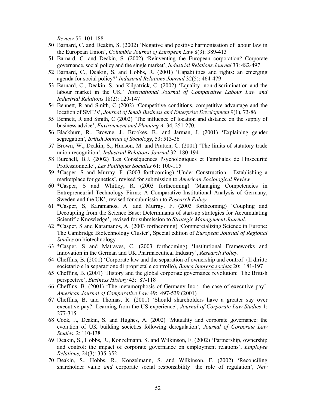*Review* 55: 101-188

- 50 Barnard, C. and Deakin, S. (2002) 'Negative and positive harmonisation of labour law in the European Union', *Columbia Journal of European Law* 8(3): 389-413
- 51 Barnard, C. and Deakin, S. (2002) 'Reinventing the European corporation? Corporate governance, social policy and the single market', *Industrial Relations Journal* 33: 482-497
- 52 Barnard, C., Deakin, S. and Hobbs, R. (2001) 'Capabilities and rights: an emerging agenda for social policy?' *Industrial Relations Journal* 32(5): 464-479
- 53 Barnard, C., Deakin, S. and Kilpatrick, C. (2002) 'Equality, non-discrimination and the labour market in the UK.' *International Journal of Comparative Labour Law and Industrial Relations* 18(2): 129-147
- 54 Bennett, R and Smith, C (2002) 'Competitive conditions, competitive advantage and the location of SME's', *Journal of Small Business and Enterprise Development* 9(1), 73-86
- 55 Bennett, R and Smith, C (2002) 'The influence of location and distance on the supply of business advice', *Environment and Planning A* 34, 251-270.
- 56 Blackburn, R., Browne, J., Brookes, B., and Jarman, J. (2001) 'Explaining gender segregation', *British Journal of Sociology*, 53: 513-36
- 57 Brown, W., Deakin, S., Hudson, M. and Pratten, C. (2001) 'The limits of statutory trade union recognition', *Industrial Relations Journal* 32: 180-194
- 58 Burchell, B.J. (2002) 'Les Conséquences Psychologiques et Familiales de l'Insécurité Professionnelle', *Les Politiques Sociales* 61: 100-115
- 59 \*Casper, S and Murray, F. (2003 forthcoming) 'Under Construction: Establishing a marketplace for genetics', revised for submission to *American Sociological Review*
- 60 \*Casper, S and Whitley, R. (2003 forthcoming) 'Managing Competencies in Entrepreneurial Technology Firms: A Comparative Institutional Analysis of Germany, Sweden and the UK', revised for submission to *Research Policy*.
- 61 \*Casper, S, Karamanos, A. and Murray, F. (2003 forthcoming) 'Coupling and Decoupling from the Science Base: Determinants of start-up strategies for Accumulating Scientific Knowledge', revised for submission to *Strategic Management Journal*.
- 62 \*Casper, S and Karamanos, A. (2003 forthcoming) 'Commercializing Science in Europe: The Cambridge Biotechnology Cluster', Special edition of *European Journal of Regional Studies* on biotechnology
- 63 \*Casper, S and Matraves, C. (2003 forthcoming) 'Institutional Frameworks and Innovation in the German and UK Pharmaceutical Industry', *Research Policy.*
- 64 Cheffins, B. (2001) 'Corporate law and the separation of ownership and control' (Il diritto societario e la separazione di proprieta' e controllo), *Banca impresa societa* 20: 181-197
- 65 Cheffins, B. (2001) 'History and the global corporate governance revolution: The British perspective', *Business History* 43: 87-118
- 66 Cheffins, B. (2001) 'The metamorphosis of Germany Inc.: the case of executive pay', *American Journal of Comparative Law* 49: 497-539 (2001)
- 67 Cheffins, B. and Thomas, R. (2001) 'Should shareholders have a greater say over executive pay? Learning from the US experience', *Journal of Corporate Law Studies* 1: 277-315
- 68 Cook, J., Deakin, S. and Hughes, A. (2002) 'Mutuality and corporate governance: the evolution of UK building societies following deregulation', *Journal of Corporate Law Studies*, 2: 110-138
- 69 Deakin, S., Hobbs, R., Konzelmann, S. and Wilkinson, F. (2002) 'Partnership, ownership and control: the impact of corporate governance on employment relations', *Employee Relations,* 24(3): 335-352
- 70 Deakin, S., Hobbs, R., Konzelmann, S. and Wilkinson, F. (2002) 'Reconciling shareholder value *and* corporate social responsibility: the role of regulation', *New*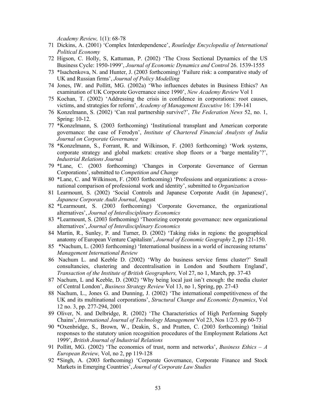*Academy Review,* 1(1): 68-78

- 71 Dickins, A. (2001) 'Complex Interdependence', *Routledge Encyclopedia of International Political Economy*
- 72 Higson, C. Holly, S, Kattuman, P. (2002) 'The Cross Sectional Dynamics of the US Business Cycle: 1950-1999', *Journal of Economic Dynamics and Control* 26. 1539-1555
- 73 \*Isachenkova, N. and Hunter, J. (2003 forthcoming) 'Failure risk: a comparative study of UK and Russian firms', *Journal of Policy Modelling*
- 74 Jones, IW. and Pollitt, MG. (2002a) 'Who influences debates in Business Ethics? An examination of UK Corporate Governance since 1990', *New Academy Review* Vol 1
- 75 Kochan, T. (2002) 'Addressing the crisis in confidence in corporations: root causes, victims, and strategies for reform', *Academy of Management Executive* 16: 139-141
- 76 Konzelmann, S. (2002) 'Can real partnership survive?', *The Federation News* 52, no. 1, Spring: 10-12.
- 77 \*Konzelmann, S. (2003 forthcoming) 'Institutional transplant and American corporate governance: the case of Ferodyn', *Institute of Chartered Financial Analysts of India Journal on Corporate Governance*
- 78 \*Konzelmann, S., Forrant, R. and Wilkinson, F. (2003 forthcoming) 'Work systems, corporate strategy and global markets: creative shop floors or a 'barge mentality'?', *Industrial Relations Journal*
- 79 \*Lane, C. (2003 forthcoming) 'Changes in Corporate Governance of German Corporations', submitted to *Competition and Change*
- 80 \*Lane, C. and Wilkinson, F. (2003 forthcoming) 'Professions and organizations: a crossnational comparison of professional work and identity', submitted to *Organization*
- 81 Learmount, S. (2002) 'Social Controls and Japanese Corporate Audit (in Japanese)', *Japanese Corporate Audit Journal*, August
- 82 \*Learmount, S. (2003 forthcoming) 'Corporate Governance, the organizational alternatives', *Journal of Interdisciplinary Economics*
- 83 \*Learmount, S. (2003 forthcoming) 'Theorizing corporate governance: new organizational alternatives', *Journal of Interdisciplinary Economics*
- 84 Martin, R., Sunley, P. and Turner, D. (2002) 'Taking risks in regions: the geographical anatomy of European Venture Capitalism', *Journal of Economic Geography* 2, pp 121-150.
- 85 \*Nachum, L. (2003 forthcoming) 'International business in a world of increasing returns' *Management International Review*
- 86 Nachum L. and Keeble D. (2002) 'Why do business service firms cluster?' Small consultancies, clustering and decentralisation in London and Southern England', *Transaction of the Institute of British Geographers,* Vol 27, no 1, March, pp. 37-43
- 87 Nachum, L and Keeble, D. (2002) 'Why being local just isn't enough: the media cluster of Central London', *Business Strategy Review* Vol 13, no 1, Spring, pp. 27-43
- 88 Nachum, L., Jones G. and Dunning, J. (2002) 'The international competitiveness of the UK and its multinational corporations', *Structural Change and Economic Dynamics*, Vol 12 no. 3, pp. 277-294, 2001
- 89 Oliver, N. and Delbridge, R. (2002) 'The Characteristics of High Performing Supply Chains', *International Journal of Technology Management* Vol 23, Nos 1/2/3. pp 60-73
- 90 \*Oxenbridge, S., Brown, W., Deakin, S., and Pratten, C. (2003 forthcoming) 'Initial responses to the statutory union recognition procedures of the Employment Relations Act 1999', *British Journal of Industrial Relations*
- 91 Pollitt, MG. (2002) 'The economics of trust, norm and networks', *Business Ethics A European Review,* Vol, no 2, pp 119-128
- 92 \*Singh, A. (2003 forthcoming) 'Corporate Governance, Corporate Finance and Stock Markets in Emerging Countries', *Journal of Corporate Law Studies*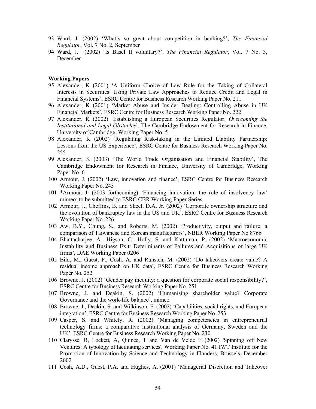- 93 Ward, J. (2002) 'What's so great about competition in banking?', *The Financial Regulator*, Vol. 7 No. 2, September
- 94 Ward, J. (2002) 'Is Basel II voluntary?', *The Financial Regulator*, Vol. 7 No. 3, December

### **Working Papers**

- 95 Alexander, K (2001) **'**A Uniform Choice of Law Rule for the Taking of Collateral Interests in Securities: Using Private Law Approaches to Reduce Credit and Legal in Financial Systems', ESRC Centre for Business Research Working Paper No. 211
- 96 Alexander, K (2001) 'Market Abuse and Insider Dealing: Controlling Abuse in UK Financial Markets', ESRC Centre for Business Research Working Paper No. 222
- 97 Alexander, K (2002) 'Establishing a European Securities Regulator: *Overcoming the Institutional and Legal Obstacles*', The Cambridge Endowment for Research in Finance, University of Cambridge, Working Paper No. 5
- 98 Alexander, K (2002) 'Regulating Risk-taking in the Limited Liability Partnership: Lessons from the US Experience', ESRC Centre for Business Research Working Paper No. 255
- 99 Alexander, K (2003) 'The World Trade Organisation and Financial Stability', The Cambridge Endowment for Research in Finance, University of Cambridge, Working Paper No. 6
- 100 Armour, J. (2002) 'Law, innovation and finance', ESRC Centre for Business Research Working Paper No. 243
- 101 \*Armour, J. (2003 forthcoming) 'Financing innovation: the role of insolvency law' mimeo; to be submitted to ESRC CBR Working Paper Series
- 102 Armour, J., Cheffins, B. and Skeel, D.A. Jr. (2002) 'Corporate ownership structure and the evolution of bankruptcy law in the US and UK', ESRC Centre for Business Research Working Paper No. 226
- 103 Aw, B.Y., Chung, S., and Roberts, M. (2002) 'Productivity, output and failure: a comparison of Taiwanese and Korean manufacturers', NBER Working Paper No 8766
- 104 Bhattacharjee, A., Higson, C., Holly, S. and Kattuman, P. (2002) 'Macroeconomic Instability and Business Exit: Determinants of Failures and Acquisitions of large UK firms', DAE Working Paper 0206
- 105 Bild, M., Guest, P., Cosh, A. and Runsten, M. (2002) 'Do takeovers create value? A residual income approach on UK data', ESRC Centre for Business Research Working Paper No. 252
- 106 Browne, J. (2002) 'Gender pay inequity: a question for corporate social responsibility?', ESRC Centre for Business Research Working Paper No. 251
- 107 Browne, J. and Deakin, S. (2002) 'Humanising shareholder value? Corporate Governance and the work-life balance', mimeo
- 108 Browne, J., Deakin, S. and Wilkinson, F. (2002) 'Capabilities, social rights, and European integration', ESRC Centre for Business Research Working Paper No. 253
- 109 Casper, S. and Whitely, R. (2002) 'Managing competencies in entrepreneurial technology firms: a comparative institutional analysis of Germany, Sweden and the UK', ESRC Centre for Business Research Working Paper No. 230.
- 110 Clarysse, B, Lockett, A, Quince, T and Van de Velde E (2002) 'Spinning off New Ventures: A typology of facilitating services', Working Paper No. 41 IWT Institute for the Promotion of Innovation by Science and Technology in Flanders, Brussels, December 2002
- 111 Cosh, A.D., Guest, P.A. and Hughes, A. (2001) 'Managerial Discretion and Takeover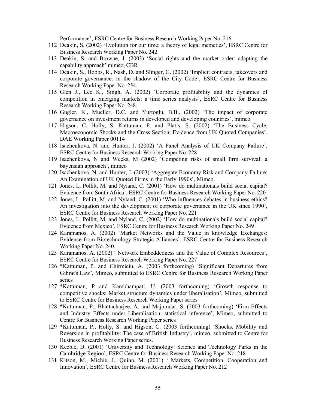Performance', ESRC Centre for Business Research Working Paper No. 216

- 112 Deakin, S. (2002) 'Evolution for our time: a theory of legal memetics', ESRC Centre for Business Research Working Paper No. 242
- 113 Deakin, S. and Browne, J. (2003) 'Social rights and the market order: adapting the capability approach' mimeo, CBR
- 114 Deakin, S., Hobbs, R., Nash, D. and Slinger, G. (2002) 'Implicit contracts, takeovers and corporate governance: in the shadow of the City Code', ESRC Centre for Business Research Working Paper No. 254.
- 115 Glen J., Lee K., Singh, A. (2002) 'Corporate profitability and the dynamics of competition in emerging markets: a time series analysis', ESRC Centre for Business Research Working Paper No. 248.
- 116 Gugler, K., Mueller, D.C. and Yurtoglu, B.B., (2002) 'The impact of corporate governance on investment returns in developed and developing countries', mimeo
- 117 Higson, C. Holly, S. Kattuman, P. and Platis, S. (2002) 'The Business Cycle, Macroeconomic Shocks and the Cross Section: Evidence from UK Quoted Companies', DAE Working Paper 00114
- 118 Isachenkova, N. and Hunter, J. (2002) 'A Panel Analysis of UK Company Failure', ESRC Centre for Business Research Working Paper No. 228
- 119 Isachenkova, N and Weeks, M (2002) 'Competing risks of small firm survival: a bayensian approach', mimeo
- 120 Isachenkova, N. and Hunter, J. (2003) 'Aggregate Economy Risk and Company Failure: An Examination of UK Quoted Firms in the Early 1990s', Mimeo.
- 121 Jones, I., Pollitt, M. and Nyland, C. (2001) 'How do multinationals build social capital? Evidence from South Africa', ESRC Centre for Business Research Working Paper No. 220
- 122 Jones, I., Pollitt, M. and Nyland, C. (2001) 'Who influences debates in business ethics? An investigation into the development of corporate governance in the UK since 1990', ESRC Centre for Business Research Working Paper No. 221
- 123 Jones, I., Pollitt, M. and Nyland, C. (2002) 'How do multinationals build social capital? Evidence from Mexico', ESRC Centre for Business Research Working Paper No. 249
- 124 Karamanos, A. (2002) 'Market Networks and the Value in knowledge Exchanges: Evidence from Biotechnology Strategic Alliances', ESRC Centre for Business Research Working Paper No. 240.
- 125 Karamanos, A. (2002) ' Network Embeddedness and the Value of Complex Resources', ESRC Centre for Business Research Working Paper No. 227
- 126 \*Kattuman, P. and Chirmiciu, A. (2003 forthcoming) 'Significant Departures from Gibrat's Law', Mimeo, submitted to ESRC Centre for Business Research Working Paper series
- 127 \*Kattuman, P and Kambhampati, U. (2003 forthcoming) 'Growth response to competitive shocks: Market structure dynamics under liberalisation', Mimeo, submitted to ESRC Centre for Business Research Working Paper series
- 128 **\***Kattuman, P., Bhattacharjee, A. and Majumdar, S. (2003 forthcoming) 'Firm Effects and Industry Effects under Liberalisation: statistical inference', Mimeo, submitted to Centre for Business Research Working Paper series
- 129 \*Kattuman, P., Holly, S. and Higson, C. (2003 forthcoming) 'Shocks, Mobility and Reversion in profitability: The case of British Industry', mimeo, submitted to Centre for Business Research Working Paper series.
- 130 Keeble, D. (2001) 'University and Technology: Science and Technology Parks in the Cambridge Region', ESRC Centre for Business Research Working Paper No. 218
- 131 Kitson, M., Michie, J., Quinn, M. (2001) ' Markets, Competition, Cooperation and Innovation', ESRC Centre for Business Research Working Paper No. 212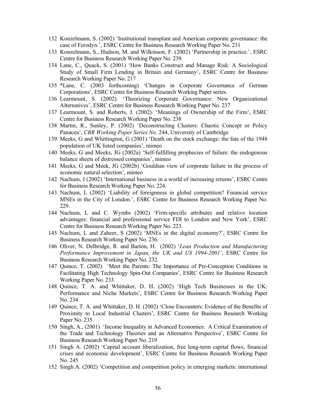- 132 Konzelmann, S. (2002) 'Institutional transplant and American corporate governance: the case of Ferodyn.', ESRC Centre for Business Research Working Paper No. 231
- 133 Konzelmann, S., Hudson, M. and Wilkinson, F. (2002) 'Partnership in practice.', ESRC Centre for Business Research Working Paper No. 239.
- 134 Lane, C., Quack, S. (2001) 'How Banks Construct and Manage Risk: A Sociological Study of Small Firm Lending in Britain and Germany', ESRC Centre for Business Research Working Paper No. 217
- 135 \*Lane, C. (2003 forthcoming) 'Changes in Corporate Governance of German Corporations', ESRC Centre for Business Research Working Paper series.
- 136 Learmount, S. (2002). 'Theorizing Corporate Governance: New Organizational Alternatives', ESRC Centre for Business Research Working Paper No. 237
- 137 Learmount, S. and Roberts, J. (2002). 'Meanings of Ownership of the Firm', ESRC Centre for Business Research Working Paper No. 238
- 138 Martin, R., Sunley, P. (2002) 'Deconstructing Clusters: Chaotic Concept or Policy Panacea', *CBR Working Paper Series No.* 244, University of Cambridge
- 139 Meeks, G and Whittington, G (2001) 'Death on the stock exchange: the fate of the 1948 population of UK listed companies', mimeo
- 140 Meeks, G and Meeks, JG (2002a) 'Self-fulfilling prophecies of failure: the endogenous balance sheets of distressed companies', mimeo
- 141 Meeks, G and Meek, JG (2002b) 'Gouldian view of corporate failure in the process of economic natural selection', mimeo
- 142 Nachum, J (2002) 'International business in a world of increasing returns', ESRC Centre for Business Research Working Paper No. 224.
- 143 Nachum, L (2002) 'Liability of foreignness in global competition? Financial service MNEs in the City of London.', ESRC Centre for Business Research Working Paper No. 229.
- 144 Nachum, L and C. Wymbs (2002) 'Firm-specific attributes and relative location advantages: financial and professional service FDI to London and New York', ESRC Centre for Business Research Working Paper No. 223.
- 145 Nachum, L and Zaheer, S (2002) 'MNEs in the digital economy?', ESRC Centre for Business Research Working Paper No. 236.
- 146 Oliver, N. Delbridge, R. and Barton, H. (2002) '*Lean Production and Manufacturing Performance Improvement in Japan, the UK and US 1994-2001'*, ESRC Centre for Business Research Working Paper No. 232.
- 147 Quince, T. (2002) 'Meet the Parents: The Importance of Pre-Conception Conditions in Facilitating High Technology Spin-Out Companies', ESRC Centre for Business Research Working Paper No. 233.
- 148 Quince, T. A. and Whittaker, D. H. (2002) 'High Tech Businesses in the UK: Performance and Niche Markets', ESRC Centre for Business Research Working Paper No. 234
- 149 Quince, T. A. and Whittaker, D. H. (2002) 'Close Encounters: Evidence of the Benefits of Proximity to Local Industrial Clusters', ESRC Centre for Business Research Working Paper No. 235
- 150 Singh, A., (2001) 'Income Inequality in Advanced Economies: A Critical Examination of the Trade and Technology Theories and an Alternative Perspective', ESRC Centre for Business Research Working Paper No. 219
- 151 Singh A. (2002) 'Capital account liberalization, free long-term capital flows, financial crises and economic development', ESRC Centre for Business Research Working Paper No. 245
- 152 Singh A. (2002) 'Competition and competition policy in emerging markets: international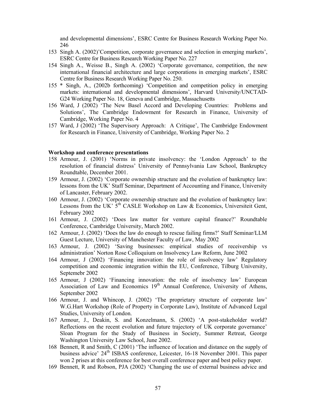and developmental dimensions', ESRC Centre for Business Research Working Paper No. 246

- 153 Singh A. (2002)'Competition, corporate governance and selection in emerging markets', ESRC Centre for Business Research Working Paper No. 227
- 154 Singh A., Weisse B., Singh A. (2002) 'Corporate governance, competition, the new international financial architecture and large corporations in emerging markets', ESRC Centre for Business Research Working Paper No. 250.
- 155 \* Singh, A., (2002b forthcoming) 'Competition and competition policy in emerging markets: international and developmental dimensions', Harvard University/UNCTAD-G24 Working Paper No. 18, Geneva and Cambridge, Massachusetts
- 156 Ward, J (2002) 'The New Basel Accord and Developing Countries: Problems and Solutions', The Cambridge Endowment for Research in Finance, University of Cambridge, Working Paper No. 4
- 157 Ward, J (2002) 'The Supervisory Approach: A Critique', The Cambridge Endowment for Research in Finance, University of Cambridge, Working Paper No. 2

### **Workshop and conference presentations**

- 158 Armour, J. (2001) 'Norms in private insolvency: the 'London Approach' to the resolution of financial distress' University of Pennsylvania Law School, Bankruptcy Roundtable, December 2001.
- 159 Armour, J. (2002) 'Corporate ownership structure and the evolution of bankruptcy law: lessons from the UK' Staff Seminar, Department of Accounting and Finance, University of Lancaster, February 2002.
- 160 Armour, J. (2002) 'Corporate ownership structure and the evolution of bankruptcy law: Lessons from the UK'  $5<sup>th</sup>$  CASLE Workshop on Law & Economics, Universiteit Gent, February 2002
- 161 Armour, J. (2002) 'Does law matter for venture capital finance?' Roundtable Conference, Cambridge University, March 2002.
- 162 Armour, J. (2002) 'Does the law do enough to rescue failing firms?' Staff Seminar/LLM Guest Lecture, University of Manchester Faculty of Law, May 2002
- 163 Armour, J. (2002) 'Saving businesses: empirical studies of receivership vs administration' Norton Rose Colloquium on Insolvency Law Reform, June 2002
- 164 Armour, J (2002) 'Financing innovation: the role of insolvency law' Regulatory competition and economic integration within the EU, Conference, Tilburg University, Septemebr 2002
- 165 Armour, J (2002) 'Financing innovation: the role of insolvency law' European Association of Law and Economics 19<sup>th</sup> Annual Conference, University of Athens, September 2002
- 166 Armour, J. and Whincop, J. (2002) 'The proprietary structure of corporate law' W.G.Hart Workshop (Role of Property in Corporate Law), Institute of Advanced Legal Studies, University of London.
- 167 Armour, J., Deakin, S. and Konzelmann, S. (2002) 'A post-stakeholder world? Reflections on the recent evolution and future trajectory of UK corporate governance' Sloan Program for the Study of Business in Society, Summer Retreat, George Washington University Law School, June 2002.
- 168 Bennett, R and Smith, C (2001) 'The influence of location and distance on the supply of business advice' 24<sup>th</sup> ISBAS conference, Leicester, 16-18 November 2001. This paper won 2 prises at this conference for best overall conference paper and best policy paper.
- 169 Bennett, R and Robson, PJA (2002) 'Changing the use of external business advice and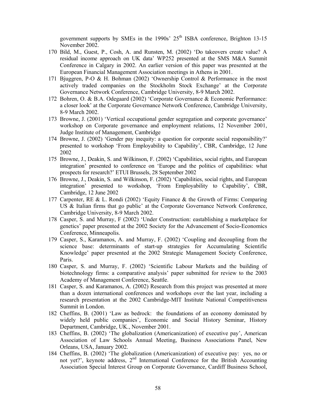government supports by SMEs in the 1990s'  $25<sup>th</sup>$  ISBA conference, Brighton 13-15 November 2002.

- 170 Bild, M., Guest, P., Cosh, A. and Runsten, M. (2002) 'Do takeovers create value? A residual income approach on UK data' WP252 presented at the SMS M&A Summit Conference in Calgary in 2002. An earlier version of this paper was presented at the European Financial Management Association meetings in Athens in 2001.
- 171 Bjuggren, P-O & H. Bohman (2002) 'Ownership Control & Performance in the most actively traded companies on the Stockholm Stock Exchange' at the Corporate Governance Network Conference, Cambridge University, 8-9 March 2002.
- 172 Bohren, O. & B.A. Odegaard (2002) 'Corporate Governance & Economic Performance: a closer look' at the Corporate Governance Network Conference, Cambridge University, 8-9 March 2002.
- 173 Browne, J. (2001) 'Vertical occupational gender segregation and corporate governance' workshop on Corporate governance and employment relations, 12 November 2001, Judge Institute of Management, Cambridge
- 174 Browne, J. (2002) 'Gender pay inequity: a question for corporate social responsibility?' presented to workshop 'From Employability to Capability', CBR, Cambridge, 12 June 2002
- 175 Browne, J., Deakin, S. and Wilkinson, F. (2002) 'Capabilities, social rights, and European integration' presented to conference on 'Europe and the politics of capabilities: what prospects for research?' ETUI Brussels, 28 September 2002
- 176 Browne, J., Deakin, S. and Wilkinson, F. (2002) 'Capabilities, social rights, and European integration' presented to workshop, 'From Employability to Capability', CBR, Cambridge, 12 June 2002
- 177 Carpenter, RE & L. Rondi (2002) 'Equity Finance & the Growth of Firms: Comparing US & Italian firms that go public' at the Corporate Governance Network Conference, Cambridge University, 8-9 March 2002.
- 178 Casper, S. and Murray, F (2002) 'Under Construction: eastablishing a marketplace for genetics' paper presented at the 2002 Society for the Advancement of Socio-Economics Conference, Minneapolis.
- 179 Casper, S., Karamanos, A. and Murray, F. (2002) 'Coupling and decoupling from the science base: determinants of start-up strategies for Accumulating Scientific Knowledge' paper presented at the 2002 Strategic Management Society Conference, Paris.
- 180 Casper, S. and Murray, F. (2002) 'Scientific Labour Markets and the building of biotechnology firms: a comparative analysis' paper submitted for review to the 2003 Academy of Management Conference, Seattle.
- 181 Casper, S. and Karamanos, A. (2002) Research from this project was presented at more than a dozen international conferences and workshops over the last year, including a research presentation at the 2002 Cambridge-MIT Institute National Competitiveness Summit in London.
- 182 Cheffins, B. (2001) 'Law as bedrock: the foundations of an economy dominated by widely held public companies', Economic and Social History Seminar, History Department, Cambridge, UK., November 2001.
- 183 Cheffins, B. (2002) 'The globalization (Americanization) of executive pay', American Association of Law Schools Annual Meeting, Business Associations Panel, New Orleans, USA, January 2002.
- 184 Cheffins, B. (2002) 'The globalization (Americanization) of executive pay: yes, no or not yet?', keynote address, 2<sup>nd</sup> International Conference for the British Accounting Association Special Interest Group on Corporate Governance, Cardiff Business School,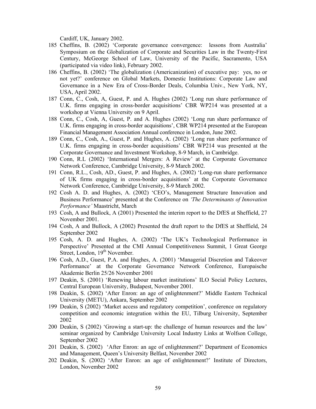Cardiff, UK, January 2002.

- 185 Cheffins, B. (2002) 'Corporate governance convergence: lessons from Australia' Symposium on the Globalization of Corporate and Securities Law in the Twenty-First Century, McGeorge School of Law, University of the Pacific, Sacramento, USA (participated via video link), February 2002.
- 186 Cheffins, B. (2002) 'The globalization (Americanization) of executive pay: yes, no or not yet?' conference on Global Markets, Domestic Institutions: Corporate Law and Governance in a New Era of Cross-Border Deals, Columbia Univ., New York, NY, USA, April 2002.
- 187 Conn, C., Cosh, A, Guest, P. and A. Hughes (2002) 'Long run share performance of U.K. firms engaging in cross-border acquisitions' CBR WP214 was presented at a workshop at Vienna University on 9 April.
- 188 Conn, C., Cosh, A, Guest, P. and A. Hughes (2002) 'Long run share performance of U.K. firms engaging in cross-border acquisitions', CBR WP214 presented at the European Financial Management Association Annual conference in London, June 2002.
- 189 Conn, C., Cosh, A., Guest, P. and Hughes, A. (2002) 'Long run share performance of U.K. firms engaging in cross-border acquisitions' CBR WP214 was presented at the Corporate Governance and Investment Workshop, 8-9 March, in Cambridge.
- 190 Conn, R.L (2002) 'International Mergers: A Review' at the Corporate Governance Network Conference, Cambridge University, 8-9 March 2002.
- 191 Conn, R.L., Cosh, AD., Guest, P. and Hughes, A. (2002) 'Long-run share performance of UK firms engaging in cross-border acquisitions' at the Corporate Governance Network Conference, Cambridge University, 8-9 March 2002.
- 192 Cosh A. D. and Hughes, A. (2002) 'CEO's, Management Structure Innovation and Business Performance' presented at the Conference on *'The Determinants of Innovation Performance'* Maastricht, March
- 193 Cosh, A and Bullock, A (2001) Presented the interim report to the DfES at Sheffield, 27 November 2001.
- 194 Cosh, A and Bullock, A (2002) Presented the draft report to the DfES at Sheffield, 24 September 2002
- 195 Cosh, A. D. and Hughes, A. (2002) 'The UK's Technological Performance in Perspective' Presented at the CMI Annual Competitiveness Summit, 1 Great George Street, London, 19<sup>th</sup> November.
- 196 Cosh, A.D., Guest, P.A. and Hughes, A. (2001) 'Managerial Discretion and Takeover Performance' at the Corporate Governance Network Conference, Europaische Akademie Berlin 25/26 November 2001
- 197 Deakin, S. (2001) 'Renewing labour market institutions' ILO Social Policy Lectures, Central European University, Budapest, November 2001.
- 198 Deakin, S. (2002) 'After Enron: an age of enlightenment?' Middle Eastern Technical University (METU), Ankara, September 2002
- 199 Deakin, S (2002) 'Market access and regulatory competition', conference on regulatory competition and economic integration within the EU, Tilburg University, September 2002
- 200 Deakin, S (2002) 'Growing a start-up: the challenge of human resources and the law' seminar organized by Cambridge University Local Industry Links at Wolfson College, September 2002
- 201 Deakin, S. (2002) 'After Enron: an age of enlightenment?' Department of Economics and Management, Queen's University Belfast, November 2002
- 202 Deakin, S. (2002) 'After Enron: an age of enlightenment?' Institute of Directors, London, November 2002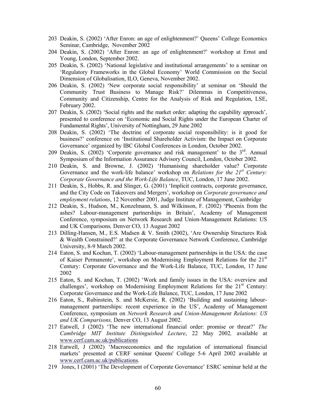- 203 Deakin, S. (2002) 'After Enron: an age of enlightenment?' Queens' College Economics Seminar, Cambridge, November 2002
- 204 Deakin, S. (2002) 'After Enron: an age of enlightenment?' workshop at Ernst and Young, London, September 2002.
- 205 Deakin, S. (2002) 'National legislative and institutional arrangements' to a seminar on 'Regulatory Frameworks in the Global Economy' World Commission on the Social Dimension of Globalisation, ILO, Geneva, November 2002.
- 206 Deakin, S. (2002) 'New corporate social responsibility' at seminar on 'Should the Community Trust Business to Manage Risk?' Dilemmas in Competitiveness, Community and Citizenship, Centre for the Analysis of Risk and Regulation, LSE, February 2002.
- 207 Deakin, S. (2002) 'Social rights and the market order: adapting the capability approach', presented to conference on 'Economic and Social Rights under the European Charter of Fundamental Rights', University of Nottingham, 29 June 2002
- 208 Deakin, S. (2002) 'The doctrine of corporate social responsibility: is it good for business?' conference on 'Institutional Shareholder Activism: the Impact on Corporate Governance' organized by IBC Global Conferences in London, October 2002.
- 209 Deakin, S. (2002) 'Corporate governance and risk management' to the  $3<sup>rd</sup>$ . Annual Symposium of the Information Assurance Advisory Council, London, October 2002.
- 210 Deakin, S. and Browne, J. (2002) 'Humanising shareholder value? Corporate Governance and the work-life balance' workshop on *Relations for the 21<sup>st</sup> Century*: *Corporate Governance and the Work-Life Balance*, TUC, London, 17 June 2002.
- 211 Deakin, S., Hobbs, R. and Slinger, G. (2001) 'Implicit contracts, corporate governance, and the City Code on Takeovers and Mergers', workshop on *Corporate governance and employment relations*, 12 November 2001, Judge Institute of Management, Cambridge
- 212 Deakin, S., Hudson, M., Konzelmann, S. and Wilkinson, F. (2002) 'Phoenix from the ashes? Labour-management partnerships in Britain', Academy of Management Conference, symposium on Network Research and Union-Management Relations: US and UK Comparisons*,* Denver CO, 13 August 2002
- 213 Dilling-Hansen, M., E.S. Madsen & V. Smith (2002), 'Are Ownership Structures Risk & Wealth Constrained?' at the Corporate Governance Network Conference, Cambridge University, 8-9 March 2002.
- 214 Eaton, S. and Kochan, T. (2002) 'Labour-management partnerships in the USA: the case of Kaiser Permanente', workshop on Modernising Employment Relations for the  $21<sup>st</sup>$ Century: Corporate Governance and the Work-Life Balance, TUC, London, 17 June 2002
- 215 Eaton, S. and Kochan, T. (2002) 'Work and family issues in the USA: overview and challenges', workshop on Modernising Employment Relations for the 21<sup>st</sup> Century: Corporate Governance and the Work-Life Balance, TUC, London, 17 June 2002
- 216 Eaton, S., Rubinstein, S. and McKersie, R. (2002) 'Building and sustaining labourmanagement partnerships: recent experience in the US', Academy of Management Conference, symposium on *Network Research and Union-Management Relations: US and UK Comparisons,* Denver CO, 13 August 2002.
- 217 Eatwell, J (2002) 'The new international financial order: promise or threat?' *The Cambridge MIT Institute Distinguished Lecture*, 22 May 2002*,* available at www.cerf.cam.ac.uk/publications
- 218 Eatwell, J (2002) 'Macroeconomics and the regulation of international financial markets' presented at CERF seminar Queens' College 5-6 April 2002 available at www.cerf.cam.ac.uk/publications.
- 219 Jones, I (2001) 'The Development of Corporate Governance' ESRC seminar held at the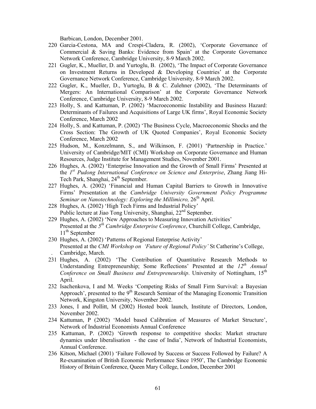Barbican, London, December 2001.

- 220 Garcia-Cestona, MA and Crespi-Cladera, R. (2002), 'Corporate Governance of Commercial & Saving Banks: Evidence from Spain' at the Corporate Governance Network Conference, Cambridge University, 8-9 March 2002.
- 221 Gugler, K., Mueller, D. and Yurtoglu, B. (2002), 'The Impact of Corporate Governance on Investment Returns in Developed & Developing Countries' at the Corporate Governance Network Conference, Cambridge University, 8-9 March 2002.
- 222 Gugler, K., Mueller, D., Yurtoglu, B & C. Zulehner (2002), 'The Determinants of Mergers: An International Comparison' at the Corporate Governance Network Conference, Cambridge University, 8-9 March 2002.
- 223 Holly, S. and Kattuman, P. (2002) 'Macroeconomic Instability and Business Hazard: Determinants of Failures and Acquisitions of Large UK firms', Royal Economic Society Conference, March 2002
- 224 Holly, S. and Kattuman, P. (2002) 'The Business Cycle, Macroeconomic Shocks and the Cross Section: The Growth of UK Quoted Companies', Royal Economic Society Conference, March 2002
- 225 Hudson, M., Konzelmann, S., and Wilkinson, F. (2001) 'Partnership in Practice.' University of Cambridge/MIT (CMI) Workshop on Corporate Governance and Human Resources, Judge Institute for Management Studies, November 2001.
- 226 Hughes, A. (2002) 'Enterprise Innovation and the Growth of Small Firms' Presented at the *1st Pudong International Conference on Science and Enterprise*, Zhang Jiang Hi-Tech Park, Shanghai, 24<sup>th</sup> September.
- 227 Hughes, A. (2002) 'Financial and Human Capital Barriers to Growth in Innovative Firms' Presentation at the *Cambridge University Government Policy Programme Seminar on Nanotechnology: Exploring the Millimicro, 26<sup>th</sup> April.*
- 228 Hughes, A. (2002) 'High Tech Firms and Industrial Policy' Public lecture at Jiao Tong University, Shanghai, 22<sup>nd</sup> September.
- 229 Hughes, A. (2002) 'New Approaches to Measuring Innovation Activities' Presented at the *5th Cambridge Enterprise Conference*, Churchill College, Cambridge,  $11<sup>th</sup>$  September
- 230 Hughes, A. (2002) 'Patterns of Regional Enterprise Activity' Presented at the *CMI Workshop on 'Future of Regional Policy'* St Catherine's College, . Cambridge, March.
- 231 Hughes, A. (2002) 'The Contribution of Quantitative Research Methods to Understanding Entrepreneurship; Some Reflections' Presented at the *12th Annual Conference on Small Business and Entrepreneurship.* University of Nottingham, 15<sup>th</sup> April.
- 232 Isachenkova, I and M. Weeks 'Competing Risks of Small Firm Survival: a Bayesian Approach', presented to the  $9<sup>th</sup>$  Research Seminar of the Managing Economic Transition Network, Kingston University, November 2002.
- 233 Jones, I and Pollitt, M (2002) Hosted book launch, Institute of Directors, London, November 2002.
- 234 Kattuman, P (2002) 'Model based Calibration of Measures of Market Structure', Network of Industrial Economists Annual Conference
- 235 Kattuman, P. (2002) 'Growth response to competitive shocks: Market structure dynamics under liberalisation - the case of India', Network of Industrial Economists, Annual Conference.
- 236 Kitson, Michael (2001) 'Failure Followed by Success or Success Followed by Failure? A Re-examination of British Economic Performance Since 1950', The Cambridge Economic History of Britain Conference, Queen Mary College, London, December 2001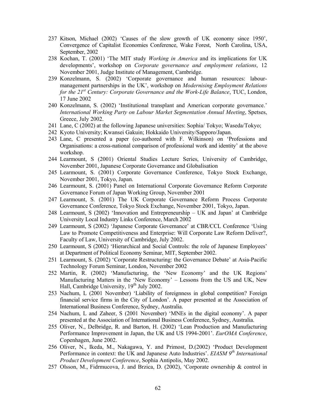- 237 Kitson, Michael (2002) 'Causes of the slow growth of UK economy since 1950', Convergence of Capitalist Economies Conference, Wake Forest, North Carolina, USA, September, 2002
- 238 Kochan, T. (2001) 'The MIT study *Working in America* and its implications for UK developments', workshop on *Corporate governance and employment relations*, 12 November 2001, Judge Institute of Management, Cambridge.
- 239 Konzelmann, S. (2002) 'Corporate governance and human resources: labourmanagement partnerships in the UK', workshop on *Modernising Employment Relations for the 21st Century: Corporate Governance and the Work-Life Balance*, TUC, London, 17 June 2002
- 240 Konzelmann, S. (2002) 'Institutional transplant and American corporate governance.' *International Working Party on Labour Market Segmentation Annual Meeting*, Spetses, Greece, July 2002.
- 241 Lane, C (2002) at the following Japanese universities: Sophia/ Tokyo; Waseda/Tokyo;
- 242 Kyoto University; Kwansei Gakuin; Hokkaido University/Sapporo/Japan.
- 243 Lane, C presented a paper (co-authored with F. Wilkinson) on 'Professions and Organisations: a cross-national comparison of professional work and identity' at the above workshop.
- 244 Learmount, S (2001) Oriental Studies Lecture Series, University of Cambridge, November 2001, Japanese Corporate Governance and Globalisation
- 245 Learmount, S. (2001) Corporate Governance Conference, Tokyo Stock Exchange, November 2001, Tokyo, Japan.
- 246 Learmount, S. (2001) Panel on International Corporate Governance Reform Corporate Governance Forum of Japan Working Group, November 2001
- 247 Learmount, S. (2001) The UK Corporate Governance Reform Process Corporate Governance Conference, Tokyo Stock Exchange, November 2001, Tokyo, Japan.
- 248 Learmount, S (2002) 'Innovation and Entrepreneurship UK and Japan' at Cambridge University Local Industry Links Conference, March 2002
- 249 Learmount, S (2002) 'Japanese Corporate Governance' at CBR/CCL Conference 'Using Law to Promote Competitiveness and Enterprise: Will Corporate Law Reform Deliver?, Faculty of Law, University of Cambridge, July 2002.
- 250 Learmount, S (2002) 'Hierarchical and Social Controls: the role of Japanese Employees' at Department of Political Economy Seminar, MIT, September 2002.
- 251 Learmount, S. (2002) 'Corporate Restructuring: the Governance Debate' at Asia-Pacific Technology Forum Seminar, London, November 2002
- 252 Martin, R. (2002) 'Manufacturing, the 'New Economy' and the UK Regions' Manufacturing Matters in the 'New Economy' – Lessons from the US and UK, New Hall, Cambridge University, 19<sup>th</sup> July 2002.
- 253 Nachum, L (2001 November) 'Liability of foreignness in global competition? Foreign financial service firms in the City of London'. A paper presented at the Association of International Business Conference, Sydney, Australia.
- 254 Nachum, L and Zaheer, S (2001 November) 'MNEs in the digital economy'. A paper presented at the Association of International Business Conference, Sydney, Australia.
- 255 Oliver, N., Delbridge, R. and Barton, H. (2002) 'Lean Production and Manufacturing Performance Improvement in Japan, the UK and US 1994-2001'. *EurOMA Conference*, Copenhagen, June 2002.
- 256 Oliver, N., Ikeda, M., Nakagawa, Y. and Primost, D.(2002) 'Product Development Performance in context: the UK and Japanese Auto Industries'. *EIASM 9th International Product Development Conference*, Sophia Antipolis, May 2002.
- 257 Olsson, M., Fidrmucova, J. and Brzica, D. (2002), 'Corporate ownership & control in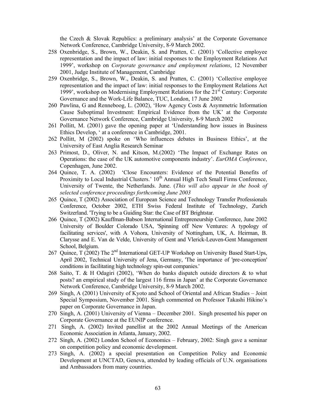the Czech & Slovak Republics: a preliminary analysis' at the Corporate Governance Network Conference, Cambridge University, 8-9 March 2002.

- 258 Oxenbridge, S., Brown, W., Deakin, S. and Pratten, C. (2001) 'Collective employee representation and the impact of law: initial responses to the Employment Relations Act 1999', workshop on *Corporate governance and employment relations*, 12 November 2001, Judge Institute of Management, Cambridge
- 259 Oxenbridge, S., Brown, W., Deakin, S. and Pratten, C. (2001) 'Collective employee representation and the impact of law: initial responses to the Employment Relations Act 1999', workshop on Modernising Employment Relations for the 21st Century: Corporate Governance and the Work-Life Balance, TUC, London, 17 June 2002
- 260 Pawlina, G and Renneboog, L. (2002), 'How Agency Costs & Asymmetric Information Cause Suboptimal Investment: Empirical Evidence from the UK' at the Corporate Governance Network Conference, Cambridge University, 8-9 March 2002
- 261 Pollitt, M. (2001) gave the opening paper at 'Understanding how issues in Business Ethics Develop, ' at a conference in Cambridge, 2001.
- 262 Pollitt, M (2002) spoke on 'Who influences debates in Business Ethics', at the University of East Anglia Research Seminar
- 263 Primost, D., Oliver, N. and Kitson, M.(2002) 'The Impact of Exchange Rates on Operations: the case of the UK automotive components industry'. *EurOMA Conference*, Copenhagen, June 2002.
- 264 Quince, T. A. (2002) 'Close Encounters: Evidence of the Potential Benefits of Proximity to Local Industrial Clusters.'  $10<sup>th</sup>$  Annual High Tech Small Firms Conference, University of Twente, the Netherlands. June. (*This will also appear in the book of selected conference proceedings forthcoming June 2003*
- 265 Quince, T (2002) Association of European Science and Technology Transfer Professionals Conference, October 2002, ETH Swiss Federal Institute of Technology, Zurich Switzerland. 'Trying to be a Guiding Star: the Case of BT Brightstar.
- 266 Quince, T (2002) Kauffman-Babson International Entrepreneurship Conference, June 2002 University of Boulder Colorado USA, 'Spinning off New Ventures: A typology of facilitating services', with A Vohora, University of Nottingham, UK, A. Heirman, B. Clarysse and E. Van de Velde, University of Gent and Vlerick-Leuven-Gent Management School, Belgium.
- 267 Quince, T (2002) The  $2<sup>nd</sup>$  International GET-UP Workshop on University Based Start-Ups, April 2002, Technical University of Jena, Germany, 'The importance of 'pre-conception' conditions in facilitating high technology spin-out companies.'
- 268 Saito, T. & H Odagiri (2002), 'When do banks dispatch outside directors & to what posts? an empirical study of the largest 116 firms in Japan' at the Corporate Governance Network Conference, Cambridge University, 8-9 March 2002.
- 269 Singh, A (2001) University of Kyoto and School of Oriental and African Studies Joint Special Symposium, November 2001. Singh commented on Professor Takashi Hikino's paper on Corporate Governance in Japan.
- 270 Singh, A. (2001) University of Vienna December 2001. Singh presented his paper on Corporate Governance at the EUNIP conference.
- 271 Singh, A. (2002) Invited panellist at the 2002 Annual Meetings of the American Economic Association in Atlanta, January, 2002.
- 272 Singh, A. (2002) London School of Economics February, 2002: Singh gave a seminar on competition policy and economic development.
- 273 Singh, A. (2002) a special presentation on Competition Policy and Economic Development at UNCTAD, Geneva, attended by leading officials of U.N. organisations and Ambassadors from many countries.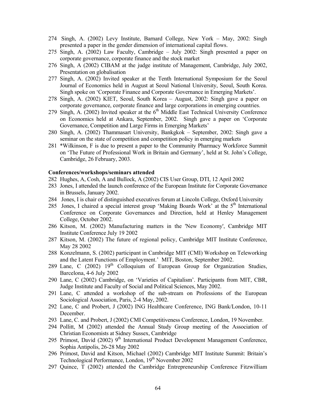- 274 Singh, A. (2002) Levy Institute, Barnard College, New York May, 2002: Singh presented a paper in the gender dimension of international capital flows.
- 275 Singh, A. (2002) Law Faculty, Cambridge July 2002: Singh presented a paper on corporate governance, corporate finance and the stock market
- 276 Singh, A (2002) CIBAM at the judge institute of Management, Cambridge, July 2002, Presentation on globalisation
- 277 Singh, A. (2002) Invited speaker at the Tenth International Symposium for the Seoul Journal of Economics held in August at Seoul National University, Seoul, South Korea. Singh spoke on 'Corporate Finance and Corporate Governance in Emerging Markets'.
- 278 Singh, A. (2002) KIET, Seoul, South Korea August, 2002: Singh gave a paper on corporate governance, corporate finance and large corporations in emerging countries.
- 279 Singh, A.  $(2002)$  Invited speaker at the  $6<sup>th</sup>$  Middle East Technical University Conference on Economics held at Ankara, September, 2002. Singh gave a paper on 'Corporate Governance, Competition and Large Firms in Emerging Markets'
- 280 Singh, A. (2002) Thammasart University, Bankgkok September, 2002: Singh gave a seminar on the state of competition and competition policy in emerging markets
- 281 \*Wilkinson, F is due to present a paper to the Community Pharmacy Workforce Summit on 'The Future of Professional Work in Britain and Germany', held at St. John's College, Cambridge, 26 February, 2003.

#### **Conferences/workshops/seminars attended**

- 282 Hughes, A, Cosh, A and Bullock, A (2002) CIS User Group, DTI, 12 April 2002
- 283 Jones, I attended the launch conference of the European Institute for Corporate Governance in Brussels, January 2002.
- 284 Jones, I is chair of distinguished executives forum at Lincoln College, Oxford University
- 285 Jones, I chaired a special interest group 'Making Boards Work' at the 5<sup>th</sup> International Conference on Corporate Governances and Direction, held at Henley Management College, October 2002.
- 286 Kitson, M. (2002) Manufacturing matters in the 'New Economy', Cambridge MIT Institute Conference July 19 2002
- 287 Kitson, M. (2002) The future of regional policy, Cambridge MIT Institute Conference, May 28 2002
- 288 Konzelmann, S. (2002) participant in Cambridge MIT (CMI) Workshop on Teleworking and the Latent Functions of Employment.' MIT, Boston, September 2002.
- 289 Lane, C (2002)  $19<sup>th</sup>$  Colloquium of European Group for Organization Studies, Barcelona, 4-6 July 2002
- 290 Lane, C (2002) Cambridge, on 'Varieties of Capitalism'. Participants from MIT, CBR, Judge Institute and Faculty of Social and Political Sciences, May 2002.
- 291 Lane, C attended a workshop of the sub-stream on Professions of the European Sociological Association, Paris, 2-4 May, 2002.
- 292 Lane, C and Probert, J (2002) ING Healthcare Conference, ING Bank/London, 10-11 December.
- 293 Lane, C. and Probert, J (2002) CMI Competitiveness Conference, London, 19 November.
- 294 Pollitt, M (2002) attended the Annual Study Group meeting of the Association of Christian Economists at Sidney Sussex, Cambridge
- 295 Primost, David (2002) 9<sup>th</sup> International Product Development Management Conference, Sophia Antipolis, 26-28 May 2002
- 296 Primost, David and Kitson, Michael (2002) Cambridge MIT Institute Summit: Britain's Technological Performance, London, 19<sup>th</sup> November 2002
- 297 Quince, T (2002) attended the Cambridge Entrepreneurship Conference Fitzwilliam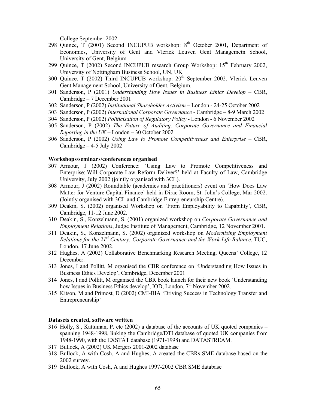College September 2002

- 298 Quince,  $T(2001)$  Second INCUPUB workshop:  $8<sup>th</sup>$  October 2001, Department of Economics, University of Gent and Vlerick Leuven Gent Managemetn School, University of Gent, Belgium
- 299 Quince, T (2002) Second INCUPUB research Group Workshop: 15<sup>th</sup> February 2002. University of Nottingham Business School, UN, UK
- 300 Quince, T (2002) Third INCUPUB workshop: 20<sup>th</sup> September 2002, Vlerick Leuven Gent Management School, University of Gent, Belgium.
- 301 Sanderson, P (2001) *Understanding How Issues in Business Ethics Develop* CBR, Cambridge – 7 December 2001
- 302 Sanderson, P (2002) *Institutional Shareholder Activism* London 24-25 October 2002
- 303 Sanderson, P (2002) *International Corporate Governance* Cambridge 8-9 March 2002
- 304 Sanderson, P (2002) *Politicisation of Regulatory Policy* London 6 November 2002
- 305 Sanderson, P (2002) *The Future of Auditing, Corporate Governance and Financial Reporting in the UK* – London – 30 October 2002
- 306 Sanderson, P (2002) *Using Law to Promote Competitiveness and Enterprise* CBR, Cambridge  $-4-5$  July 2002

### **Workshops/seminars/conferences organised**

- 307 Armour, J (2002) Conference: 'Using Law to Promote Competitiveness and Enterprise: Will Corporate Law Reform Deliver?' held at Faculty of Law, Cambridge University, July 2002 (jointly organised with 3CL).
- 308 Armour, J (2002) Roundtable (academics and practitioners) event on 'How Does Law Matter for Venture Capital Finance' held in Dirac Room, St. John's College, Mar 2002. (Jointly organised with 3CL and Cambridge Entrepreneurship Centre).
- 309 Deakin, S. (2002) organised Workshop on 'From Employability to Capability', CBR, Cambridge, 11-12 June 2002.
- 310 Deakin, S., Konzelmann, S. (2001) organized workshop on *Corporate Governance and Employment Relations*, Judge Institute of Management, Cambridge, 12 November 2001.
- 311 Deakin, S., Konzelmann, S. (2002) organized workshop on *Modernising Employment Relations for the 21st Century: Corporate Governance and the Work-Life Balance*, TUC, London, 17 June 2002.
- 312 Hughes, A (2002) Collaborative Benchmarking Research Meeting, Queens' College, 12 December.
- 313 Jones, I and Pollitt, M organised the CBR conference on 'Understanding How Issues in Business Ethics Develop', Cambridge, December 2001
- 314 Jones, I and Pollitt, M organised the CBR book launch for their new book 'Understanding how Issues in Business Ethics develop', IOD, London, 7<sup>th</sup> November 2002.
- 315 Kitson, M and Primost, D (2002) CMI-BIA 'Driving Success in Technology Transfer and Entrepreneurship'

#### **Datasets created, software written**

- 316 Holly, S., Kattuman, P. etc (2002) a database of the accounts of UK quoted companies spanning 1948-1998, linking the Cambridge/DTI database of quoted UK companies from 1948-1990, with the EXSTAT database (1971-1998) and DATASTREAM.
- 317 Bullock, A (2002) UK Mergers 2001-2002 database
- 318 Bullock, A with Cosh, A and Hughes, A created the CBRs SME database based on the 2002 survey.
- 319 Bullock, A with Cosh, A and Hughes 1997-2002 CBR SME database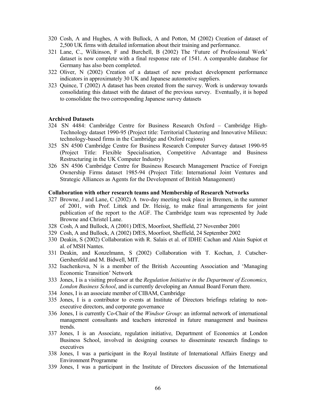- 320 Cosh, A and Hughes, A with Bullock, A and Potton, M (2002) Creation of dataset of 2,500 UK firms with detailed information about their training and performance.
- 321 Lane, C., Wilkinson, F and Burchell, B (2002) The 'Future of Professional Work' dataset is now complete with a final response rate of 1541. A comparable database for Germany has also been completed.
- 322 Oliver, N (2002) Creation of a dataset of new product development performance indicators in approximately 30 UK and Japanese automotive suppliers.
- 323 Quince, T (2002) A dataset has been created from the survey. Work is underway towards consolidating this dataset with the dataset of the previous survey. Eventually, it is hoped to consolidate the two corresponding Japanese survey datasets

## **Archived Datasets**

- 324 SN 4484: Cambridge Centre for Business Research Oxford Cambridge High-Technology dataset 1990-95 (Project title: Territorial Clustering and Innovative Milieux: technology-based firms in the Cambridge and Oxford regions)
- 325 SN 4500 Cambridge Centre for Business Research Computer Survey dataset 1990-95 (Project Title: Flexible Specialisation, Competitive Advantage and Business Restructuring in the UK Computer Industry)
- 326 SN 4506 Cambridge Centre for Business Research Management Practice of Foreign Ownership Firms dataset 1985-94 (Project Title: International Joint Ventures and Strategic Alliances as Agents for the Development of British Management)

### **Collaboration with other research teams and Membership of Research Networks**

- 327 Browne, J and Lane, C (2002) A two-day meeting took place in Bremen, in the summer of 2001, with Prof. Littek and Dr. Heisig, to make final arrangements for joint publication of the report to the AGF. The Cambridge team was represented by Jude Browne and Christel Lane.
- 328 Cosh, A and Bullock, A (2001) DfES, Moorfoot, Sheffield, 27 November 2001
- 329 Cosh, A and Bullock, A (2002) DfES, Moorfoot, Sheffield, 24 September 2002
- 330 Deakin, S (2002) Collaboration with R. Salais et al. of IDHE Cachan and Alain Supiot et al. of MSH Nantes.
- 331 Deakin, and Konzelmann, S (2002) Collaboration with T. Kochan, J. Cutscher-Gershenfeld and M. Bidwell, MIT.
- 332 Isachenkova, N is a member of the British Accounting Association and 'Managing Economic Transition' Network
- 333 Jones, I is a visiting professor at the *Regulation Initiative in the Department of Economics, London Business School*, and is currently developing an Annual Board Forum there.
- 334 Jones, I is an associate member of CIBAM, Cambridge
- 335 Jones, I is a contributor to events at Institute of Directors briefings relating to nonexecutive directors, and corporate governance
- 336 Jones, I is currently Co-Chair of the *Windsor Group*: an informal network of international management consultants and teachers interested in future management and business trends.
- 337 Jones, I is an Associate, regulation initiative, Department of Economics at London Business School, involved in designing courses to disseminate research findings to executives
- 338 Jones, I was a participant in the Royal Institute of International Affairs Energy and Environment Programme
- 339 Jones, I was a participant in the Institute of Directors discussion of the International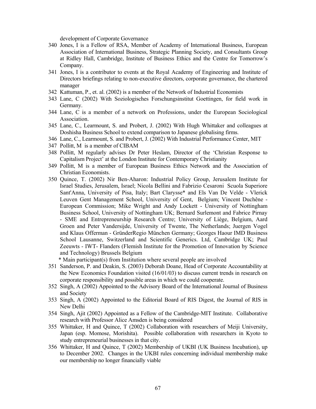development of Corporate Governance

- 340 Jones, I is a Fellow of RSA, Member of Academy of International Business, European Association of International Business, Strategic Planning Society, and Consultants Group at Ridley Hall, Cambridge, Institute of Business Ethics and the Centre for Tomorrow's Company.
- 341 Jones, I is a contributor to events at the Royal Academy of Engineering and Institute of Directors briefings relating to non-executive directors, corporate governance, the chartered manager
- 342 Kattuman, P., et. al. (2002) is a member of the Network of Industrial Economists
- 343 Lane, C (2002) With Soziologisches Forschungsinstitut Goettingen, for field work in Germany.
- 344 Lane, C is a member of a network on Professions, under the European Sociological Association.
- 345 Lane, C., Learmount, S. and Probert, J. (2002) With Hugh Whittaker and colleagues at Doshisha Business School to extend comparison to Japanese globalising firms.
- 346 Lane, C., Learmount, S. and Probert, J. (2002) With Industrial Performance Center, MIT
- 347 Pollitt, M is a member of CIBAM
- 348 Pollitt, M regularly advises Dr Peter Heslam, Director of the 'Christian Response to Capitalism Project' at the London Institute for Contemporary Christianity
- 349 Pollitt, M is a member of European Business Ethics Network and the Association of Christian Economists.
- 350 Quince, T. (2002) Nir Ben-Aharon: Industrial Policy Group, Jerusalem Institute for Israel Studies, Jerusalem, Israel; Nicola Bellini and Fabrizio Cesaroni Scuola Superiore Sant'Anna, University of Pisa, Italy; Bart Clarysse\* and Els Van De Velde - Vlerick Leuven Gent Management School, University of Gent, Belgium; Vincent Duchêne - European Commission; Mike Wright and Andy Lockett - University of Nottingham Business School, University of Nottingham UK; Bernard Surlemont and Fabrice Pirnay - SME and Entrepreneurship Research Centre; University of Liège, Belgium, Aard Groen and Peter Vandersijde, University of Twente, The Netherlands; Juergen Vogel and Klaus Offerman - GründerRegio München Germany; Georges Haour IMD Business School Lausanne, Switzerland and Scientific Generics. Ltd, Cambridge UK; Paul Zeeuwts - IWT- Flanders (Flemish Institute for the Promotion of Innovation by Science and Technology) Brussels Belgium

\* Main participant(s) from Institution where several people are involved

- 351 Sanderson, P. and Deakin, S. (2003) Deborah Doane, Head of Corporate Accountability at the New Economics Foundation visited (16/01/03) to discuss current trends in research on corporate responsibility and possible areas in which we could cooperate.
- 352 Singh, A (2002) Appointed to the Advisory Board of the International Journal of Business and Society
- 353 Singh, A (2002) Appointed to the Editorial Board of RIS Digest, the Journal of RIS in New Delhi
- 354 Singh, Ajit (2002) Appointed as a Fellow of the Cambridge-MIT Institute. Collaborative research with Professor Alice Amsden is being considered
- 355 Whittaker, H and Quince, T (2002) Collaboration with researchers of Meiji University, Japan (esp. Momose, Morishita). Possible collaboration with researchers in Kyoto to study entrepreneurial businesses in that city.
- 356 Whittaker, H and Quince, T (2002) Membership of UKBI (UK Business Incubation), up to December 2002. Changes in the UKBI rules concerning individual membership make our membership no longer financially viable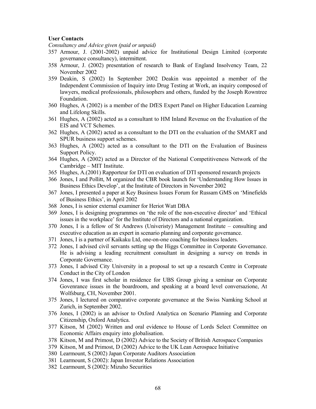### **User Contacts**

*Consultancy and Advice given (paid or unpaid)*

- 357 Armour, J. (2001-2002) unpaid advice for Institutional Design Limited (corporate governance consultancy), intermittent.
- 358 Armour, J. (2002) presentation of research to Bank of England Insolvency Team, 22 November 2002
- 359 Deakin, S (2002) In September 2002 Deakin was appointed a member of the Independent Commission of Inquiry into Drug Testing at Work, an inquiry composed of lawyers, medical professionals, philosophers and others, funded by the Joseph Rowntree Foundation.
- 360 Hughes, A (2002) is a member of the DfES Expert Panel on Higher Education Learning and Lifelong Skills.
- 361 Hughes, A (2002) acted as a consultant to HM Inland Revenue on the Evaluation of the EIS and VCT Schemes.
- 362 Hughes, A (2002) acted as a consultant to the DTI on the evaluation of the SMART and SPUR business support schemes.
- 363 Hughes, A (2002) acted as a consultant to the DTI on the Evaluation of Business Support Policy.
- 364 Hughes, A (2002) acted as a Director of the National Competitiveness Network of the Cambridge – MIT Institute.
- 365 Hughes, A.(2001) Rapporteur for DTI on evaluation of DTI sponsored research projects
- 366 Jones, I and Pollitt, M organized the CBR book launch for 'Understanding How Issues in Business Ethics Develop', at the Institute of Directors in November 2002
- 367 Jones, I presented a paper at Key Business Issues Forum for Russam GMS on 'Minefields of Business Ethics', in April 2002
- 368 Jones, I is senior external examiner for Heriot Watt DBA
- 369 Jones, I is designing programmes on 'the role of the non-executive director' and 'Ethical issues in the workplace' for the Institute of Directors and a national organization.
- 370 Jones, I is a fellow of St Andrews (Univeristy) Management Institute consulting and executive education as an expert in scenario planning and corporate governance.
- 371 Jones, I is a partner of Kaikaku Ltd, one-on-one coaching for business leaders.
- 372 Jones, I advised civil servants setting up the Higgs Committee in Corporate Governance. He is advising a leading recruitment consultant in designing a survey on trends in Corporate Governance.
- 373 Jones, I advised City University in a proposal to set up a research Centre in Corproate Conduct in the City of London
- 374 Jones, I was first scholar in residence for UBS Group giving a seminar on Corporate Govenrance issues in the boardroom, and speaking at a board level conversazione, At Wolfsburg, CH, November 2001.
- 375 Jones, I lectured on comparative corporate governance at the Swiss Namking School at Zurich, in September 2002.
- 376 Jones, I (2002) is an advisor to Oxford Analytica on Scenario Planning and Corporate Citizenship, Oxford Analytica.
- 377 Kitson, M (2002) Written and oral evidence to House of Lords Select Committee on Economic Affairs enquiry into globalisation.
- 378 Kitson, M and Primost, D (2002) Advice to the Society of British Aerospace Companies
- 379 Kitson, M and Primost, D (2002) Advice to the UK Lean Aerospace Initiative
- 380 Learmount, S (2002) Japan Corporate Auditors Association
- 381 Learmount, S (2002): Japan Investor Relations Association
- 382 Learmount, S (2002): Mizuho Securities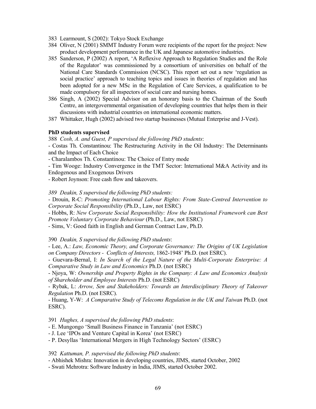- 383 Learmount, S (2002): Tokyo Stock Exchange
- 384 Oliver, N (2001) SMMT Industry Forum were recipients of the report for the project: New product development performance in the UK and Japanese automotive industries.
- 385 Sanderson, P (2002) A report, 'A Reflexive Approach to Regulation Studies and the Role of the Regulator' was commissioned by a consortium of universities on behalf of the National Care Standards Commission (NCSC). This report set out a new 'regulation as social practice' approach to teaching topics and issues in theories of regulation and has been adopted for a new MSc in the Regulation of Care Services, a qualification to be made compulsory for all inspectors of social care and nursing homes.
- 386 Singh, A (2002) Special Advisor on an honorary basis to the Chairman of the South Centre, an intergovernmental organisation of developing countries that helps them in their discussions with industrial countries on international economic matters.
- 387 Whittaker, Hugh (2002) advised two startup businesses (Mutual Enterprise and J-Vest).

### **PhD students supervised**

388 *Cosh, A. and Guest, P supervised the following PhD students*:

- Costas Th. Constantinou: The Restructuring Activity in the Oil Industry: The Determinants and the Impact of Each Choice

- Charalambos Th. Constantinou: The Choice of Entry mode

- Tim Wooge: Industry Convergence in the TMT Sector: International M&A Activity and its Endogenous and Exogenous Drivers

- Robert Joynson: Free cash flow and takeovers.

*389 Deakin, S supervised the following PhD students:* 

- Drouin, R-C: *Promoting International Labour Rights: From State-Centred Intervention to Corporate Social Responsibility* (Ph.D., Law, not ESRC)

- Hobbs, R: *New Corporate Social Responsibility: How the Institutional Framework can Best Promote Voluntary Corporate Behaviour* (Ph.D., Law, not ESRC)

- Sims, V: Good faith in English and German Contract Law, Ph.D.

390 *Deakin, S supervised the following PhD students*:

- Lee, A.: *Law, Economic Theory, and Corporate Governance: The Origins of UK Legislation on Company Directors - Conflicts of Interests,* 1862-1948' Ph.D. (not ESRC).

- Guevara-Bernal, I: *In Search of the Legal Nature of the Multi-Corporate Enterprise: A Comparative Study in Law and Economics* Ph.D. (not ESRC)

- Njoya, W: *Ownership and Property Rights in the Company: A Law and Economics Analysis of Shareholder and Employee Interests* Ph.D. (not ESRC)

- Rybak, L: *Arrow, Sen and Stakeholders: Towards an Interdisciplinary Theory of Takeover Regulation* Ph.D. (not ESRC).

- Huang, Y-W: *A Comparative Study of Telecoms Regulation in the UK and Taiwan* Ph.D. (not ESRC).

391 *Hughes, A supervised the following PhD students*:

- E. Mungongo 'Small Business Finance in Tanzania' (not ESRC)

- J. Lee 'IPOs and Venture Capital in Korea' (not ESRC)

- P. Desyllas 'International Mergers in High Technology Sectors' (ESRC)

392 *Kattuman, P. supervised the following PhD students*:

- Abhishek Mishra: Innovation in developing countries, JIMS, started October, 2002

- Swati Mehrotra: Software Industry in India, JIMS, started October 2002.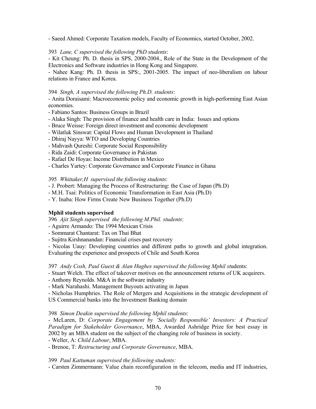- Saeed Ahmed: Corporate Taxation models, Faculty of Economics, started October, 2002.

# 393 *Lane, C supervised the following PhD students*:

- Kit Cheung: Ph. D. thesis in SPS, 2000-2004., Role of the State in the Development of the Electronics and Software industries in Hong Kong and Singapore.

- Nahee Kang: Ph. D. thesis in SPS:, 2001-2005. The impact of neo-liberalism on labour relations in France and Korea.

# 394 *Singh, A supervised the following Ph.D. students*:

- Anita Doraisami: Macroeconomic policy and economic growth in high-performing East Asian economies.

- Fabiano Santos: Business Groups in Brazil
- Alaka Singh: The provision of finance and health care in India: Issues and options
- Bruce Weisse: Foreign direct investment and economic development
- Wilatluk Sinswat: Capital Flows and Human Development in Thailand
- Dhiraj Nayya: WTO and Developing Countries
- Mahvash Qureshi: Corporate Social Responsibility
- Rida Zaidi: Corporate Governance in Pakistan
- Rafael De Hoyas: Income Distribution in Mexico
- Charles Yartey: Corporate Governance and Corporate Finance in Ghana

# 395 *Whittaker,H supervised the following students*:

- J. Probert: Managing the Process of Restructuring: the Case of Japan (Ph.D)
- M.H. Tsai: Politics of Economic Transformation in East Asia (Ph.D)
- Y. Inaba: How Firms Create New Business Together (Ph.D)

# **Mphil students supervised**

396 *Ajit Singh supervised the following M.Phil. students*:

- Aguirre Armando: The 1994 Mexican Crisis
- Sommarat Chantarat: Tax on Thai Bhat
- Sujitra Kirshnanandan: Financial crises past recovery

- Nicolas Uauy: Developing countries and different paths to growth and global integration. Evaluating the experience and prospects of Chile and South Korea

397 *Andy Cosh, Paul Guest & Alan Hughes supervised the following Mphil st*udents:

- Stuart Welch. The effect of takeover motives on the announcement returns of UK acquirers.

- Anthony Reynolds. M&A in the software industry

- Mark Narahashi. Management Buyouts activating in Japan

- Nicholas Humphries. The Role of Mergers and Acquisitions in the strategic development of US Commercial banks into the Investment Banking domain

### 398 *Simon Deakin supervised the following Mphil students*:

- McLaren, D: *Corporate Engagement by 'Socially Responsible' Investors: A Practical Paradigm for Stakeholder Governance*, MBA, Awarded Ashridge Prize for best essay in 2002 by an MBA student on the subject of the changing role of business in society.

- Weller, A: *Child Labour*, MBA.

- Brenoe, T: *Restructuring and Corporate Governance*, MBA.

399 *Paul Kattuman supervised the following students:*

- Carsten Zimmermann: Value chain reconfiguration in the telecom, media and IT industries,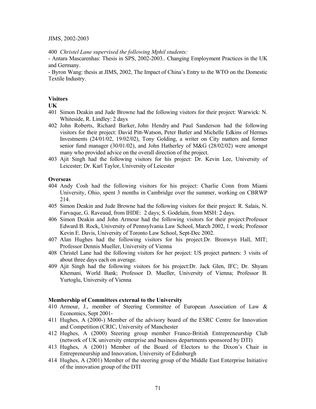#### JIMS, 2002-2003

400 *Christel Lane supervised the following Mphil students:*

- Antara Mascarenhas: Thesis in SPS, 2002-2003.. Changing Employment Practices in the UK and Germany.

- Byron Wang: thesis at JIMS, 2002, The Impact of China's Entry to the WTO on the Domestic Textile Industry.

#### **Visitors**

#### **UK**

- 401 Simon Deakin and Jude Browne had the following visitors for their project: Warwick: N. Whiteside, R. Lindley: 2 days
- 402 John Roberts, Richard Barker, John Hendry and Paul Sanderson had the following visitors for their project: David Pitt-Watson, Peter Butler and Michelle Edkins of Hermes Investments (24/01/02, 19/02/02), Tony Golding, a writer on City matters and former senior fund manager (30/01/02), and John Hatherley of M&G (28/02/02) were amongst many who provided advice on the overall direction of the project.
- 403 Ajit Singh had the following visitors for his project: Dr. Kevin Lee, University of Leicester; Dr. Karl Taylor, University of Leicester

## **Overseas**

- 404 Andy Cosh had the following visitors for his project: Charlie Conn from Miami University, Ohio, spent 3 months in Cambridge over the summer, working on CBRWP 214.
- 405 Simon Deakin and Jude Browne had the following visitors for their project: R. Salais, N. Farvaque, G. Raveaud, from IHDE: 2 days; S. Godelain, from MSH: 2 days.
- 406 Simon Deakin and John Armour had the following visitors for their project:Professor Edward B. Rock, University of Pennsylvania Law School, March 2002, 1 week; Professor Kevin E. Davis, University of Toronto Law School, Sept-Dec 2002.
- 407 Alan Hughes had the following visitors for his project:Dr. Bronwyn Hall, MIT; Professor Dennis Mueller, University of Vienna
- 408 Christel Lane had the following visitors for her project: US project partners: 3 visits of about three days each on average.
- 409 Ajit Singh had the following visitors for his project:Dr. Jack Glen, IFC; Dr. Shyam Khemani, World Bank; Professor D. Mueller, University of Vienna; Professor B. Yurtoglu, University of Vienna

#### **Membership of Committees external to the University**

- 410 Armour, J., member of Steering Committee of European Association of Law & Economics, Sept 2001-
- 411 Hughes, A (2000-) Member of the advisory board of the ESRC Centre for Innovation and Competition (CRIC, University of Manchester
- 412 Hughes, A (2000) Steering group member Franco-British Entrepreneurship Club (network of UK university enterprise and business departments sponsored by DTI)
- 413 Hughes, A (2001) Member of the Board of Electors to the Dixon's Chair in Entrepreneurship and Innovation, University of Edinburgh
- 414 Hughes, A (2001) Member of the steering group of the Middle East Enterprise Initiative of the innovation group of the DTI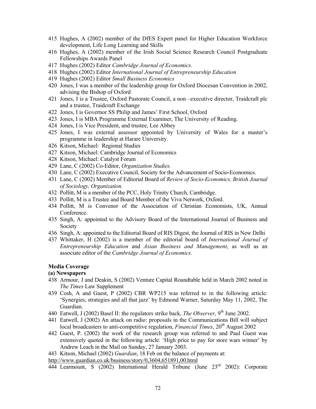- 415 Hughes, A (2002) member of the DfES Expert panel for Higher Education Workforce development, Life Long Learning and Skills
- 416 Hughes, A (2002) member of the Irish Social Science Research Council Postgraduate Fellowships Awards Panel
- 417 Hughes (2002) Editor *Cambridge Journal of Economics.*
- 418 Hughes (2002) Editor *International Journal of Entrepreneurship Education*
- 419 Hughes (2002) Editor *Small Business Economics*
- 420 Jones, I was a member of the leadership group for Oxford Diocesan Convention in 2002, advising the Bishop of Oxford
- 421 Jones, I is a Trustee, Oxford Pastorate Council, a non –executive director, Traidcraft plc and a trustee, Traidcraft Exchange
- 422 Jones, I is Governor SS Philip and James' First School, Oxford
- 423 Jones, I is MBA Programme External Examiner, The University of Reading.
- 424 Jones, I is Vice President, and trustee, Lee Abbey
- 425 Jones, I was external assessor appointed by University of Wales for a master's programme in leadership at Harare University.
- 426 Kitson, Michael: Regional Studies
- 427 Kitson, Michael: Cambridge Journal of Economics
- 428 Kitson, Michael: Catalyst Forum
- 429 Lane, C (2002) Co-Editor, *Organization Studies.*
- 430 Lane, C (2002) Executive Council, Society for the Advancement of Socio-Economics.
- 431 Lane, C (2002) Member of Editorial Board of *Review of Socio-Economics, British Journal of Sociology, Organization.*
- 432 Pollitt, M is a member of the PCC, Holy Trinity Church, Cambridge.
- 433 Pollitt, M is a Trustee and Board Member of the Viva Network, Oxford.
- 434 Pollitt, M is Convenor of the Association of Christian Economists, UK, Annual Conference.
- 435 Singh, A: appointed to the Advisory Board of the International Journal of Business and Society
- 436 Singh, A: appointed to the Editorial Board of RIS Digest, the Journal of RIS in New Delhi
- 437 Whittaker, H (2002) is a member of the editorial board of *International Journal of Entrepreneurship Education* and *Asian Business and Management*, as well as an associate editor of the *Cambridge Journal of Economics.*

#### **Media Coverage**

#### **(a) Newspapers**

- 438 Armour, J and Deakin, S (2002) Venture Capital Roundtable held in March 2002 noted in *The Times* Law Supplement
- 439 Cosh, A and Guest, P (2002) CBR WP215 was referred to in the following article: 'Synergies, strategies and all that jazz' by Edmond Warner, Saturday May 11, 2002, The Guardian.
- 440 Eatwell, J (2002) Basel II: the regulators strike back, *The Observer*, 9<sup>th</sup> June 2002.
- 441 Eatwell, J (2002) An attack on radio: proposals in the Communications Bill will subject local broadcasters to anti-competitive regulation, *Financial Times*, 20<sup>th</sup> August 2002
- 442 Guest, P. (2002) the work of the research group was referred to and Paul Guest was extensively quoted in the following article: 'High price to pay for store wars winner' by Andrew Leach in the Mail on Sunday, 27 January 2003.
- 443 Kitson, Michael (2002) *Guardian*, 18 Feb on the balance of payments at:

http://www.guardian.co.uk/business/story/0,3604,651891,00.html

444 Learmount, S (2002) International Herald Tribune (June 23rd 2002): Corporate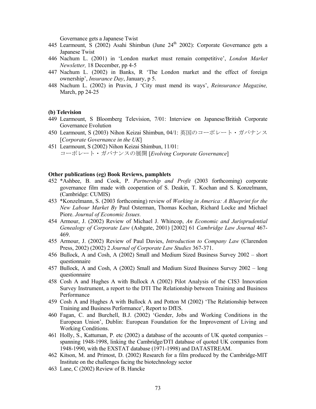Governance gets a Japanese Twist

- 445 Learmount, S (2002) Asahi Shimbun (June 24<sup>th</sup> 2002): Corporate Governance gets a Japanese Twist
- 446 Nachum L. (2001) in 'London market must remain competitive', *London Market Newsletter,* 18 December, pp 4-5
- 447 Nachum L. (2002) in Banks, R 'The London market and the effect of foreign ownership', *Insurance Day*, January, p 5.
- 448 Nachum L. (2002) in Pravin, J 'City must mend its ways', *Reinsurance Magazine,*  March, pp 24-25

#### **(b) Television**

- 449 Learmount, S Bloomberg Television, 7/01: Interview on Japanese/British Corporate Governance Evolution
- 450 Learmount, S (2003) Nihon Keizai Shimbun, 04/1: 英国のコーポレート・ガバナンス [*Corporate Governance in the UK*]
- 451 Learmount, S (2002) Nihon Keizai Shimbun, 11/01: コーポレート・ガバナンスの展開 [*Evolving Corporate Governance*]

#### **Other publications (eg) Book Reviews, pamphlets**

- 452 \*Ashbee, B. and Cook, P. *Partnership and Profit* (2003 forthcoming) corporate governance film made with cooperation of S. Deakin, T. Kochan and S. Konzelmann, (Cambridge: CUMIS)
- 453 \*Konzelmann, S. (2003 forthcoming) review of *Working in America: A Blueprint for the New Labour Market By* Paul Osterman, Thomas Kochan, Richard Locke and Michael Piore. *Journal of Economic Issues.*
- 454 Armour, J. (2002) Review of Michael J. Whincop, *An Economic and Jurisprudential Genealogy of Corporate Law* (Ashgate, 2001) [2002] 61 *Cambridge Law Journal* 467- 469.
- 455 Armour, J. (2002) Review of Paul Davies, *Introduction to Company Law* (Clarendon Press, 2002) (2002) 2 *Journal of Corporate Law Studies* 367-371.
- 456 Bullock, A and Cosh, A (2002) Small and Medium Sized Business Survey 2002 short questionnaire
- 457 Bullock, A and Cosh, A (2002) Small and Medium Sized Business Survey 2002 long questionnaire
- 458 Cosh A and Hughes A with Bullock A (2002) Pilot Analysis of the CIS3 Innovation Survey Instrument, a report to the DTI The Relationship between Training and Business Performance
- 459 Cosh A and Hughes A with Bullock A and Potton M (2002) 'The Relationship between Training and Business Performance', Report to DfES.
- 460 Fagan, C. and Burchell, B.J. (2002) 'Gender, Jobs and Working Conditions in the European Union', Dublin: European Foundation for the Improvement of Living and Working Conditions.
- 461 Holly, S., Kattuman, P. etc (2002) a database of the accounts of UK quoted companies spanning 1948-1998, linking the Cambridge/DTI database of quoted UK companies from 1948-1990, with the EXSTAT database (1971-1998) and DATASTREAM.
- 462 Kitson, M. and Primost, D. (2002) Research for a film produced by the Cambridge-MIT Institute on the challenges facing the biotechnology sector
- 463 Lane, C (2002) Review of B. Hancke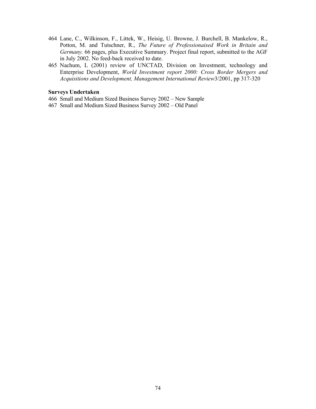- 464 Lane, C., Wilkinson, F., Littek, W., Heisig, U. Browne, J. Burchell, B. Mankelow, R., Potton, M. and Tutschner, R., *The Future of Professionaised Work in Britain and Germany.* 66 pages, plus Executive Summary. Project final report, submitted to the AGF in July 2002. No feed-back received to date.
- 465 Nachum, L (2001) review of UNCTAD, Division on Investment, technology and Enterprise Development, *World Investment report 2000: Cross Border Mergers and Acquisitions and Development, Management International Review*3/2001, pp 317-320

# **Surveys Undertaken**

- 466 Small and Medium Sized Business Survey 2002 New Sample
- 467 Small and Medium Sized Business Survey 2002 Old Panel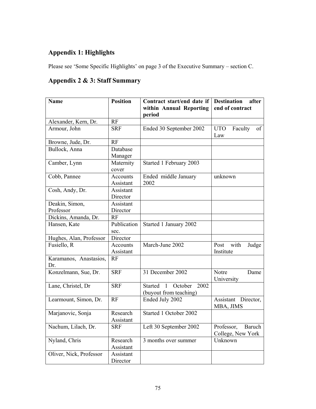# **Appendix 1: Highlights**

Please see 'Some Specific Highlights' on page 3 of the Executive Summary – section C.

# **Appendix 2 & 3: Staff Summary**

| <b>Name</b>                   | <b>Position</b>       | Contract start/end date if<br>within Annual Reporting         | <b>Destination</b><br>after<br>end of contract   |  |  |  |  |
|-------------------------------|-----------------------|---------------------------------------------------------------|--------------------------------------------------|--|--|--|--|
|                               |                       | period                                                        |                                                  |  |  |  |  |
| Alexander, Kern, Dr.          | RF                    |                                                               |                                                  |  |  |  |  |
| Armour, John                  | <b>SRF</b>            | Ended 30 September 2002                                       | <b>UTO</b><br>Faculty<br>of<br>Law               |  |  |  |  |
| Browne, Jude, Dr.             | <b>RF</b>             |                                                               |                                                  |  |  |  |  |
| Bullock, Anna                 | Database              |                                                               |                                                  |  |  |  |  |
|                               | Manager               |                                                               |                                                  |  |  |  |  |
| Camber, Lynn                  | Maternity<br>cover    | Started 1 February 2003                                       |                                                  |  |  |  |  |
| Cobb, Pannee                  | Accounts<br>Assistant | Ended middle January<br>2002                                  | unknown                                          |  |  |  |  |
| Cosh, Andy, Dr.               | Assistant<br>Director |                                                               |                                                  |  |  |  |  |
| Deakin, Simon,                | Assistant             |                                                               |                                                  |  |  |  |  |
| Professor                     | Director              |                                                               |                                                  |  |  |  |  |
| Dickins, Amanda, Dr.          | RF                    |                                                               |                                                  |  |  |  |  |
| Hansen, Kate                  | Publication<br>sec.   | Started 1 January 2002                                        |                                                  |  |  |  |  |
| Hughes, Alan, Professor       | Director              |                                                               |                                                  |  |  |  |  |
| Fusiello, R                   | Accounts<br>Assistant | March-June 2002                                               | with<br>Post<br>Judge<br>Institute               |  |  |  |  |
| Karamanos, Anastasios,<br>Dr. | RF                    |                                                               |                                                  |  |  |  |  |
| Konzelmann, Sue, Dr.          | <b>SRF</b>            | 31 December 2002                                              | Notre<br>Dame<br>University                      |  |  |  |  |
| Lane, Christel, Dr            | <b>SRF</b>            | 1 October<br>2002<br><b>Started</b><br>(buyout from teaching) |                                                  |  |  |  |  |
| Learmount, Simon, Dr.         | RF                    | Ended July 2002                                               | Director,<br>Assistant<br>MBA, JIMS              |  |  |  |  |
| Marjanovic, Sonja             | Research<br>Assistant | Started 1 October 2002                                        |                                                  |  |  |  |  |
| Nachum, Lilach, Dr.           | <b>SRF</b>            | Left 30 September 2002                                        | Professor,<br><b>Baruch</b><br>College, New York |  |  |  |  |
| Nyland, Chris                 | Research<br>Assistant | $\overline{3}$ months over summer                             | Unknown                                          |  |  |  |  |
| Oliver, Nick, Professor       | Assistant<br>Director |                                                               |                                                  |  |  |  |  |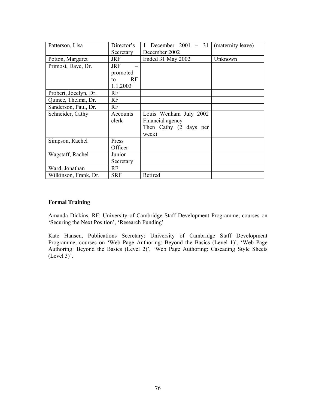| Patterson, Lisa       | Director's | December $2001 - 31$   | (maternity leave) |
|-----------------------|------------|------------------------|-------------------|
|                       | Secretary  | December 2002          |                   |
| Potton, Margaret      | <b>JRF</b> | Ended 31 May 2002      | Unknown           |
| Primost, Dave, Dr.    | <b>JRF</b> |                        |                   |
|                       | promoted   |                        |                   |
|                       | RF<br>to   |                        |                   |
|                       | 1.1.2003   |                        |                   |
| Probert, Jocelyn, Dr. | RF         |                        |                   |
| Quince, Thelma, Dr.   | RF         |                        |                   |
| Sanderson, Paul, Dr.  | RF         |                        |                   |
| Schneider, Cathy      | Accounts   | Louis Wenham July 2002 |                   |
|                       | clerk      | Financial agency       |                   |
|                       |            | Then Cathy (2 days per |                   |
|                       |            | week)                  |                   |
| Simpson, Rachel       | Press      |                        |                   |
|                       | Officer    |                        |                   |
| Wagstaff, Rachel      | Junior     |                        |                   |
|                       | Secretary  |                        |                   |
| Ward, Jonathan        | RF         |                        |                   |
| Wilkinson, Frank, Dr. | <b>SRF</b> | Retired                |                   |

### **Formal Training**

Amanda Dickins, RF: University of Cambridge Staff Development Programme, courses on 'Securing the Next Position', 'Research Funding'

Kate Hansen, Publications Secretary: University of Cambridge Staff Development Programme, courses on 'Web Page Authoring: Beyond the Basics (Level 1)', 'Web Page Authoring: Beyond the Basics (Level 2)', 'Web Page Authoring: Cascading Style Sheets  $(Level\ 3)^5$ .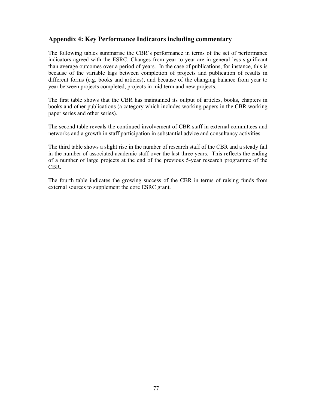# **Appendix 4: Key Performance Indicators including commentary**

The following tables summarise the CBR's performance in terms of the set of performance indicators agreed with the ESRC. Changes from year to year are in general less significant than average outcomes over a period of years. In the case of publications, for instance, this is because of the variable lags between completion of projects and publication of results in different forms (e.g. books and articles), and because of the changing balance from year to year between projects completed, projects in mid term and new projects.

The first table shows that the CBR has maintained its output of articles, books, chapters in books and other publications (a category which includes working papers in the CBR working paper series and other series).

The second table reveals the continued involvement of CBR staff in external committees and networks and a growth in staff participation in substantial advice and consultancy activities.

The third table shows a slight rise in the number of research staff of the CBR and a steady fall in the number of associated academic staff over the last three years. This reflects the ending of a number of large projects at the end of the previous 5-year research programme of the CBR.

The fourth table indicates the growing success of the CBR in terms of raising funds from external sources to supplement the core ESRC grant.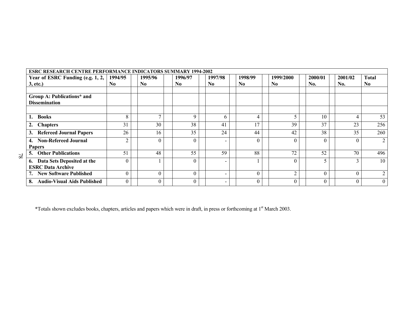|    | <b>ESRC RESEARCH CENTRE PERFORMANCE INDICATORS SUMMARY 1994-2002</b> |                           |  |                           |  |                |  |                           |  |                           |  |                             |                |                |          |                                |
|----|----------------------------------------------------------------------|---------------------------|--|---------------------------|--|----------------|--|---------------------------|--|---------------------------|--|-----------------------------|----------------|----------------|----------|--------------------------------|
|    | Year of ESRC Funding (e.g. 1, 2,<br>3, etc.)                         | 1994/95<br>N <sub>0</sub> |  | 1995/96<br>N <sub>0</sub> |  | 1996/97<br>No. |  | 1997/98<br>N <sub>0</sub> |  | 1998/99<br>N <sub>0</sub> |  | 1999/2000<br>N <sub>0</sub> | 2000/01<br>No. | 2001/02<br>No. |          | <b>Total</b><br>N <sub>0</sub> |
|    | Group A: Publications* and<br><b>Dissemination</b>                   |                           |  |                           |  |                |  |                           |  |                           |  |                             |                |                |          |                                |
|    | <b>Books</b>                                                         | 8                         |  | $\overline{ }$            |  | 9              |  | 6                         |  | 4                         |  | 5                           | 10             | 4              |          | 53                             |
|    | <b>Chapters</b>                                                      | 31                        |  | 30                        |  | 38             |  | 41                        |  | 17                        |  | 39                          | 37             | 23             |          | 256                            |
|    | <b>Refereed Journal Papers</b>                                       | 26                        |  | 16                        |  | 35             |  | 24                        |  | 44                        |  | 42                          | 38             | 35             |          | 260                            |
|    | <b>Non-Refereed Journal</b><br>4.<br><b>Papers</b>                   | $\mathcal{D}$             |  | $\theta$                  |  | $\Omega$       |  | $\overline{\phantom{0}}$  |  | $\Omega$                  |  | $\Omega$                    | $\Omega$       | $\Omega$       |          | $\overline{2}$                 |
| 82 | <b>Other Publications</b>                                            | 51                        |  | 48                        |  | 55             |  | 59                        |  | 88                        |  | 72                          | 52             | 70             |          | 496                            |
|    | 6. Data Sets Deposited at the<br><b>ESRC Data Archive</b>            |                           |  |                           |  | $\Omega$       |  | $\overline{\phantom{0}}$  |  |                           |  | $\theta$                    | 5              | 3              |          | 10                             |
|    | 7. New Software Published                                            | $\Omega$                  |  | $\theta$                  |  | $\theta$       |  | $\overline{\phantom{0}}$  |  | $\theta$                  |  | $\overline{2}$              | $\Omega$       |                | $\theta$ | 2                              |
|    | <b>Audio-Visual Aids Published</b><br>8.                             | $\theta$                  |  | $\theta$                  |  | $\theta$       |  | $\blacksquare$            |  | $\theta$                  |  | $\theta$                    | $\Omega$       | 0              |          | $\overline{0}$                 |

\*Totals shown excludes books, chapters, articles and papers which were in draft, in press or forthcoming at 1st March 2003.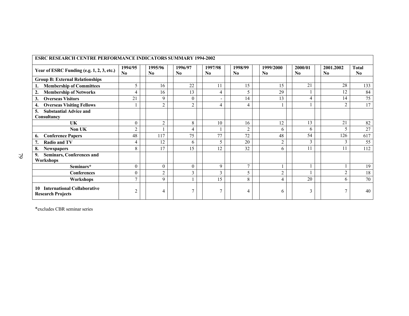| <b>ESRC RESEARCH CENTRE PERFORMANCE INDICATORS SUMMARY 1994-2002</b> |                |                           |                           |                                   |                           |                 |                           |                                     |                                        |  |  |
|----------------------------------------------------------------------|----------------|---------------------------|---------------------------|-----------------------------------|---------------------------|-----------------|---------------------------|-------------------------------------|----------------------------------------|--|--|
| Year of ESRC Funding (e.g. 1, 2, 3, etc.)                            | 1994/95<br>No  | 1995/96<br>$\mathbf{N_0}$ | 1996/97<br>N <sub>0</sub> | 1997/98<br>$\mathbf{N}\mathbf{0}$ | 1998/99<br>N <sub>0</sub> | 1999/2000<br>No | 2000/01<br>N <sub>0</sub> | 2001.2002<br>$\mathbf{N}\mathbf{0}$ | <b>Total</b><br>$\mathbf{N}\mathbf{0}$ |  |  |
| <b>Group B: External Relationships</b>                               |                |                           |                           |                                   |                           |                 |                           |                                     |                                        |  |  |
| <b>Membership of Committees</b>                                      | 5              | 16                        | 22                        | 11                                | 15                        | 15              | 21                        | 28                                  | 133                                    |  |  |
| <b>Membership of Networks</b><br>$\overline{2}$ .                    | 4              | 16                        | 13                        | 4                                 | 5                         | 29              |                           | 12                                  | 84                                     |  |  |
| <b>Overseas Visitors</b><br>3.                                       | 21             | 9                         | $\Omega$                  |                                   | 14                        | 13              | 4                         | 14                                  | 75                                     |  |  |
| <b>Overseas Visiting Fellows</b><br>4.                               |                | $\overline{2}$            | $\overline{2}$            | 4                                 | 4                         |                 |                           | $\overline{2}$                      | 17                                     |  |  |
| <b>Substantial Advice and</b><br>5.<br>Consultancy                   |                |                           |                           |                                   |                           |                 |                           |                                     |                                        |  |  |
| UK                                                                   | $\theta$       | $\overline{2}$            | 8                         | 10                                | 16                        | 12              | 13                        | 21                                  | 82                                     |  |  |
| Non UK                                                               | $\overline{2}$ |                           | $\overline{4}$            |                                   | 2                         | 6               | 6                         | 5                                   | 27                                     |  |  |
| <b>Conference Papers</b><br>6.                                       | 48             | 117                       | 75                        | 77                                | 72                        | 48              | 54                        | 126                                 | 617                                    |  |  |
| <b>Radio and TV</b>                                                  | 4              | 12                        | 6                         | 5                                 | 20                        | $\overline{2}$  | 3                         | 3                                   | 55                                     |  |  |
| 8.<br><b>Newspapers</b>                                              | 8              | 17                        | 15                        | 12                                | 32                        | 6               |                           | 11                                  | 112                                    |  |  |
| <b>Seminars, Conferences and</b><br>9.<br>Workshops                  |                |                           |                           |                                   |                           |                 |                           |                                     |                                        |  |  |
| Seminars*                                                            | $\theta$       | $\theta$                  | $\theta$                  | 9                                 | $\overline{7}$            |                 |                           |                                     | 19                                     |  |  |
| <b>Conferences</b>                                                   | $\theta$       | $\overline{2}$            | 3                         | 3                                 | 5                         | $\overline{2}$  |                           | $\overline{2}$                      | 18                                     |  |  |
| Workshops                                                            | $\mathbf{r}$   | 9                         |                           | 15                                | 8                         | $\overline{4}$  | 20                        | 6                                   | 70                                     |  |  |
| <b>International Collaborative</b><br>10<br><b>Research Projects</b> | $\overline{2}$ | 4                         | $\overline{\phantom{a}}$  | 7                                 | 4                         | 6               | 3                         |                                     | 40                                     |  |  |

\*excludes CBR seminar series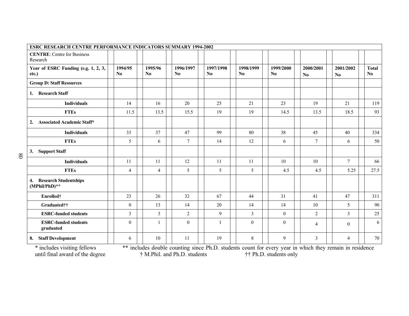| ESRC RESEARCH CENTRE PERFORMANCE INDICATORS SUMMARY 1994-2002 |                                   |                |                                     |                 |                                                                                                                                                                                                                                                                                                                                |                             |                                                                                                                                          |                                                              |                                        |
|---------------------------------------------------------------|-----------------------------------|----------------|-------------------------------------|-----------------|--------------------------------------------------------------------------------------------------------------------------------------------------------------------------------------------------------------------------------------------------------------------------------------------------------------------------------|-----------------------------|------------------------------------------------------------------------------------------------------------------------------------------|--------------------------------------------------------------|----------------------------------------|
| <b>CENTRE:</b> Centre for Business<br>Research                |                                   |                |                                     |                 |                                                                                                                                                                                                                                                                                                                                |                             |                                                                                                                                          |                                                              |                                        |
| Year of ESRC Funding (e.g. 1, 2, 3,<br>etc.)                  | 1994/95<br>$\mathbf{N}\mathbf{0}$ | 1995/96<br>No  | 1996/1997<br>$\mathbf{N}\mathbf{0}$ | 1997/1998<br>No | 1998/1999<br>$\bf No$                                                                                                                                                                                                                                                                                                          | 1999/2000<br>N <sub>0</sub> | 2000/2001<br>N <sub>0</sub>                                                                                                              | 2001/2002<br>N <sub>0</sub>                                  | <b>Total</b><br>$\mathbf{N}\mathbf{0}$ |
| <b>Group D: Staff Resources</b>                               |                                   |                |                                     |                 |                                                                                                                                                                                                                                                                                                                                |                             |                                                                                                                                          |                                                              |                                        |
| <b>Research Staff</b><br>1.                                   |                                   |                |                                     |                 |                                                                                                                                                                                                                                                                                                                                |                             |                                                                                                                                          |                                                              |                                        |
| <b>Individuals</b>                                            | 14                                | 16             | 20                                  | 25              | 21                                                                                                                                                                                                                                                                                                                             | 23                          | 19                                                                                                                                       | 21                                                           | 119                                    |
| <b>FTEs</b>                                                   | 11.5                              | 13.5           | 15.5                                | 19              | 19                                                                                                                                                                                                                                                                                                                             | 14.5                        | 13.5                                                                                                                                     | 18.5                                                         | 93                                     |
| <b>Associated Academic Staff*</b><br>2.                       |                                   |                |                                     |                 |                                                                                                                                                                                                                                                                                                                                |                             |                                                                                                                                          |                                                              |                                        |
| <b>Individuals</b>                                            | 33                                | 37             | 47                                  | 99              | 80                                                                                                                                                                                                                                                                                                                             | 38                          | 45                                                                                                                                       | 40                                                           | 334                                    |
| <b>FTEs</b>                                                   | 5                                 | 6              | $\overline{7}$                      | 14              | 12                                                                                                                                                                                                                                                                                                                             | 6                           | $\overline{7}$                                                                                                                           | 6                                                            | 50                                     |
| <b>Support Staff</b><br>3.                                    |                                   |                |                                     |                 |                                                                                                                                                                                                                                                                                                                                |                             |                                                                                                                                          |                                                              |                                        |
| <b>Individuals</b>                                            | 11                                | 11             | 12                                  | 11              | 11                                                                                                                                                                                                                                                                                                                             | 10                          | 10                                                                                                                                       | $7\phantom{.0}$                                              | 66                                     |
| <b>FTEs</b>                                                   | $\overline{4}$                    | $\overline{4}$ | 5                                   | 5               | 5                                                                                                                                                                                                                                                                                                                              | 4.5                         | 4.5                                                                                                                                      | 5.25                                                         | 27.5                                   |
| <b>Research Studentships</b><br>4.<br>$(MPhil/PhD)**$         |                                   |                |                                     |                 |                                                                                                                                                                                                                                                                                                                                |                             |                                                                                                                                          |                                                              |                                        |
| Enrolled†                                                     | 23                                | 26             | 32                                  | 67              | 44                                                                                                                                                                                                                                                                                                                             | 31                          | 41                                                                                                                                       | 47                                                           | 311                                    |
| Graduated††                                                   | $\theta$                          | 13             | 14                                  | 20              | 14                                                                                                                                                                                                                                                                                                                             | 14                          | 10                                                                                                                                       | 5                                                            | 90                                     |
| <b>ESRC-funded students</b>                                   | 3                                 | $\overline{3}$ | $\overline{2}$                      | 9               | $\overline{3}$                                                                                                                                                                                                                                                                                                                 | $\mathbf{0}$                | $\overline{2}$                                                                                                                           | $\overline{3}$                                               | 25                                     |
| <b>ESRC-funded students</b><br>graduated                      | $\theta$                          | $\mathbf{1}$   | $\boldsymbol{0}$                    | $\mathbf{1}$    | $\mathbf{0}$                                                                                                                                                                                                                                                                                                                   | $\mathbf{0}$                | $\overline{4}$                                                                                                                           | $\mathbf{0}$                                                 | 6                                      |
| <b>Staff Development</b><br>8.                                | 6                                 | 10             | 11                                  | 19              | 8<br>$\star \star$ . 1 1 $\star$ 1 11 $\star$ 11 $\star$ 1 $\star$ 1 $\star$ 1 $\star$ 1 $\star$ 1 $\star$ 1 $\star$ 1 $\star$ 1 $\star$ 1 $\star$ 1 $\star$ 1 $\star$ 1 $\star$ 1 $\star$ 1 $\star$ 1 $\star$ 1 $\star$ 1 $\star$ 1 $\star$ 1 $\star$ 1 $\star$ 1 $\star$ 1 $\star$ 1 $\star$ 1 $\star$ 1 $\star$ 1 $\star$ 1 | 9                           | 3<br>$\mathbf{A}$ and $\mathbf{A}$ and $\mathbf{A}$ and $\mathbf{A}$ and $\mathbf{A}$ and $\mathbf{A}$ and $\mathbf{A}$ and $\mathbf{A}$ | $\overline{4}$<br><b>Allen Alle</b><br><b><i>SALE TO</i></b> | 70                                     |

\* includes visiting fellows \*\* includes double counting since Ph.D. students count for every year in which they remain in residence until final award of the degree  $\ddot{\tau}$  M.Phil. and Ph.D. students  $\ddot{\tau}$  + Ph.D. students only